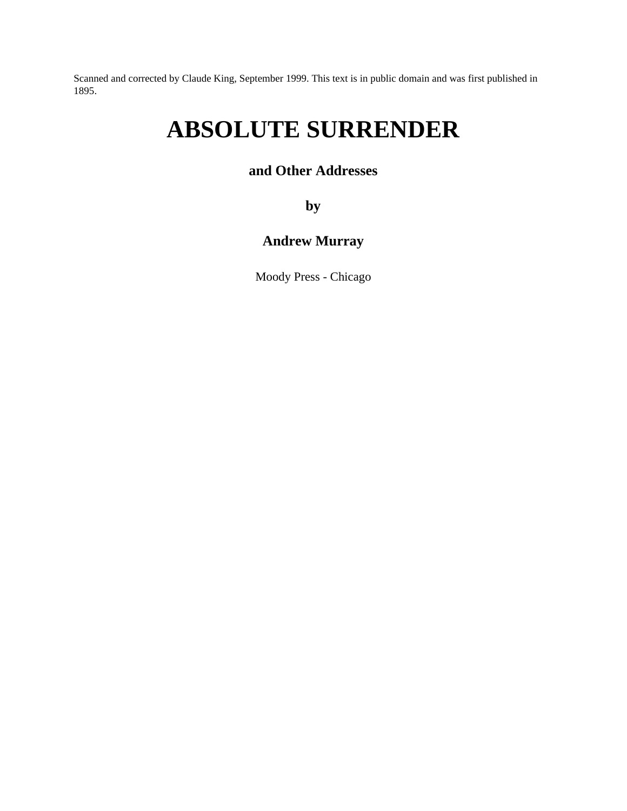Scanned and corrected by Claude King, September 1999. This text is in public domain and was first published in 1895.

# **ABSOLUTE SURRENDER**

## **and Other Addresses**

**by**

## **Andrew Murray**

Moody Press - Chicago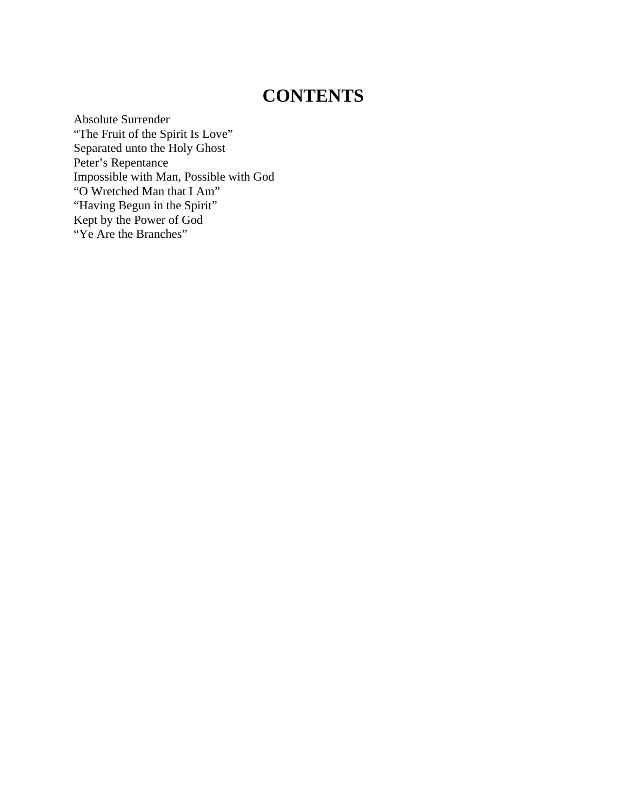## **CONTENTS**

Absolute Surrender "The Fruit of the Spirit Is Love" Separated unto the Holy Ghost Peter's Repentance Impossible with Man, Possible with God "O Wretched Man that I Am" "Having Begun in the Spirit" Kept by the Power of God "Ye Are the Branches"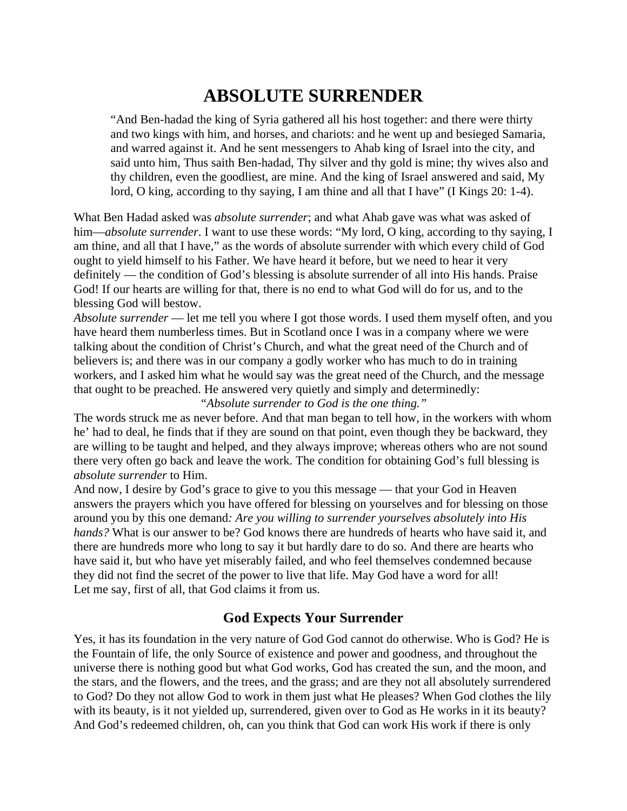## **ABSOLUTE SURRENDER**

"And Ben-hadad the king of Syria gathered all his host together: and there were thirty and two kings with him, and horses, and chariots: and he went up and besieged Samaria, and warred against it. And he sent messengers to Ahab king of Israel into the city, and said unto him, Thus saith Ben-hadad, Thy silver and thy gold is mine; thy wives also and thy children, even the goodliest, are mine. And the king of Israel answered and said, My lord, O king, according to thy saying, I am thine and all that I have" (I Kings 20: 1-4).

What Ben Hadad asked was *absolute surrender*; and what Ahab gave was what was asked of him—*absolute surrender*. I want to use these words: "My lord, O king, according to thy saying, I am thine, and all that I have," as the words of absolute surrender with which every child of God ought to yield himself to his Father. We have heard it before, but we need to hear it very definitely — the condition of God's blessing is absolute surrender of all into His hands. Praise God! If our hearts are willing for that, there is no end to what God will do for us, and to the blessing God will bestow.

*Absolute surrender* — let me tell you where I got those words. I used them myself often, and you have heard them numberless times. But in Scotland once I was in a company where we were talking about the condition of Christ's Church, and what the great need of the Church and of believers is; and there was in our company a godly worker who has much to do in training workers, and I asked him what he would say was the great need of the Church, and the message that ought to be preached. He answered very quietly and simply and determinedly:

*"Absolute surrender to God is the one thing."*

The words struck me as never before. And that man began to tell how, in the workers with whom he' had to deal, he finds that if they are sound on that point, even though they be backward, they are willing to be taught and helped, and they always improve; whereas others who are not sound there very often go back and leave the work. The condition for obtaining God's full blessing is *absolute surrender* to Him.

And now, I desire by God's grace to give to you this message — that your God in Heaven answers the prayers which you have offered for blessing on yourselves and for blessing on those around you by this one demand*: Are you willing to surrender yourselves absolutely into His hands?* What is our answer to be? God knows there are hundreds of hearts who have said it, and there are hundreds more who long to say it but hardly dare to do so. And there are hearts who have said it, but who have yet miserably failed, and who feel themselves condemned because they did not find the secret of the power to live that life. May God have a word for all! Let me say, first of all, that God claims it from us.

## **God Expects Your Surrender**

Yes, it has its foundation in the very nature of God God cannot do otherwise. Who is God? He is the Fountain of life, the only Source of existence and power and goodness, and throughout the universe there is nothing good but what God works, God has created the sun, and the moon, and the stars, and the flowers, and the trees, and the grass; and are they not all absolutely surrendered to God? Do they not allow God to work in them just what He pleases? When God clothes the lily with its beauty, is it not yielded up, surrendered, given over to God as He works in it its beauty? And God's redeemed children, oh, can you think that God can work His work if there is only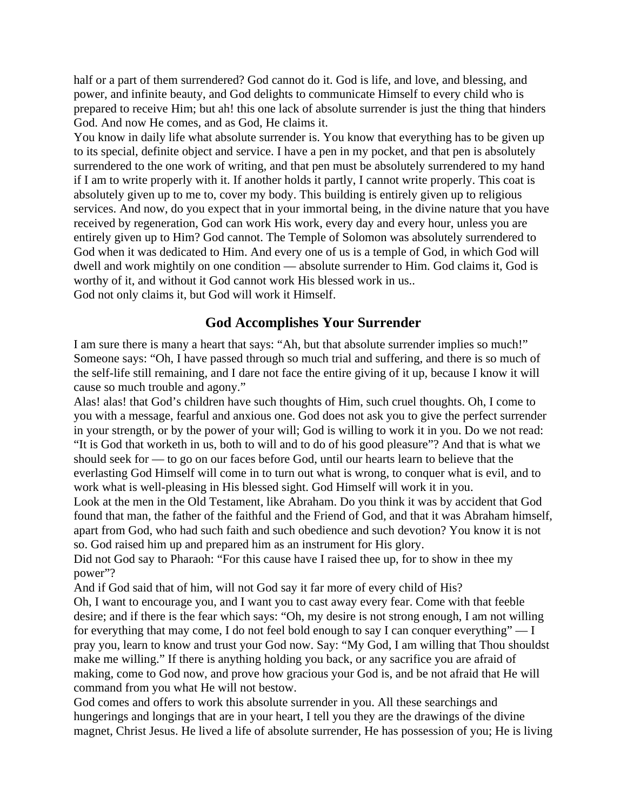half or a part of them surrendered? God cannot do it. God is life, and love, and blessing, and power, and infinite beauty, and God delights to communicate Himself to every child who is prepared to receive Him; but ah! this one lack of absolute surrender is just the thing that hinders God. And now He comes, and as God, He claims it.

You know in daily life what absolute surrender is. You know that everything has to be given up to its special, definite object and service. I have a pen in my pocket, and that pen is absolutely surrendered to the one work of writing, and that pen must be absolutely surrendered to my hand if I am to write properly with it. If another holds it partly, I cannot write properly. This coat is absolutely given up to me to, cover my body. This building is entirely given up to religious services. And now, do you expect that in your immortal being, in the divine nature that you have received by regeneration, God can work His work, every day and every hour, unless you are entirely given up to Him? God cannot. The Temple of Solomon was absolutely surrendered to God when it was dedicated to Him. And every one of us is a temple of God, in which God will dwell and work mightily on one condition — absolute surrender to Him. God claims it, God is worthy of it, and without it God cannot work His blessed work in us.. God not only claims it, but God will work it Himself.

### **God Accomplishes Your Surrender**

I am sure there is many a heart that says: "Ah, but that absolute surrender implies so much!" Someone says: "Oh, I have passed through so much trial and suffering, and there is so much of the self-life still remaining, and I dare not face the entire giving of it up, because I know it will cause so much trouble and agony."

Alas! alas! that God's children have such thoughts of Him, such cruel thoughts. Oh, I come to you with a message, fearful and anxious one. God does not ask you to give the perfect surrender in your strength, or by the power of your will; God is willing to work it in you. Do we not read: "It is God that worketh in us, both to will and to do of his good pleasure"? And that is what we should seek for — to go on our faces before God, until our hearts learn to believe that the everlasting God Himself will come in to turn out what is wrong, to conquer what is evil, and to work what is well-pleasing in His blessed sight. God Himself will work it in you.

Look at the men in the Old Testament, like Abraham. Do you think it was by accident that God found that man, the father of the faithful and the Friend of God, and that it was Abraham himself, apart from God, who had such faith and such obedience and such devotion? You know it is not so. God raised him up and prepared him as an instrument for His glory.

Did not God say to Pharaoh: "For this cause have I raised thee up, for to show in thee my power"?

And if God said that of him, will not God say it far more of every child of His?

Oh, I want to encourage you, and I want you to cast away every fear. Come with that feeble desire; and if there is the fear which says: "Oh, my desire is not strong enough, I am not willing for everything that may come, I do not feel bold enough to say I can conquer everything"  $- I$ pray you, learn to know and trust your God now. Say: "My God, I am willing that Thou shouldst make me willing." If there is anything holding you back, or any sacrifice you are afraid of making, come to God now, and prove how gracious your God is, and be not afraid that He will command from you what He will not bestow.

God comes and offers to work this absolute surrender in you. All these searchings and hungerings and longings that are in your heart, I tell you they are the drawings of the divine magnet, Christ Jesus. He lived a life of absolute surrender, He has possession of you; He is living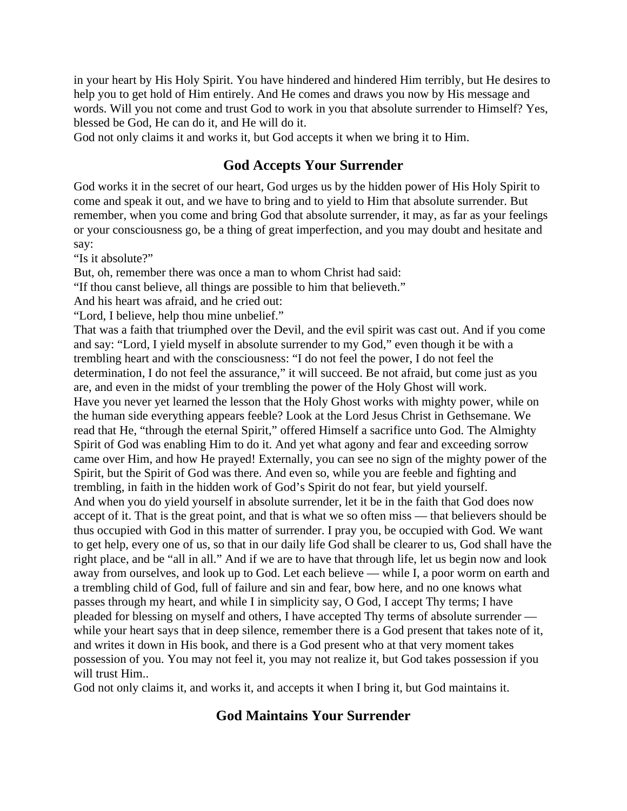in your heart by His Holy Spirit. You have hindered and hindered Him terribly, but He desires to help you to get hold of Him entirely. And He comes and draws you now by His message and words. Will you not come and trust God to work in you that absolute surrender to Himself? Yes, blessed be God, He can do it, and He will do it.

God not only claims it and works it, but God accepts it when we bring it to Him.

## **God Accepts Your Surrender**

God works it in the secret of our heart, God urges us by the hidden power of His Holy Spirit to come and speak it out, and we have to bring and to yield to Him that absolute surrender. But remember, when you come and bring God that absolute surrender, it may, as far as your feelings or your consciousness go, be a thing of great imperfection, and you may doubt and hesitate and say:

"Is it absolute?"

But, oh, remember there was once a man to whom Christ had said:

"If thou canst believe, all things are possible to him that believeth."

And his heart was afraid, and he cried out:

"Lord, I believe, help thou mine unbelief."

That was a faith that triumphed over the Devil, and the evil spirit was cast out. And if you come and say: "Lord, I yield myself in absolute surrender to my God," even though it be with a trembling heart and with the consciousness: "I do not feel the power, I do not feel the determination, I do not feel the assurance," it will succeed. Be not afraid, but come just as you are, and even in the midst of your trembling the power of the Holy Ghost will work. Have you never yet learned the lesson that the Holy Ghost works with mighty power, while on the human side everything appears feeble? Look at the Lord Jesus Christ in Gethsemane. We read that He, "through the eternal Spirit," offered Himself a sacrifice unto God. The Almighty Spirit of God was enabling Him to do it. And yet what agony and fear and exceeding sorrow came over Him, and how He prayed! Externally, you can see no sign of the mighty power of the Spirit, but the Spirit of God was there. And even so, while you are feeble and fighting and trembling, in faith in the hidden work of God's Spirit do not fear, but yield yourself. And when you do yield yourself in absolute surrender, let it be in the faith that God does now accept of it. That is the great point, and that is what we so often miss — that believers should be thus occupied with God in this matter of surrender. I pray you, be occupied with God. We want to get help, every one of us, so that in our daily life God shall be clearer to us, God shall have the right place, and be "all in all." And if we are to have that through life, let us begin now and look away from ourselves, and look up to God. Let each believe — while I, a poor worm on earth and a trembling child of God, full of failure and sin and fear, bow here, and no one knows what passes through my heart, and while I in simplicity say, O God, I accept Thy terms; I have pleaded for blessing on myself and others, I have accepted Thy terms of absolute surrender while your heart says that in deep silence, remember there is a God present that takes note of it, and writes it down in His book, and there is a God present who at that very moment takes possession of you. You may not feel it, you may not realize it, but God takes possession if you will trust Him..

God not only claims it, and works it, and accepts it when I bring it, but God maintains it.

## **God Maintains Your Surrender**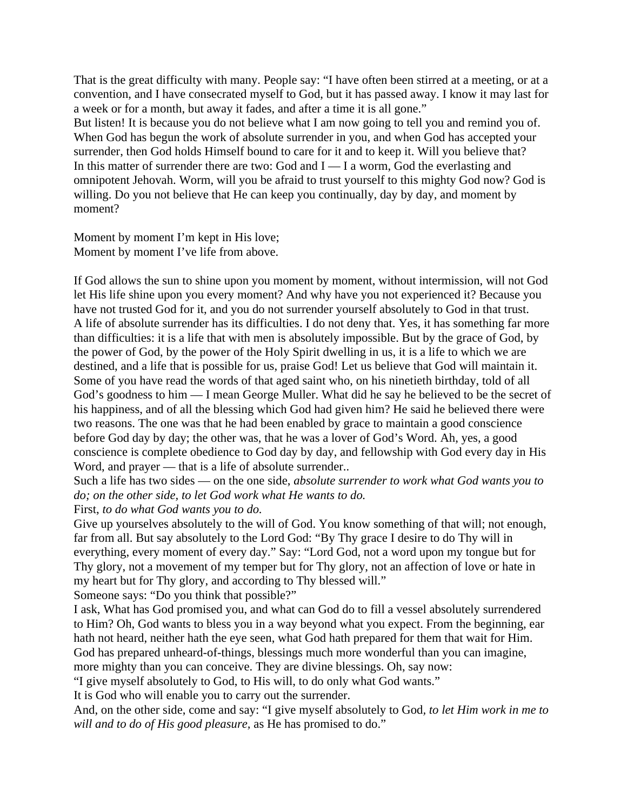That is the great difficulty with many. People say: "I have often been stirred at a meeting, or at a convention, and I have consecrated myself to God, but it has passed away. I know it may last for a week or for a month, but away it fades, and after a time it is all gone."

But listen! It is because you do not believe what I am now going to tell you and remind you of. When God has begun the work of absolute surrender in you, and when God has accepted your surrender, then God holds Himself bound to care for it and to keep it. Will you believe that? In this matter of surrender there are two: God and  $I - I$  a worm, God the everlasting and omnipotent Jehovah. Worm, will you be afraid to trust yourself to this mighty God now? God is willing. Do you not believe that He can keep you continually, day by day, and moment by moment?

Moment by moment I'm kept in His love; Moment by moment I've life from above.

If God allows the sun to shine upon you moment by moment, without intermission, will not God let His life shine upon you every moment? And why have you not experienced it? Because you have not trusted God for it, and you do not surrender yourself absolutely to God in that trust. A life of absolute surrender has its difficulties. I do not deny that. Yes, it has something far more than difficulties: it is a life that with men is absolutely impossible. But by the grace of God, by the power of God, by the power of the Holy Spirit dwelling in us, it is a life to which we are destined, and a life that is possible for us, praise God! Let us believe that God will maintain it. Some of you have read the words of that aged saint who, on his ninetieth birthday, told of all God's goodness to him — I mean George Muller. What did he say he believed to be the secret of his happiness, and of all the blessing which God had given him? He said he believed there were two reasons. The one was that he had been enabled by grace to maintain a good conscience before God day by day; the other was, that he was a lover of God's Word. Ah, yes, a good conscience is complete obedience to God day by day, and fellowship with God every day in His Word, and prayer — that is a life of absolute surrender..

Such a life has two sides — on the one side, *absolute surrender to work what God wants you to do; on the other side, to let God work what He wants to do.*

First, *to do what God wants you to do.*

Give up yourselves absolutely to the will of God. You know something of that will; not enough, far from all. But say absolutely to the Lord God: "By Thy grace I desire to do Thy will in everything, every moment of every day." Say: "Lord God, not a word upon my tongue but for Thy glory, not a movement of my temper but for Thy glory, not an affection of love or hate in my heart but for Thy glory, and according to Thy blessed will."

Someone says: "Do you think that possible?"

I ask, What has God promised you, and what can God do to fill a vessel absolutely surrendered to Him? Oh, God wants to bless you in a way beyond what you expect. From the beginning, ear hath not heard, neither hath the eye seen, what God hath prepared for them that wait for Him. God has prepared unheard-of-things, blessings much more wonderful than you can imagine, more mighty than you can conceive. They are divine blessings. Oh, say now:

"I give myself absolutely to God, to His will, to do only what God wants."

It is God who will enable you to carry out the surrender.

And, on the other side, come and say: "I give myself absolutely to God*, to let Him work in me to will and to do of His good pleasure,* as He has promised to do."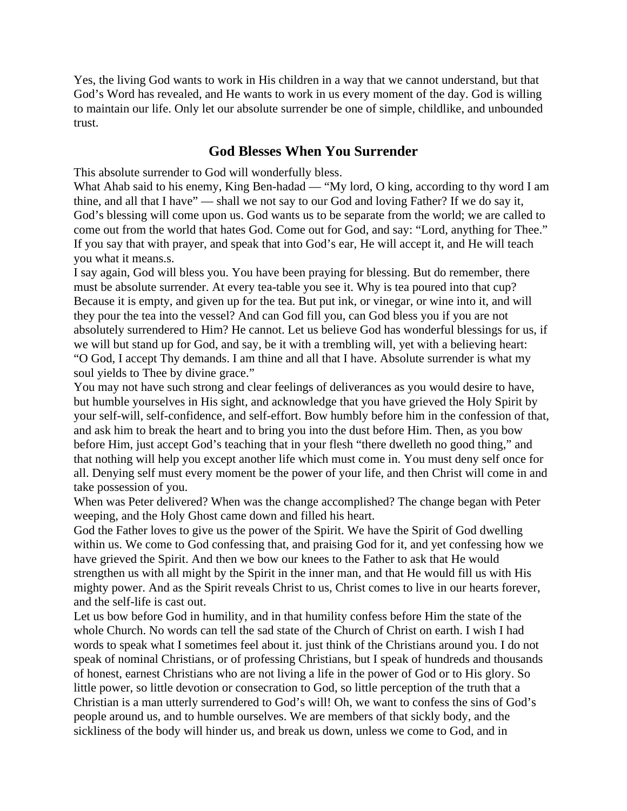Yes, the living God wants to work in His children in a way that we cannot understand, but that God's Word has revealed, and He wants to work in us every moment of the day. God is willing to maintain our life. Only let our absolute surrender be one of simple, childlike, and unbounded trust.

### **God Blesses When You Surrender**

This absolute surrender to God will wonderfully bless.

What Ahab said to his enemy, King Ben-hadad — "My lord, O king, according to thy word I am thine, and all that I have" — shall we not say to our God and loving Father? If we do say it, God's blessing will come upon us. God wants us to be separate from the world; we are called to come out from the world that hates God. Come out for God, and say: "Lord, anything for Thee." If you say that with prayer, and speak that into God's ear, He will accept it, and He will teach you what it means.s.

I say again, God will bless you. You have been praying for blessing. But do remember, there must be absolute surrender. At every tea-table you see it. Why is tea poured into that cup? Because it is empty, and given up for the tea. But put ink, or vinegar, or wine into it, and will they pour the tea into the vessel? And can God fill you, can God bless you if you are not absolutely surrendered to Him? He cannot. Let us believe God has wonderful blessings for us, if we will but stand up for God, and say, be it with a trembling will, yet with a believing heart: "O God, I accept Thy demands. I am thine and all that I have. Absolute surrender is what my soul yields to Thee by divine grace."

You may not have such strong and clear feelings of deliverances as you would desire to have, but humble yourselves in His sight, and acknowledge that you have grieved the Holy Spirit by your self-will, self-confidence, and self-effort. Bow humbly before him in the confession of that, and ask him to break the heart and to bring you into the dust before Him. Then, as you bow before Him, just accept God's teaching that in your flesh "there dwelleth no good thing," and that nothing will help you except another life which must come in. You must deny self once for all. Denying self must every moment be the power of your life, and then Christ will come in and take possession of you.

When was Peter delivered? When was the change accomplished? The change began with Peter weeping, and the Holy Ghost came down and filled his heart.

God the Father loves to give us the power of the Spirit. We have the Spirit of God dwelling within us. We come to God confessing that, and praising God for it, and yet confessing how we have grieved the Spirit. And then we bow our knees to the Father to ask that He would strengthen us with all might by the Spirit in the inner man, and that He would fill us with His mighty power. And as the Spirit reveals Christ to us, Christ comes to live in our hearts forever, and the self-life is cast out.

Let us bow before God in humility, and in that humility confess before Him the state of the whole Church. No words can tell the sad state of the Church of Christ on earth. I wish I had words to speak what I sometimes feel about it. just think of the Christians around you. I do not speak of nominal Christians, or of professing Christians, but I speak of hundreds and thousands of honest, earnest Christians who are not living a life in the power of God or to His glory. So little power, so little devotion or consecration to God, so little perception of the truth that a Christian is a man utterly surrendered to God's will! Oh, we want to confess the sins of God's people around us, and to humble ourselves. We are members of that sickly body, and the sickliness of the body will hinder us, and break us down, unless we come to God, and in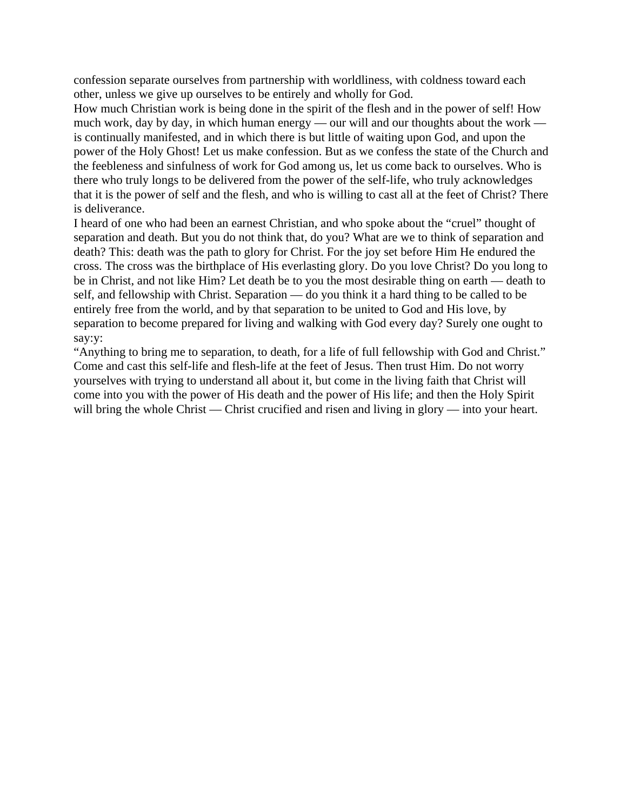confession separate ourselves from partnership with worldliness, with coldness toward each other, unless we give up ourselves to be entirely and wholly for God.

How much Christian work is being done in the spirit of the flesh and in the power of self! How much work, day by day, in which human energy — our will and our thoughts about the work is continually manifested, and in which there is but little of waiting upon God, and upon the power of the Holy Ghost! Let us make confession. But as we confess the state of the Church and the feebleness and sinfulness of work for God among us, let us come back to ourselves. Who is there who truly longs to be delivered from the power of the self-life, who truly acknowledges that it is the power of self and the flesh, and who is willing to cast all at the feet of Christ? There is deliverance.

I heard of one who had been an earnest Christian, and who spoke about the "cruel" thought of separation and death. But you do not think that, do you? What are we to think of separation and death? This: death was the path to glory for Christ. For the joy set before Him He endured the cross. The cross was the birthplace of His everlasting glory. Do you love Christ? Do you long to be in Christ, and not like Him? Let death be to you the most desirable thing on earth — death to self, and fellowship with Christ. Separation — do you think it a hard thing to be called to be entirely free from the world, and by that separation to be united to God and His love, by separation to become prepared for living and walking with God every day? Surely one ought to say:y:

"Anything to bring me to separation, to death, for a life of full fellowship with God and Christ." Come and cast this self-life and flesh-life at the feet of Jesus. Then trust Him. Do not worry yourselves with trying to understand all about it, but come in the living faith that Christ will come into you with the power of His death and the power of His life; and then the Holy Spirit will bring the whole Christ — Christ crucified and risen and living in glory — into your heart.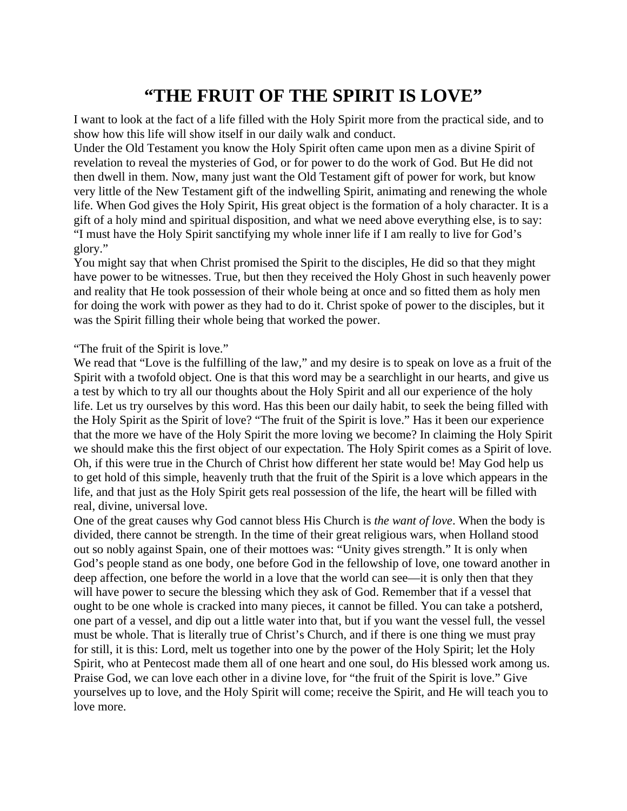## **"THE FRUIT OF THE SPIRIT IS LOVE"**

I want to look at the fact of a life filled with the Holy Spirit more from the practical side, and to show how this life will show itself in our daily walk and conduct.

Under the Old Testament you know the Holy Spirit often came upon men as a divine Spirit of revelation to reveal the mysteries of God, or for power to do the work of God. But He did not then dwell in them. Now, many just want the Old Testament gift of power for work, but know very little of the New Testament gift of the indwelling Spirit, animating and renewing the whole life. When God gives the Holy Spirit, His great object is the formation of a holy character. It is a gift of a holy mind and spiritual disposition, and what we need above everything else, is to say: "I must have the Holy Spirit sanctifying my whole inner life if I am really to live for God's glory."

You might say that when Christ promised the Spirit to the disciples, He did so that they might have power to be witnesses. True, but then they received the Holy Ghost in such heavenly power and reality that He took possession of their whole being at once and so fitted them as holy men for doing the work with power as they had to do it. Christ spoke of power to the disciples, but it was the Spirit filling their whole being that worked the power.

"The fruit of the Spirit is love."

We read that "Love is the fulfilling of the law," and my desire is to speak on love as a fruit of the Spirit with a twofold object. One is that this word may be a searchlight in our hearts, and give us a test by which to try all our thoughts about the Holy Spirit and all our experience of the holy life. Let us try ourselves by this word. Has this been our daily habit, to seek the being filled with the Holy Spirit as the Spirit of love? "The fruit of the Spirit is love." Has it been our experience that the more we have of the Holy Spirit the more loving we become? In claiming the Holy Spirit we should make this the first object of our expectation. The Holy Spirit comes as a Spirit of love. Oh, if this were true in the Church of Christ how different her state would be! May God help us to get hold of this simple, heavenly truth that the fruit of the Spirit is a love which appears in the life, and that just as the Holy Spirit gets real possession of the life, the heart will be filled with real, divine, universal love.

One of the great causes why God cannot bless His Church is *the want of love*. When the body is divided, there cannot be strength. In the time of their great religious wars, when Holland stood out so nobly against Spain, one of their mottoes was: "Unity gives strength." It is only when God's people stand as one body, one before God in the fellowship of love, one toward another in deep affection, one before the world in a love that the world can see—it is only then that they will have power to secure the blessing which they ask of God. Remember that if a vessel that ought to be one whole is cracked into many pieces, it cannot be filled. You can take a potsherd, one part of a vessel, and dip out a little water into that, but if you want the vessel full, the vessel must be whole. That is literally true of Christ's Church, and if there is one thing we must pray for still, it is this: Lord, melt us together into one by the power of the Holy Spirit; let the Holy Spirit, who at Pentecost made them all of one heart and one soul, do His blessed work among us. Praise God, we can love each other in a divine love, for "the fruit of the Spirit is love." Give yourselves up to love, and the Holy Spirit will come; receive the Spirit, and He will teach you to love more.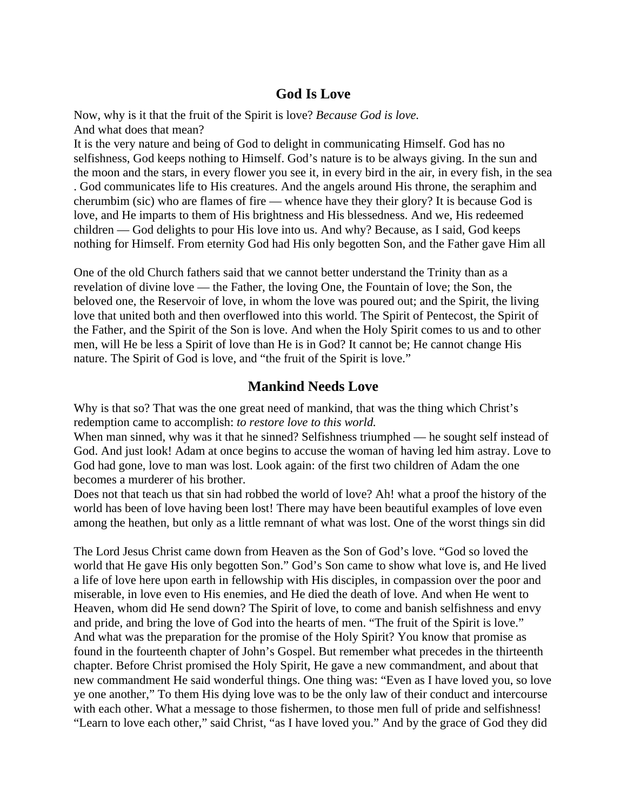### **God Is Love**

Now, why is it that the fruit of the Spirit is love? *Because God is love.* And what does that mean?

It is the very nature and being of God to delight in communicating Himself. God has no selfishness, God keeps nothing to Himself. God's nature is to be always giving. In the sun and the moon and the stars, in every flower you see it, in every bird in the air, in every fish, in the sea . God communicates life to His creatures. And the angels around His throne, the seraphim and cherumbim (sic) who are flames of fire — whence have they their glory? It is because God is love, and He imparts to them of His brightness and His blessedness. And we, His redeemed children — God delights to pour His love into us. And why? Because, as I said, God keeps nothing for Himself. From eternity God had His only begotten Son, and the Father gave Him all

One of the old Church fathers said that we cannot better understand the Trinity than as a revelation of divine love — the Father, the loving One, the Fountain of love; the Son, the beloved one, the Reservoir of love, in whom the love was poured out; and the Spirit, the living love that united both and then overflowed into this world. The Spirit of Pentecost, the Spirit of the Father, and the Spirit of the Son is love. And when the Holy Spirit comes to us and to other men, will He be less a Spirit of love than He is in God? It cannot be; He cannot change His nature. The Spirit of God is love, and "the fruit of the Spirit is love."

#### **Mankind Needs Love**

Why is that so? That was the one great need of mankind, that was the thing which Christ's redemption came to accomplish: *to restore love to this world.*

When man sinned, why was it that he sinned? Selfishness triumphed — he sought self instead of God. And just look! Adam at once begins to accuse the woman of having led him astray. Love to God had gone, love to man was lost. Look again: of the first two children of Adam the one becomes a murderer of his brother.

Does not that teach us that sin had robbed the world of love? Ah! what a proof the history of the world has been of love having been lost! There may have been beautiful examples of love even among the heathen, but only as a little remnant of what was lost. One of the worst things sin did

The Lord Jesus Christ came down from Heaven as the Son of God's love. "God so loved the world that He gave His only begotten Son." God's Son came to show what love is, and He lived a life of love here upon earth in fellowship with His disciples, in compassion over the poor and miserable, in love even to His enemies, and He died the death of love. And when He went to Heaven, whom did He send down? The Spirit of love, to come and banish selfishness and envy and pride, and bring the love of God into the hearts of men. "The fruit of the Spirit is love." And what was the preparation for the promise of the Holy Spirit? You know that promise as found in the fourteenth chapter of John's Gospel. But remember what precedes in the thirteenth chapter. Before Christ promised the Holy Spirit, He gave a new commandment, and about that new commandment He said wonderful things. One thing was: "Even as I have loved you, so love ye one another," To them His dying love was to be the only law of their conduct and intercourse with each other. What a message to those fishermen, to those men full of pride and selfishness! "Learn to love each other," said Christ, "as I have loved you." And by the grace of God they did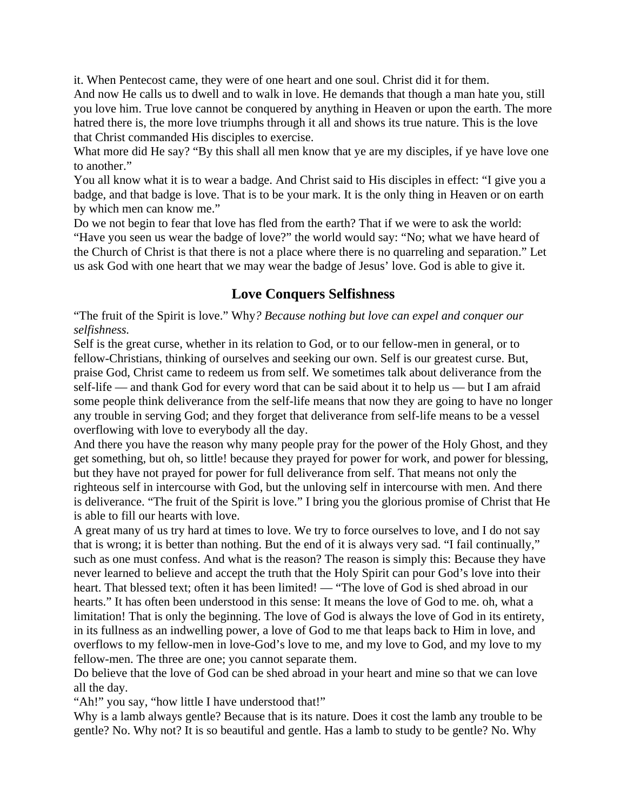it. When Pentecost came, they were of one heart and one soul. Christ did it for them.

And now He calls us to dwell and to walk in love. He demands that though a man hate you, still you love him. True love cannot be conquered by anything in Heaven or upon the earth. The more hatred there is, the more love triumphs through it all and shows its true nature. This is the love that Christ commanded His disciples to exercise.

What more did He say? "By this shall all men know that ye are my disciples, if ye have love one to another."

You all know what it is to wear a badge. And Christ said to His disciples in effect: "I give you a badge, and that badge is love. That is to be your mark. It is the only thing in Heaven or on earth by which men can know me."

Do we not begin to fear that love has fled from the earth? That if we were to ask the world: "Have you seen us wear the badge of love?" the world would say: "No; what we have heard of the Church of Christ is that there is not a place where there is no quarreling and separation." Let us ask God with one heart that we may wear the badge of Jesus' love. God is able to give it.

## **Love Conquers Selfishness**

"The fruit of the Spirit is love." Why*? Because nothing but love can expel and conquer our selfishness.*

Self is the great curse, whether in its relation to God, or to our fellow-men in general, or to fellow-Christians, thinking of ourselves and seeking our own. Self is our greatest curse. But, praise God, Christ came to redeem us from self. We sometimes talk about deliverance from the self-life — and thank God for every word that can be said about it to help us — but I am afraid some people think deliverance from the self-life means that now they are going to have no longer any trouble in serving God; and they forget that deliverance from self-life means to be a vessel overflowing with love to everybody all the day.

And there you have the reason why many people pray for the power of the Holy Ghost, and they get something, but oh, so little! because they prayed for power for work, and power for blessing, but they have not prayed for power for full deliverance from self. That means not only the righteous self in intercourse with God, but the unloving self in intercourse with men. And there is deliverance. "The fruit of the Spirit is love." I bring you the glorious promise of Christ that He is able to fill our hearts with love.

A great many of us try hard at times to love. We try to force ourselves to love, and I do not say that is wrong; it is better than nothing. But the end of it is always very sad. "I fail continually," such as one must confess. And what is the reason? The reason is simply this: Because they have never learned to believe and accept the truth that the Holy Spirit can pour God's love into their heart. That blessed text; often it has been limited! — "The love of God is shed abroad in our hearts." It has often been understood in this sense: It means the love of God to me. oh, what a limitation! That is only the beginning. The love of God is always the love of God in its entirety, in its fullness as an indwelling power, a love of God to me that leaps back to Him in love, and overflows to my fellow-men in love-God's love to me, and my love to God, and my love to my fellow-men. The three are one; you cannot separate them.

Do believe that the love of God can be shed abroad in your heart and mine so that we can love all the day.

"Ah!" you say, "how little I have understood that!"

Why is a lamb always gentle? Because that is its nature. Does it cost the lamb any trouble to be gentle? No. Why not? It is so beautiful and gentle. Has a lamb to study to be gentle? No. Why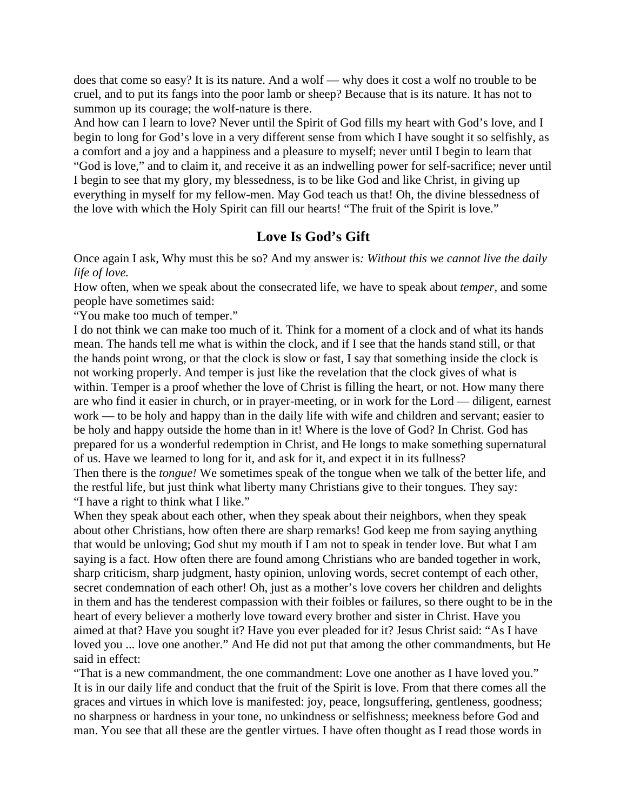does that come so easy? It is its nature. And a wolf — why does it cost a wolf no trouble to be cruel, and to put its fangs into the poor lamb or sheep? Because that is its nature. It has not to summon up its courage; the wolf-nature is there.

And how can I learn to love? Never until the Spirit of God fills my heart with God's love, and I begin to long for God's love in a very different sense from which I have sought it so selfishly, as a comfort and a joy and a happiness and a pleasure to myself; never until I begin to learn that "God is love," and to claim it, and receive it as an indwelling power for self-sacrifice; never until I begin to see that my glory, my blessedness, is to be like God and like Christ, in giving up everything in myself for my fellow-men. May God teach us that! Oh, the divine blessedness of the love with which the Holy Spirit can fill our hearts! "The fruit of the Spirit is love."

### **Love Is God's Gift**

Once again I ask, Why must this be so? And my answer is*: Without this we cannot live the daily life of love.*

How often, when we speak about the consecrated life, we have to speak about *temper*, and some people have sometimes said:

"You make too much of temper."

I do not think we can make too much of it. Think for a moment of a clock and of what its hands mean. The hands tell me what is within the clock, and if I see that the hands stand still, or that the hands point wrong, or that the clock is slow or fast, I say that something inside the clock is not working properly. And temper is just like the revelation that the clock gives of what is within. Temper is a proof whether the love of Christ is filling the heart, or not. How many there are who find it easier in church, or in prayer-meeting, or in work for the Lord — diligent, earnest work — to be holy and happy than in the daily life with wife and children and servant; easier to be holy and happy outside the home than in it! Where is the love of God? In Christ. God has prepared for us a wonderful redemption in Christ, and He longs to make something supernatural of us. Have we learned to long for it, and ask for it, and expect it in its fullness? Then there is the *tongue!* We sometimes speak of the tongue when we talk of the better life, and the restful life, but just think what liberty many Christians give to their tongues. They say:

"I have a right to think what I like."

When they speak about each other, when they speak about their neighbors, when they speak about other Christians, how often there are sharp remarks! God keep me from saying anything that would be unloving; God shut my mouth if I am not to speak in tender love. But what I am saying is a fact. How often there are found among Christians who are banded together in work, sharp criticism, sharp judgment, hasty opinion, unloving words, secret contempt of each other, secret condemnation of each other! Oh, just as a mother's love covers her children and delights in them and has the tenderest compassion with their foibles or failures, so there ought to be in the heart of every believer a motherly love toward every brother and sister in Christ. Have you aimed at that? Have you sought it? Have you ever pleaded for it? Jesus Christ said: "As I have loved you ... love one another." And He did not put that among the other commandments, but He said in effect:

"That is a new commandment, the one commandment: Love one another as I have loved you." It is in our daily life and conduct that the fruit of the Spirit is love. From that there comes all the graces and virtues in which love is manifested: joy, peace, longsuffering, gentleness, goodness; no sharpness or hardness in your tone, no unkindness or selfishness; meekness before God and man. You see that all these are the gentler virtues. I have often thought as I read those words in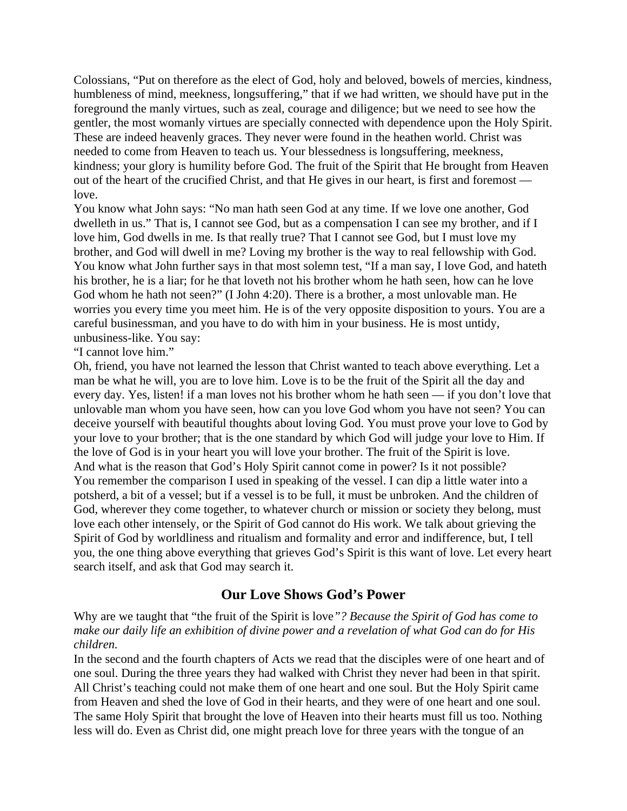Colossians, "Put on therefore as the elect of God, holy and beloved, bowels of mercies, kindness, humbleness of mind, meekness, longsuffering," that if we had written, we should have put in the foreground the manly virtues, such as zeal, courage and diligence; but we need to see how the gentler, the most womanly virtues are specially connected with dependence upon the Holy Spirit. These are indeed heavenly graces. They never were found in the heathen world. Christ was needed to come from Heaven to teach us. Your blessedness is longsuffering, meekness, kindness; your glory is humility before God. The fruit of the Spirit that He brought from Heaven out of the heart of the crucified Christ, and that He gives in our heart, is first and foremost love.

You know what John says: "No man hath seen God at any time. If we love one another, God dwelleth in us." That is, I cannot see God, but as a compensation I can see my brother, and if I love him, God dwells in me. Is that really true? That I cannot see God, but I must love my brother, and God will dwell in me? Loving my brother is the way to real fellowship with God. You know what John further says in that most solemn test, "If a man say, I love God, and hateth his brother, he is a liar; for he that loveth not his brother whom he hath seen, how can he love God whom he hath not seen?" (I John 4:20). There is a brother, a most unlovable man. He worries you every time you meet him. He is of the very opposite disposition to yours. You are a careful businessman, and you have to do with him in your business. He is most untidy, unbusiness-like. You say:

"I cannot love him."

Oh, friend, you have not learned the lesson that Christ wanted to teach above everything. Let a man be what he will, you are to love him. Love is to be the fruit of the Spirit all the day and every day. Yes, listen! if a man loves not his brother whom he hath seen — if you don't love that unlovable man whom you have seen, how can you love God whom you have not seen? You can deceive yourself with beautiful thoughts about loving God. You must prove your love to God by your love to your brother; that is the one standard by which God will judge your love to Him. If the love of God is in your heart you will love your brother. The fruit of the Spirit is love. And what is the reason that God's Holy Spirit cannot come in power? Is it not possible? You remember the comparison I used in speaking of the vessel. I can dip a little water into a potsherd, a bit of a vessel; but if a vessel is to be full, it must be unbroken. And the children of God, wherever they come together, to whatever church or mission or society they belong, must love each other intensely, or the Spirit of God cannot do His work. We talk about grieving the Spirit of God by worldliness and ritualism and formality and error and indifference, but, I tell you, the one thing above everything that grieves God's Spirit is this want of love. Let every heart search itself, and ask that God may search it.

## **Our Love Shows God's Power**

Why are we taught that "the fruit of the Spirit is love*"? Because the Spirit of God has come to make our daily life an exhibition of divine power and a revelation of what God can do for His children.*

In the second and the fourth chapters of Acts we read that the disciples were of one heart and of one soul. During the three years they had walked with Christ they never had been in that spirit. All Christ's teaching could not make them of one heart and one soul. But the Holy Spirit came from Heaven and shed the love of God in their hearts, and they were of one heart and one soul. The same Holy Spirit that brought the love of Heaven into their hearts must fill us too. Nothing less will do. Even as Christ did, one might preach love for three years with the tongue of an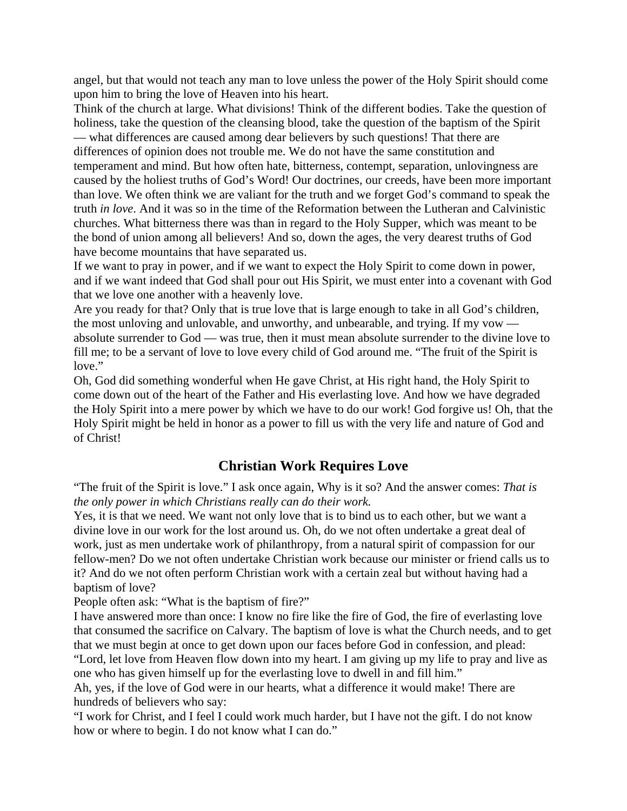angel, but that would not teach any man to love unless the power of the Holy Spirit should come upon him to bring the love of Heaven into his heart.

Think of the church at large. What divisions! Think of the different bodies. Take the question of holiness, take the question of the cleansing blood, take the question of the baptism of the Spirit — what differences are caused among dear believers by such questions! That there are differences of opinion does not trouble me. We do not have the same constitution and temperament and mind. But how often hate, bitterness, contempt, separation, unlovingness are caused by the holiest truths of God's Word! Our doctrines, our creeds, have been more important than love. We often think we are valiant for the truth and we forget God's command to speak the truth *in love*. And it was so in the time of the Reformation between the Lutheran and Calvinistic churches. What bitterness there was than in regard to the Holy Supper, which was meant to be the bond of union among all believers! And so, down the ages, the very dearest truths of God have become mountains that have separated us.

If we want to pray in power, and if we want to expect the Holy Spirit to come down in power, and if we want indeed that God shall pour out His Spirit, we must enter into a covenant with God that we love one another with a heavenly love.

Are you ready for that? Only that is true love that is large enough to take in all God's children, the most unloving and unlovable, and unworthy, and unbearable, and trying. If my vow absolute surrender to God — was true, then it must mean absolute surrender to the divine love to fill me; to be a servant of love to love every child of God around me. "The fruit of the Spirit is love."

Oh, God did something wonderful when He gave Christ, at His right hand, the Holy Spirit to come down out of the heart of the Father and His everlasting love. And how we have degraded the Holy Spirit into a mere power by which we have to do our work! God forgive us! Oh, that the Holy Spirit might be held in honor as a power to fill us with the very life and nature of God and of Christ!

## **Christian Work Requires Love**

"The fruit of the Spirit is love." I ask once again, Why is it so? And the answer comes: *That is the only power in which Christians really can do their work.*

Yes, it is that we need. We want not only love that is to bind us to each other, but we want a divine love in our work for the lost around us. Oh, do we not often undertake a great deal of work, just as men undertake work of philanthropy, from a natural spirit of compassion for our fellow-men? Do we not often undertake Christian work because our minister or friend calls us to it? And do we not often perform Christian work with a certain zeal but without having had a baptism of love?

People often ask: "What is the baptism of fire?"

I have answered more than once: I know no fire like the fire of God, the fire of everlasting love that consumed the sacrifice on Calvary. The baptism of love is what the Church needs, and to get that we must begin at once to get down upon our faces before God in confession, and plead: "Lord, let love from Heaven flow down into my heart. I am giving up my life to pray and live as one who has given himself up for the everlasting love to dwell in and fill him."

Ah, yes, if the love of God were in our hearts, what a difference it would make! There are hundreds of believers who say:

"I work for Christ, and I feel I could work much harder, but I have not the gift. I do not know how or where to begin. I do not know what I can do."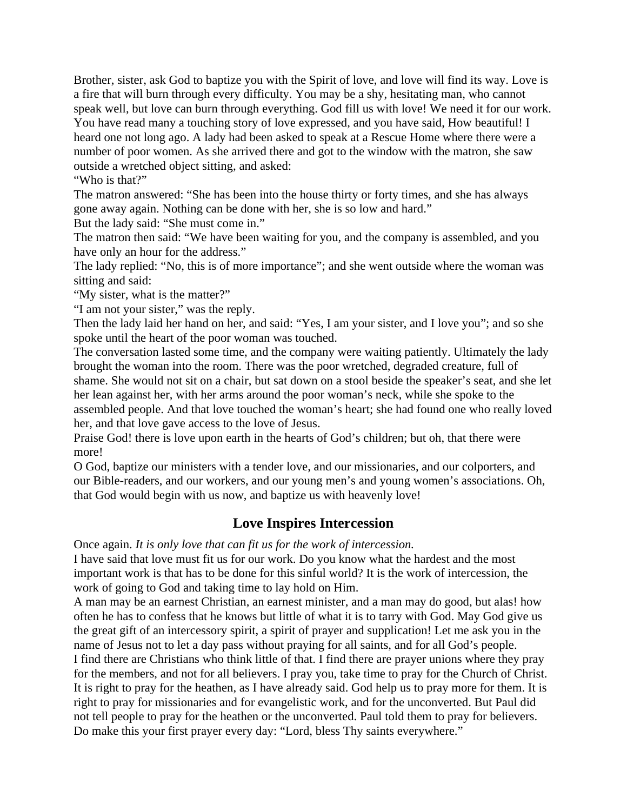Brother, sister, ask God to baptize you with the Spirit of love, and love will find its way. Love is a fire that will burn through every difficulty. You may be a shy, hesitating man, who cannot speak well, but love can burn through everything. God fill us with love! We need it for our work. You have read many a touching story of love expressed, and you have said, How beautiful! I heard one not long ago. A lady had been asked to speak at a Rescue Home where there were a number of poor women. As she arrived there and got to the window with the matron, she saw outside a wretched object sitting, and asked:

"Who is that?"

The matron answered: "She has been into the house thirty or forty times, and she has always gone away again. Nothing can be done with her, she is so low and hard."

But the lady said: "She must come in."

The matron then said: "We have been waiting for you, and the company is assembled, and you have only an hour for the address."

The lady replied: "No, this is of more importance"; and she went outside where the woman was sitting and said:

"My sister, what is the matter?"

"I am not your sister," was the reply.

Then the lady laid her hand on her, and said: "Yes, I am your sister, and I love you"; and so she spoke until the heart of the poor woman was touched.

The conversation lasted some time, and the company were waiting patiently. Ultimately the lady brought the woman into the room. There was the poor wretched, degraded creature, full of shame. She would not sit on a chair, but sat down on a stool beside the speaker's seat, and she let her lean against her, with her arms around the poor woman's neck, while she spoke to the assembled people. And that love touched the woman's heart; she had found one who really loved her, and that love gave access to the love of Jesus.

Praise God! there is love upon earth in the hearts of God's children; but oh, that there were more!

O God, baptize our ministers with a tender love, and our missionaries, and our colporters, and our Bible-readers, and our workers, and our young men's and young women's associations. Oh, that God would begin with us now, and baptize us with heavenly love!

## **Love Inspires Intercession**

Once again. *It is only love that can fit us for the work of intercession.*

I have said that love must fit us for our work. Do you know what the hardest and the most important work is that has to be done for this sinful world? It is the work of intercession, the work of going to God and taking time to lay hold on Him.

A man may be an earnest Christian, an earnest minister, and a man may do good, but alas! how often he has to confess that he knows but little of what it is to tarry with God. May God give us the great gift of an intercessory spirit, a spirit of prayer and supplication! Let me ask you in the name of Jesus not to let a day pass without praying for all saints, and for all God's people. I find there are Christians who think little of that. I find there are prayer unions where they pray for the members, and not for all believers. I pray you, take time to pray for the Church of Christ. It is right to pray for the heathen, as I have already said. God help us to pray more for them. It is right to pray for missionaries and for evangelistic work, and for the unconverted. But Paul did not tell people to pray for the heathen or the unconverted. Paul told them to pray for believers. Do make this your first prayer every day: "Lord, bless Thy saints everywhere."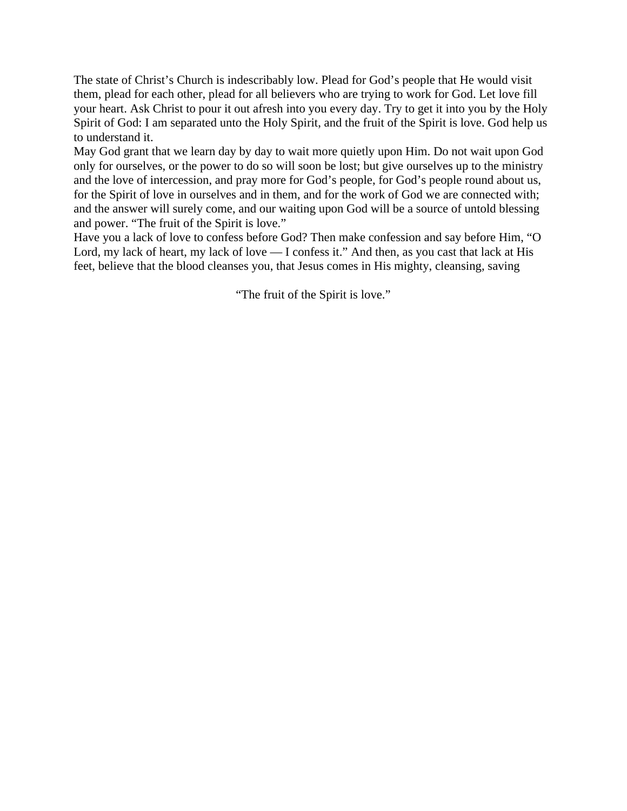The state of Christ's Church is indescribably low. Plead for God's people that He would visit them, plead for each other, plead for all believers who are trying to work for God. Let love fill your heart. Ask Christ to pour it out afresh into you every day. Try to get it into you by the Holy Spirit of God: I am separated unto the Holy Spirit, and the fruit of the Spirit is love. God help us to understand it.

May God grant that we learn day by day to wait more quietly upon Him. Do not wait upon God only for ourselves, or the power to do so will soon be lost; but give ourselves up to the ministry and the love of intercession, and pray more for God's people, for God's people round about us, for the Spirit of love in ourselves and in them, and for the work of God we are connected with; and the answer will surely come, and our waiting upon God will be a source of untold blessing and power. "The fruit of the Spirit is love."

Have you a lack of love to confess before God? Then make confession and say before Him, "O Lord, my lack of heart, my lack of love — I confess it." And then, as you cast that lack at His feet, believe that the blood cleanses you, that Jesus comes in His mighty, cleansing, saving

"The fruit of the Spirit is love."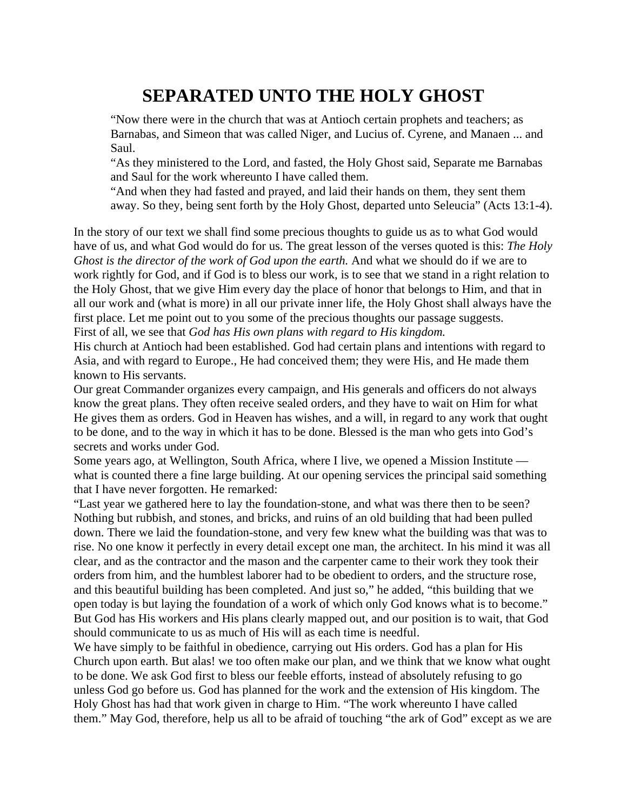## **SEPARATED UNTO THE HOLY GHOST**

"Now there were in the church that was at Antioch certain prophets and teachers; as Barnabas, and Simeon that was called Niger, and Lucius of. Cyrene, and Manaen ... and Saul.

"As they ministered to the Lord, and fasted, the Holy Ghost said, Separate me Barnabas and Saul for the work whereunto I have called them.

"And when they had fasted and prayed, and laid their hands on them, they sent them away. So they, being sent forth by the Holy Ghost, departed unto Seleucia" (Acts 13:1-4).

In the story of our text we shall find some precious thoughts to guide us as to what God would have of us, and what God would do for us. The great lesson of the verses quoted is this: *The Holy Ghost is the director of the work of God upon the earth.* And what we should do if we are to work rightly for God, and if God is to bless our work, is to see that we stand in a right relation to the Holy Ghost, that we give Him every day the place of honor that belongs to Him, and that in all our work and (what is more) in all our private inner life, the Holy Ghost shall always have the first place. Let me point out to you some of the precious thoughts our passage suggests. First of all, we see that *God has His own plans with regard to His kingdom.*

His church at Antioch had been established. God had certain plans and intentions with regard to Asia, and with regard to Europe., He had conceived them; they were His, and He made them known to His servants.

Our great Commander organizes every campaign, and His generals and officers do not always know the great plans. They often receive sealed orders, and they have to wait on Him for what He gives them as orders. God in Heaven has wishes, and a will, in regard to any work that ought to be done, and to the way in which it has to be done. Blessed is the man who gets into God's secrets and works under God.

Some years ago, at Wellington, South Africa, where I live, we opened a Mission Institute what is counted there a fine large building. At our opening services the principal said something that I have never forgotten. He remarked:

"Last year we gathered here to lay the foundation-stone, and what was there then to be seen? Nothing but rubbish, and stones, and bricks, and ruins of an old building that had been pulled down. There we laid the foundation-stone, and very few knew what the building was that was to rise. No one know it perfectly in every detail except one man, the architect. In his mind it was all clear, and as the contractor and the mason and the carpenter came to their work they took their orders from him, and the humblest laborer had to be obedient to orders, and the structure rose, and this beautiful building has been completed. And just so," he added, "this building that we open today is but laying the foundation of a work of which only God knows what is to become." But God has His workers and His plans clearly mapped out, and our position is to wait, that God should communicate to us as much of His will as each time is needful.

We have simply to be faithful in obedience, carrying out His orders. God has a plan for His Church upon earth. But alas! we too often make our plan, and we think that we know what ought to be done. We ask God first to bless our feeble efforts, instead of absolutely refusing to go unless God go before us. God has planned for the work and the extension of His kingdom. The Holy Ghost has had that work given in charge to Him. "The work whereunto I have called them." May God, therefore, help us all to be afraid of touching "the ark of God" except as we are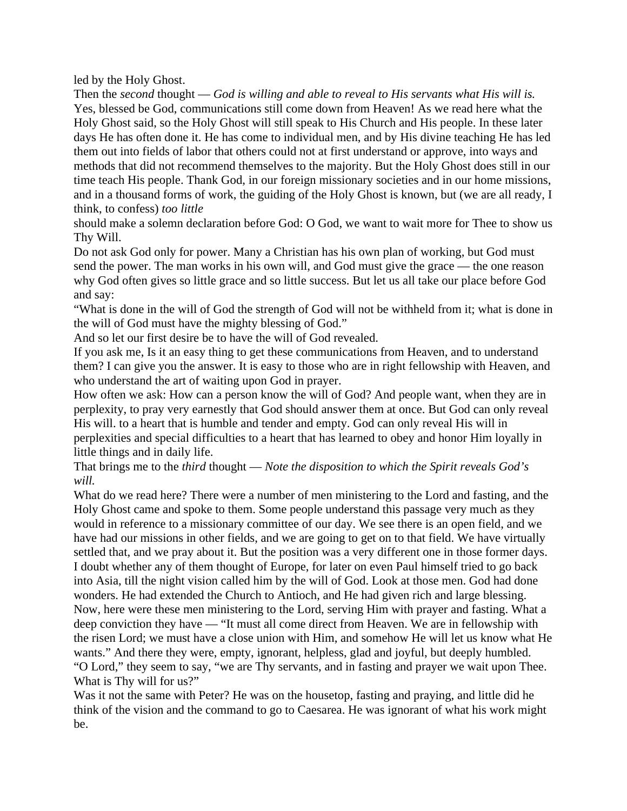led by the Holy Ghost.

Then the *second* thought — *God is willing and able to reveal to His servants what His will is.* Yes, blessed be God, communications still come down from Heaven! As we read here what the Holy Ghost said, so the Holy Ghost will still speak to His Church and His people. In these later days He has often done it. He has come to individual men, and by His divine teaching He has led them out into fields of labor that others could not at first understand or approve, into ways and methods that did not recommend themselves to the majority. But the Holy Ghost does still in our time teach His people. Thank God, in our foreign missionary societies and in our home missions, and in a thousand forms of work, the guiding of the Holy Ghost is known, but (we are all ready, I think, to confess) *too little*

should make a solemn declaration before God: O God, we want to wait more for Thee to show us Thy Will.

Do not ask God only for power. Many a Christian has his own plan of working, but God must send the power. The man works in his own will, and God must give the grace — the one reason why God often gives so little grace and so little success. But let us all take our place before God and say:

"What is done in the will of God the strength of God will not be withheld from it; what is done in the will of God must have the mighty blessing of God."

And so let our first desire be to have the will of God revealed.

If you ask me, Is it an easy thing to get these communications from Heaven, and to understand them? I can give you the answer. It is easy to those who are in right fellowship with Heaven, and who understand the art of waiting upon God in prayer.

How often we ask: How can a person know the will of God? And people want, when they are in perplexity, to pray very earnestly that God should answer them at once. But God can only reveal His will. to a heart that is humble and tender and empty. God can only reveal His will in perplexities and special difficulties to a heart that has learned to obey and honor Him loyally in little things and in daily life.

That brings me to the *third* thought — *Note the disposition to which the Spirit reveals God's will.*

What do we read here? There were a number of men ministering to the Lord and fasting, and the Holy Ghost came and spoke to them. Some people understand this passage very much as they would in reference to a missionary committee of our day. We see there is an open field, and we have had our missions in other fields, and we are going to get on to that field. We have virtually settled that, and we pray about it. But the position was a very different one in those former days. I doubt whether any of them thought of Europe, for later on even Paul himself tried to go back into Asia, till the night vision called him by the will of God. Look at those men. God had done wonders. He had extended the Church to Antioch, and He had given rich and large blessing. Now, here were these men ministering to the Lord, serving Him with prayer and fasting. What a deep conviction they have — "It must all come direct from Heaven. We are in fellowship with the risen Lord; we must have a close union with Him, and somehow He will let us know what He wants." And there they were, empty, ignorant, helpless, glad and joyful, but deeply humbled. "O Lord," they seem to say, "we are Thy servants, and in fasting and prayer we wait upon Thee. What is Thy will for us?"

Was it not the same with Peter? He was on the housetop, fasting and praying, and little did he think of the vision and the command to go to Caesarea. He was ignorant of what his work might be.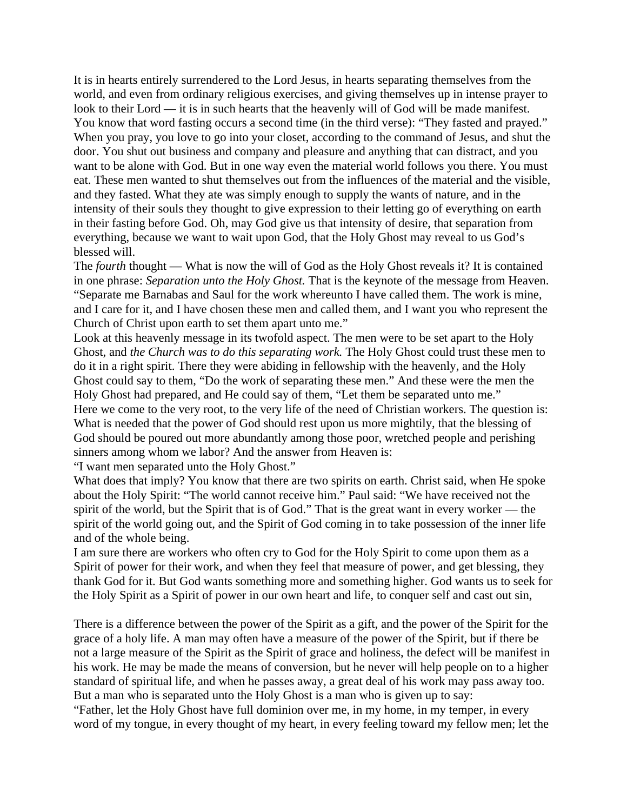It is in hearts entirely surrendered to the Lord Jesus, in hearts separating themselves from the world, and even from ordinary religious exercises, and giving themselves up in intense prayer to look to their Lord — it is in such hearts that the heavenly will of God will be made manifest. You know that word fasting occurs a second time (in the third verse): "They fasted and prayed." When you pray, you love to go into your closet, according to the command of Jesus, and shut the door. You shut out business and company and pleasure and anything that can distract, and you want to be alone with God. But in one way even the material world follows you there. You must eat. These men wanted to shut themselves out from the influences of the material and the visible, and they fasted. What they ate was simply enough to supply the wants of nature, and in the intensity of their souls they thought to give expression to their letting go of everything on earth in their fasting before God. Oh, may God give us that intensity of desire, that separation from everything, because we want to wait upon God, that the Holy Ghost may reveal to us God's blessed will.

The *fourth* thought — What is now the will of God as the Holy Ghost reveals it? It is contained in one phrase: *Separation unto the Holy Ghost.* That is the keynote of the message from Heaven. "Separate me Barnabas and Saul for the work whereunto I have called them. The work is mine, and I care for it, and I have chosen these men and called them, and I want you who represent the Church of Christ upon earth to set them apart unto me."

Look at this heavenly message in its twofold aspect. The men were to be set apart to the Holy Ghost, and *the Church was to do this separating work.* The Holy Ghost could trust these men to do it in a right spirit. There they were abiding in fellowship with the heavenly, and the Holy Ghost could say to them, "Do the work of separating these men." And these were the men the Holy Ghost had prepared, and He could say of them, "Let them be separated unto me." Here we come to the very root, to the very life of the need of Christian workers. The question is: What is needed that the power of God should rest upon us more mightily, that the blessing of God should be poured out more abundantly among those poor, wretched people and perishing sinners among whom we labor? And the answer from Heaven is:

"I want men separated unto the Holy Ghost."

What does that imply? You know that there are two spirits on earth. Christ said, when He spoke about the Holy Spirit: "The world cannot receive him." Paul said: "We have received not the spirit of the world, but the Spirit that is of God." That is the great want in every worker — the spirit of the world going out, and the Spirit of God coming in to take possession of the inner life and of the whole being.

I am sure there are workers who often cry to God for the Holy Spirit to come upon them as a Spirit of power for their work, and when they feel that measure of power, and get blessing, they thank God for it. But God wants something more and something higher. God wants us to seek for the Holy Spirit as a Spirit of power in our own heart and life, to conquer self and cast out sin,

There is a difference between the power of the Spirit as a gift, and the power of the Spirit for the grace of a holy life. A man may often have a measure of the power of the Spirit, but if there be not a large measure of the Spirit as the Spirit of grace and holiness, the defect will be manifest in his work. He may be made the means of conversion, but he never will help people on to a higher standard of spiritual life, and when he passes away, a great deal of his work may pass away too. But a man who is separated unto the Holy Ghost is a man who is given up to say:

"Father, let the Holy Ghost have full dominion over me, in my home, in my temper, in every word of my tongue, in every thought of my heart, in every feeling toward my fellow men; let the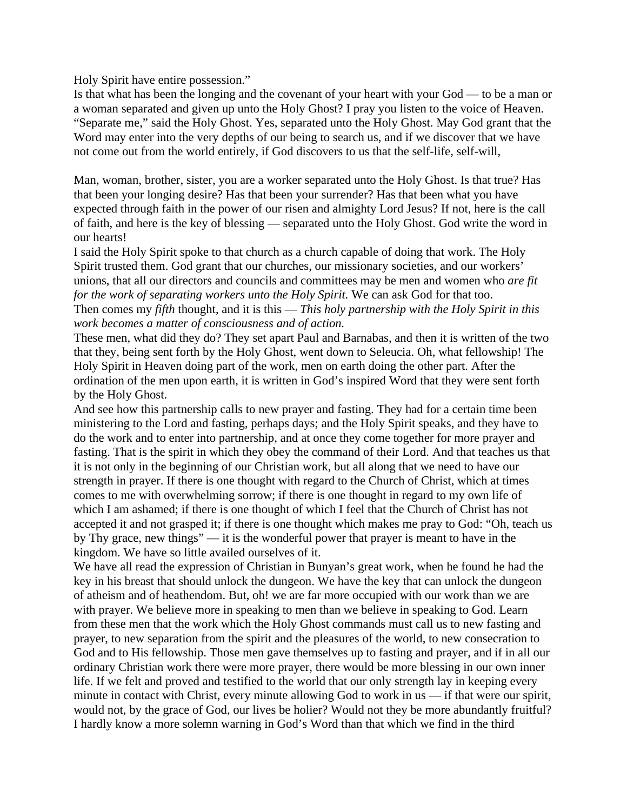Holy Spirit have entire possession."

Is that what has been the longing and the covenant of your heart with your God — to be a man or a woman separated and given up unto the Holy Ghost? I pray you listen to the voice of Heaven. "Separate me," said the Holy Ghost. Yes, separated unto the Holy Ghost. May God grant that the Word may enter into the very depths of our being to search us, and if we discover that we have not come out from the world entirely, if God discovers to us that the self-life, self-will,

Man, woman, brother, sister, you are a worker separated unto the Holy Ghost. Is that true? Has that been your longing desire? Has that been your surrender? Has that been what you have expected through faith in the power of our risen and almighty Lord Jesus? If not, here is the call of faith, and here is the key of blessing — separated unto the Holy Ghost. God write the word in our hearts!

I said the Holy Spirit spoke to that church as a church capable of doing that work. The Holy Spirit trusted them. God grant that our churches, our missionary societies, and our workers' unions, that all our directors and councils and committees may be men and women who *are fit for the work of separating workers unto the Holy Spirit.* We can ask God for that too. Then comes my *fifth* thought, and it is this — *This holy partnership with the Holy Spirit in this work becomes a matter of consciousness and of action.*

These men, what did they do? They set apart Paul and Barnabas, and then it is written of the two that they, being sent forth by the Holy Ghost, went down to Seleucia. Oh, what fellowship! The Holy Spirit in Heaven doing part of the work, men on earth doing the other part. After the ordination of the men upon earth, it is written in God's inspired Word that they were sent forth by the Holy Ghost.

And see how this partnership calls to new prayer and fasting. They had for a certain time been ministering to the Lord and fasting, perhaps days; and the Holy Spirit speaks, and they have to do the work and to enter into partnership, and at once they come together for more prayer and fasting. That is the spirit in which they obey the command of their Lord. And that teaches us that it is not only in the beginning of our Christian work, but all along that we need to have our strength in prayer. If there is one thought with regard to the Church of Christ, which at times comes to me with overwhelming sorrow; if there is one thought in regard to my own life of which I am ashamed; if there is one thought of which I feel that the Church of Christ has not accepted it and not grasped it; if there is one thought which makes me pray to God: "Oh, teach us by Thy grace, new things" — it is the wonderful power that prayer is meant to have in the kingdom. We have so little availed ourselves of it.

We have all read the expression of Christian in Bunyan's great work, when he found he had the key in his breast that should unlock the dungeon. We have the key that can unlock the dungeon of atheism and of heathendom. But, oh! we are far more occupied with our work than we are with prayer. We believe more in speaking to men than we believe in speaking to God. Learn from these men that the work which the Holy Ghost commands must call us to new fasting and prayer, to new separation from the spirit and the pleasures of the world, to new consecration to God and to His fellowship. Those men gave themselves up to fasting and prayer, and if in all our ordinary Christian work there were more prayer, there would be more blessing in our own inner life. If we felt and proved and testified to the world that our only strength lay in keeping every minute in contact with Christ, every minute allowing God to work in us — if that were our spirit, would not, by the grace of God, our lives be holier? Would not they be more abundantly fruitful? I hardly know a more solemn warning in God's Word than that which we find in the third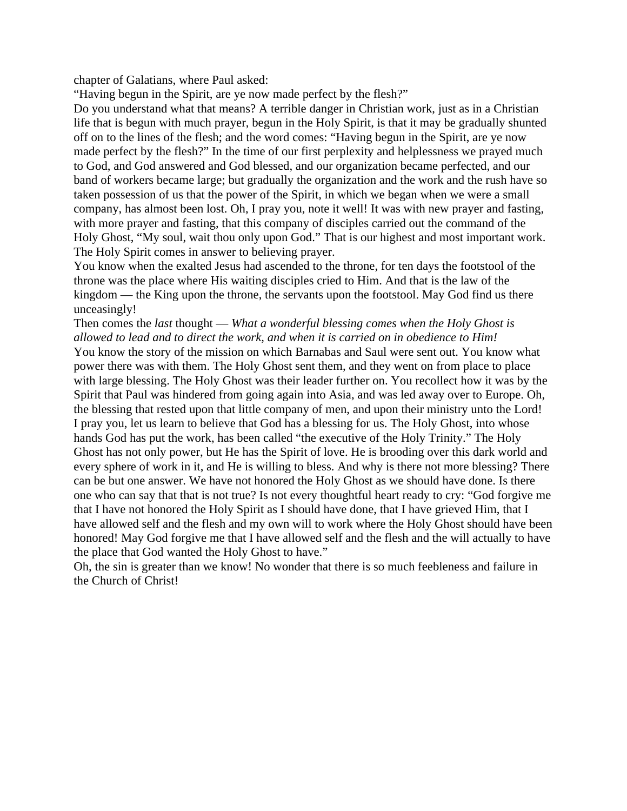chapter of Galatians, where Paul asked:

"Having begun in the Spirit, are ye now made perfect by the flesh?"

Do you understand what that means? A terrible danger in Christian work, just as in a Christian life that is begun with much prayer, begun in the Holy Spirit, is that it may be gradually shunted off on to the lines of the flesh; and the word comes: "Having begun in the Spirit, are ye now made perfect by the flesh?" In the time of our first perplexity and helplessness we prayed much to God, and God answered and God blessed, and our organization became perfected, and our band of workers became large; but gradually the organization and the work and the rush have so taken possession of us that the power of the Spirit, in which we began when we were a small company, has almost been lost. Oh, I pray you, note it well! It was with new prayer and fasting, with more prayer and fasting, that this company of disciples carried out the command of the Holy Ghost, "My soul, wait thou only upon God." That is our highest and most important work. The Holy Spirit comes in answer to believing prayer.

You know when the exalted Jesus had ascended to the throne, for ten days the footstool of the throne was the place where His waiting disciples cried to Him. And that is the law of the kingdom — the King upon the throne, the servants upon the footstool. May God find us there unceasingly!

Then comes the *last* thought — *What a wonderful blessing comes when the Holy Ghost is allowed to lead and to direct the work, and when it is carried on in obedience to Him!* You know the story of the mission on which Barnabas and Saul were sent out. You know what

power there was with them. The Holy Ghost sent them, and they went on from place to place with large blessing. The Holy Ghost was their leader further on. You recollect how it was by the Spirit that Paul was hindered from going again into Asia, and was led away over to Europe. Oh, the blessing that rested upon that little company of men, and upon their ministry unto the Lord! I pray you, let us learn to believe that God has a blessing for us. The Holy Ghost, into whose hands God has put the work, has been called "the executive of the Holy Trinity." The Holy Ghost has not only power, but He has the Spirit of love. He is brooding over this dark world and every sphere of work in it, and He is willing to bless. And why is there not more blessing? There can be but one answer. We have not honored the Holy Ghost as we should have done. Is there one who can say that that is not true? Is not every thoughtful heart ready to cry: "God forgive me that I have not honored the Holy Spirit as I should have done, that I have grieved Him, that I have allowed self and the flesh and my own will to work where the Holy Ghost should have been honored! May God forgive me that I have allowed self and the flesh and the will actually to have the place that God wanted the Holy Ghost to have."

Oh, the sin is greater than we know! No wonder that there is so much feebleness and failure in the Church of Christ!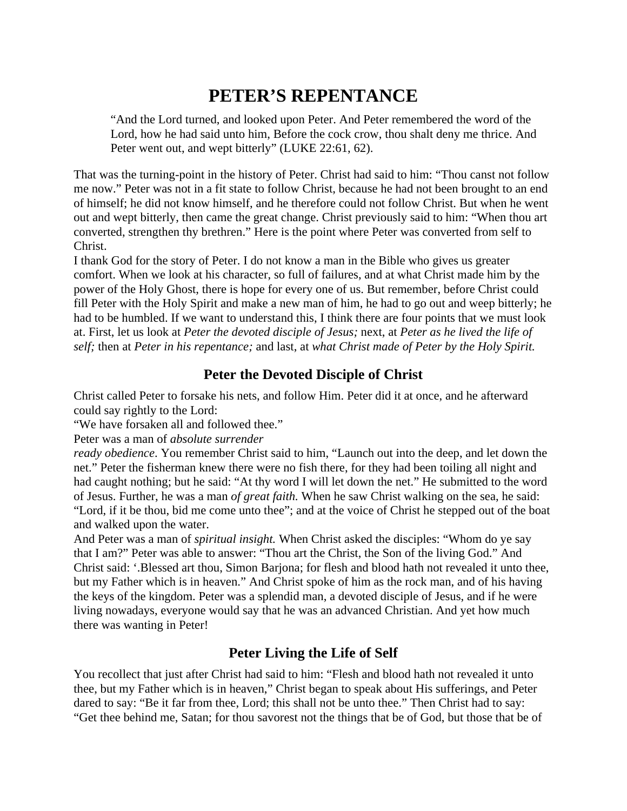## **PETER'S REPENTANCE**

"And the Lord turned, and looked upon Peter. And Peter remembered the word of the Lord, how he had said unto him, Before the cock crow, thou shalt deny me thrice. And Peter went out, and wept bitterly" (LUKE 22:61, 62).

That was the turning-point in the history of Peter. Christ had said to him: "Thou canst not follow me now." Peter was not in a fit state to follow Christ, because he had not been brought to an end of himself; he did not know himself, and he therefore could not follow Christ. But when he went out and wept bitterly, then came the great change. Christ previously said to him: "When thou art converted, strengthen thy brethren." Here is the point where Peter was converted from self to Christ.

I thank God for the story of Peter. I do not know a man in the Bible who gives us greater comfort. When we look at his character, so full of failures, and at what Christ made him by the power of the Holy Ghost, there is hope for every one of us. But remember, before Christ could fill Peter with the Holy Spirit and make a new man of him, he had to go out and weep bitterly; he had to be humbled. If we want to understand this, I think there are four points that we must look at. First, let us look at *Peter the devoted disciple of Jesus;* next, at *Peter as he lived the life of self;* then at *Peter in his repentance;* and last, at *what Christ made of Peter by the Holy Spirit.*

### **Peter the Devoted Disciple of Christ**

Christ called Peter to forsake his nets, and follow Him. Peter did it at once, and he afterward could say rightly to the Lord:

"We have forsaken all and followed thee."

Peter was a man of *absolute surrender*

*ready obedience*. You remember Christ said to him, "Launch out into the deep, and let down the net." Peter the fisherman knew there were no fish there, for they had been toiling all night and had caught nothing; but he said: "At thy word I will let down the net." He submitted to the word of Jesus. Further, he was a man *of great faith.* When he saw Christ walking on the sea, he said: "Lord, if it be thou, bid me come unto thee"; and at the voice of Christ he stepped out of the boat and walked upon the water.

And Peter was a man of *spiritual insight.* When Christ asked the disciples: "Whom do ye say that I am?" Peter was able to answer: "Thou art the Christ, the Son of the living God." And Christ said: '.Blessed art thou, Simon Barjona; for flesh and blood hath not revealed it unto thee, but my Father which is in heaven." And Christ spoke of him as the rock man, and of his having the keys of the kingdom. Peter was a splendid man, a devoted disciple of Jesus, and if he were living nowadays, everyone would say that he was an advanced Christian. And yet how much there was wanting in Peter!

## **Peter Living the Life of Self**

You recollect that just after Christ had said to him: "Flesh and blood hath not revealed it unto thee, but my Father which is in heaven," Christ began to speak about His sufferings, and Peter dared to say: "Be it far from thee, Lord; this shall not be unto thee." Then Christ had to say: "Get thee behind me, Satan; for thou savorest not the things that be of God, but those that be of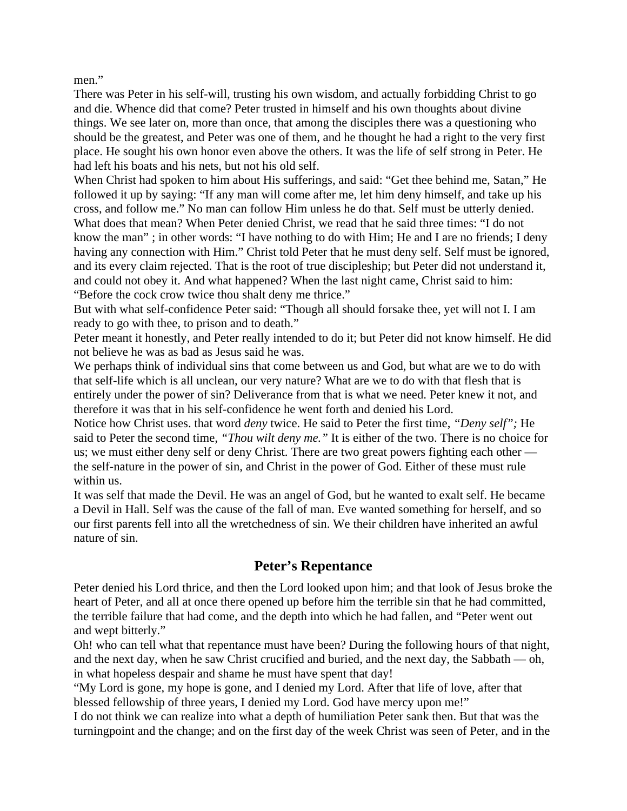men."

There was Peter in his self-will, trusting his own wisdom, and actually forbidding Christ to go and die. Whence did that come? Peter trusted in himself and his own thoughts about divine things. We see later on, more than once, that among the disciples there was a questioning who should be the greatest, and Peter was one of them, and he thought he had a right to the very first place. He sought his own honor even above the others. It was the life of self strong in Peter. He had left his boats and his nets, but not his old self.

When Christ had spoken to him about His sufferings, and said: "Get thee behind me, Satan," He followed it up by saying: "If any man will come after me, let him deny himself, and take up his cross, and follow me." No man can follow Him unless he do that. Self must be utterly denied. What does that mean? When Peter denied Christ, we read that he said three times: "I do not know the man" ; in other words: "I have nothing to do with Him; He and I are no friends; I deny having any connection with Him." Christ told Peter that he must deny self. Self must be ignored, and its every claim rejected. That is the root of true discipleship; but Peter did not understand it, and could not obey it. And what happened? When the last night came, Christ said to him: "Before the cock crow twice thou shalt deny me thrice."

But with what self-confidence Peter said: "Though all should forsake thee, yet will not I. I am ready to go with thee, to prison and to death."

Peter meant it honestly, and Peter really intended to do it; but Peter did not know himself. He did not believe he was as bad as Jesus said he was.

We perhaps think of individual sins that come between us and God, but what are we to do with that self-life which is all unclean, our very nature? What are we to do with that flesh that is entirely under the power of sin? Deliverance from that is what we need. Peter knew it not, and therefore it was that in his self-confidence he went forth and denied his Lord.

Notice how Christ uses. that word *deny* twice. He said to Peter the first time, *"Deny self";* He said to Peter the second time*, "Thou wilt deny me."* It is either of the two. There is no choice for us; we must either deny self or deny Christ. There are two great powers fighting each other the self-nature in the power of sin, and Christ in the power of God. Either of these must rule within us.

It was self that made the Devil. He was an angel of God, but he wanted to exalt self. He became a Devil in Hall. Self was the cause of the fall of man. Eve wanted something for herself, and so our first parents fell into all the wretchedness of sin. We their children have inherited an awful nature of sin.

## **Peter's Repentance**

Peter denied his Lord thrice, and then the Lord looked upon him; and that look of Jesus broke the heart of Peter, and all at once there opened up before him the terrible sin that he had committed, the terrible failure that had come, and the depth into which he had fallen, and "Peter went out and wept bitterly."

Oh! who can tell what that repentance must have been? During the following hours of that night, and the next day, when he saw Christ crucified and buried, and the next day, the Sabbath — oh, in what hopeless despair and shame he must have spent that day!

"My Lord is gone, my hope is gone, and I denied my Lord. After that life of love, after that blessed fellowship of three years, I denied my Lord. God have mercy upon me!"

I do not think we can realize into what a depth of humiliation Peter sank then. But that was the turningpoint and the change; and on the first day of the week Christ was seen of Peter, and in the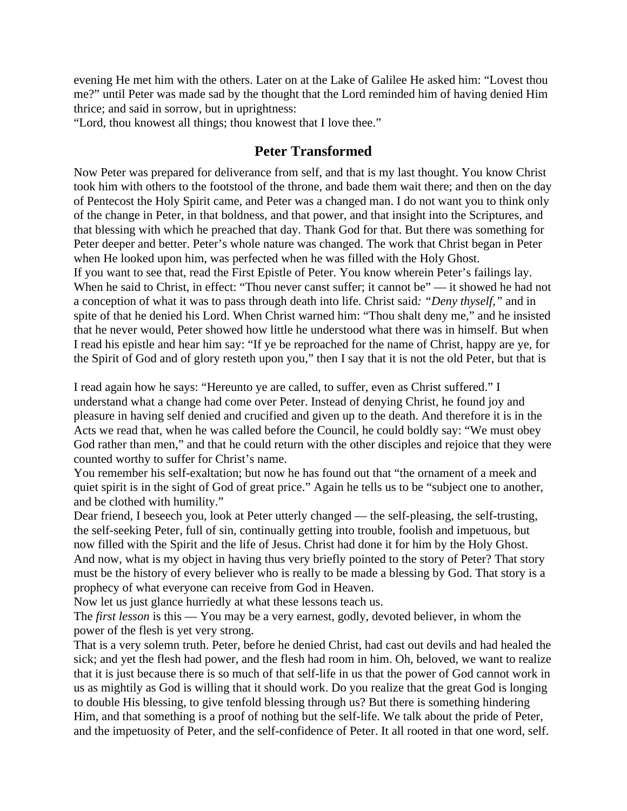evening He met him with the others. Later on at the Lake of Galilee He asked him: "Lovest thou me?" until Peter was made sad by the thought that the Lord reminded him of having denied Him thrice; and said in sorrow, but in uprightness:

"Lord, thou knowest all things; thou knowest that I love thee."

## **Peter Transformed**

Now Peter was prepared for deliverance from self, and that is my last thought. You know Christ took him with others to the footstool of the throne, and bade them wait there; and then on the day of Pentecost the Holy Spirit came, and Peter was a changed man. I do not want you to think only of the change in Peter, in that boldness, and that power, and that insight into the Scriptures, and that blessing with which he preached that day. Thank God for that. But there was something for Peter deeper and better. Peter's whole nature was changed. The work that Christ began in Peter when He looked upon him, was perfected when he was filled with the Holy Ghost. If you want to see that, read the First Epistle of Peter. You know wherein Peter's failings lay. When he said to Christ, in effect: "Thou never canst suffer; it cannot be" — it showed he had not a conception of what it was to pass through death into life. Christ said*: "Deny thyself,"* and in spite of that he denied his Lord. When Christ warned him: "Thou shalt deny me," and he insisted that he never would, Peter showed how little he understood what there was in himself. But when I read his epistle and hear him say: "If ye be reproached for the name of Christ, happy are ye, for the Spirit of God and of glory resteth upon you," then I say that it is not the old Peter, but that is

I read again how he says: "Hereunto ye are called, to suffer, even as Christ suffered." I understand what a change had come over Peter. Instead of denying Christ, he found joy and pleasure in having self denied and crucified and given up to the death. And therefore it is in the Acts we read that, when he was called before the Council, he could boldly say: "We must obey God rather than men," and that he could return with the other disciples and rejoice that they were counted worthy to suffer for Christ's name.

You remember his self-exaltation; but now he has found out that "the ornament of a meek and quiet spirit is in the sight of God of great price." Again he tells us to be "subject one to another, and be clothed with humility."

Dear friend, I beseech you, look at Peter utterly changed — the self-pleasing, the self-trusting, the self-seeking Peter, full of sin, continually getting into trouble, foolish and impetuous, but now filled with the Spirit and the life of Jesus. Christ had done it for him by the Holy Ghost. And now, what is my object in having thus very briefly pointed to the story of Peter? That story must be the history of every believer who is really to be made a blessing by God. That story is a prophecy of what everyone can receive from God in Heaven.

Now let us just glance hurriedly at what these lessons teach us.

The *first lesson* is this — You may be a very earnest, godly, devoted believer, in whom the power of the flesh is yet very strong.

That is a very solemn truth. Peter, before he denied Christ, had cast out devils and had healed the sick; and yet the flesh had power, and the flesh had room in him. Oh, beloved, we want to realize that it is just because there is so much of that self-life in us that the power of God cannot work in us as mightily as God is willing that it should work. Do you realize that the great God is longing to double His blessing, to give tenfold blessing through us? But there is something hindering Him, and that something is a proof of nothing but the self-life. We talk about the pride of Peter, and the impetuosity of Peter, and the self-confidence of Peter. It all rooted in that one word, self.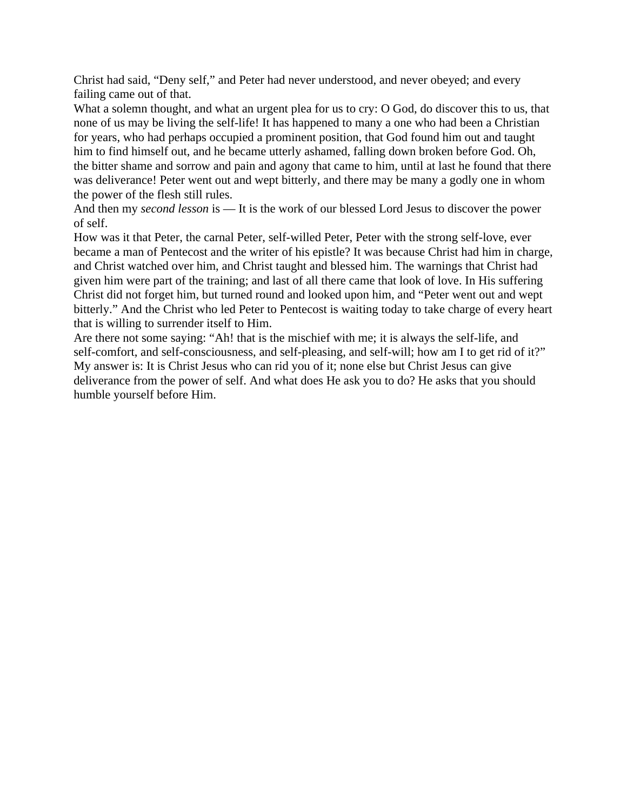Christ had said, "Deny self," and Peter had never understood, and never obeyed; and every failing came out of that.

What a solemn thought, and what an urgent plea for us to cry: O God, do discover this to us, that none of us may be living the self-life! It has happened to many a one who had been a Christian for years, who had perhaps occupied a prominent position, that God found him out and taught him to find himself out, and he became utterly ashamed, falling down broken before God. Oh, the bitter shame and sorrow and pain and agony that came to him, until at last he found that there was deliverance! Peter went out and wept bitterly, and there may be many a godly one in whom the power of the flesh still rules.

And then my *second lesson* is — It is the work of our blessed Lord Jesus to discover the power of self.

How was it that Peter, the carnal Peter, self-willed Peter, Peter with the strong self-love, ever became a man of Pentecost and the writer of his epistle? It was because Christ had him in charge, and Christ watched over him, and Christ taught and blessed him. The warnings that Christ had given him were part of the training; and last of all there came that look of love. In His suffering Christ did not forget him, but turned round and looked upon him, and "Peter went out and wept bitterly." And the Christ who led Peter to Pentecost is waiting today to take charge of every heart that is willing to surrender itself to Him.

Are there not some saying: "Ah! that is the mischief with me; it is always the self-life, and self-comfort, and self-consciousness, and self-pleasing, and self-will; how am I to get rid of it?" My answer is: It is Christ Jesus who can rid you of it; none else but Christ Jesus can give deliverance from the power of self. And what does He ask you to do? He asks that you should humble yourself before Him.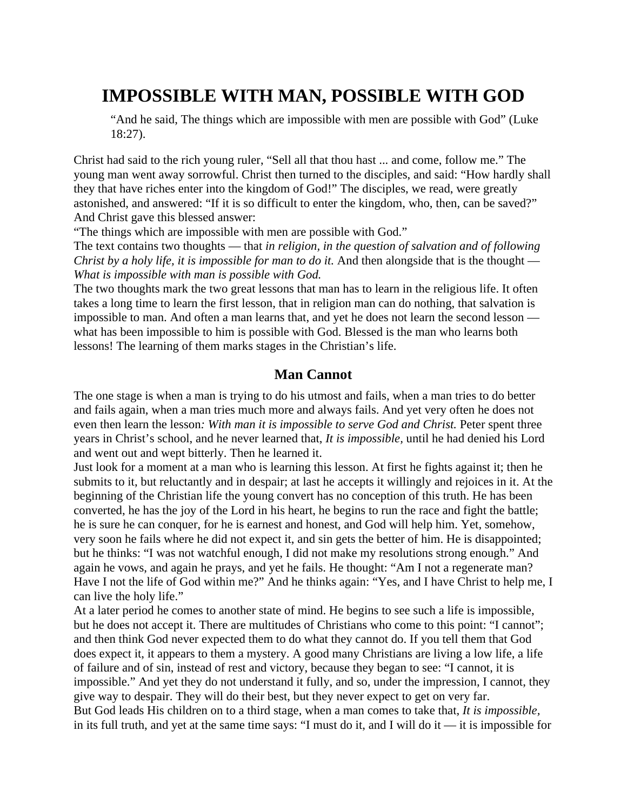## **IMPOSSIBLE WITH MAN, POSSIBLE WITH GOD**

"And he said, The things which are impossible with men are possible with God" (Luke 18:27).

Christ had said to the rich young ruler, "Sell all that thou hast ... and come, follow me." The young man went away sorrowful. Christ then turned to the disciples, and said: "How hardly shall they that have riches enter into the kingdom of God!" The disciples, we read, were greatly astonished, and answered: "If it is so difficult to enter the kingdom, who, then, can be saved?" And Christ gave this blessed answer:

"The things which are impossible with men are possible with God."

The text contains two thoughts — that *in religion, in the question of salvation and of following Christ by a holy life, it is impossible for man to do it.* And then alongside that is the thought — *What is impossible with man is possible with God.*

The two thoughts mark the two great lessons that man has to learn in the religious life. It often takes a long time to learn the first lesson, that in religion man can do nothing, that salvation is impossible to man. And often a man learns that, and yet he does not learn the second lesson what has been impossible to him is possible with God. Blessed is the man who learns both lessons! The learning of them marks stages in the Christian's life.

#### **Man Cannot**

The one stage is when a man is trying to do his utmost and fails, when a man tries to do better and fails again, when a man tries much more and always fails. And yet very often he does not even then learn the lesson*: With man it is impossible to serve God and Christ.* Peter spent three years in Christ's school, and he never learned that, *It is impossible,* until he had denied his Lord and went out and wept bitterly. Then he learned it.

Just look for a moment at a man who is learning this lesson. At first he fights against it; then he submits to it, but reluctantly and in despair; at last he accepts it willingly and rejoices in it. At the beginning of the Christian life the young convert has no conception of this truth. He has been converted, he has the joy of the Lord in his heart, he begins to run the race and fight the battle; he is sure he can conquer, for he is earnest and honest, and God will help him. Yet, somehow, very soon he fails where he did not expect it, and sin gets the better of him. He is disappointed; but he thinks: "I was not watchful enough, I did not make my resolutions strong enough." And again he vows, and again he prays, and yet he fails. He thought: "Am I not a regenerate man? Have I not the life of God within me?" And he thinks again: "Yes, and I have Christ to help me, I can live the holy life."

At a later period he comes to another state of mind. He begins to see such a life is impossible, but he does not accept it. There are multitudes of Christians who come to this point: "I cannot"; and then think God never expected them to do what they cannot do. If you tell them that God does expect it, it appears to them a mystery. A good many Christians are living a low life, a life of failure and of sin, instead of rest and victory, because they began to see: "I cannot, it is impossible." And yet they do not understand it fully, and so, under the impression, I cannot, they give way to despair. They will do their best, but they never expect to get on very far. But God leads His children on to a third stage, when a man comes to take that, *It is impossible,* in its full truth, and yet at the same time says: "I must do it, and I will do it — it is impossible for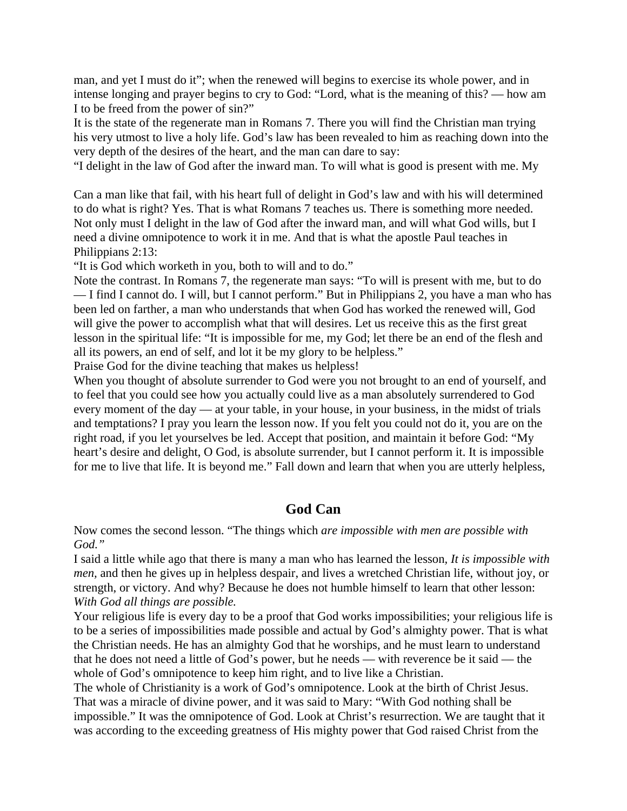man, and yet I must do it"; when the renewed will begins to exercise its whole power, and in intense longing and prayer begins to cry to God: "Lord, what is the meaning of this? — how am I to be freed from the power of sin?"

It is the state of the regenerate man in Romans 7. There you will find the Christian man trying his very utmost to live a holy life. God's law has been revealed to him as reaching down into the very depth of the desires of the heart, and the man can dare to say:

"I delight in the law of God after the inward man. To will what is good is present with me. My

Can a man like that fail, with his heart full of delight in God's law and with his will determined to do what is right? Yes. That is what Romans 7 teaches us. There is something more needed. Not only must I delight in the law of God after the inward man, and will what God wills, but I need a divine omnipotence to work it in me. And that is what the apostle Paul teaches in Philippians 2:13:

"It is God which worketh in you, both to will and to do."

Note the contrast. In Romans 7, the regenerate man says: "To will is present with me, but to do — I find I cannot do. I will, but I cannot perform." But in Philippians 2, you have a man who has been led on farther, a man who understands that when God has worked the renewed will, God will give the power to accomplish what that will desires. Let us receive this as the first great lesson in the spiritual life: "It is impossible for me, my God; let there be an end of the flesh and all its powers, an end of self, and lot it be my glory to be helpless."

Praise God for the divine teaching that makes us helpless!

When you thought of absolute surrender to God were you not brought to an end of yourself, and to feel that you could see how you actually could live as a man absolutely surrendered to God every moment of the day — at your table, in your house, in your business, in the midst of trials and temptations? I pray you learn the lesson now. If you felt you could not do it, you are on the right road, if you let yourselves be led. Accept that position, and maintain it before God: "My heart's desire and delight, O God, is absolute surrender, but I cannot perform it. It is impossible for me to live that life. It is beyond me." Fall down and learn that when you are utterly helpless,

## **God Can**

Now comes the second lesson. "The things which *are impossible with men are possible with God."*

I said a little while ago that there is many a man who has learned the lesson*, It is impossible with men,* and then he gives up in helpless despair, and lives a wretched Christian life, without joy, or strength, or victory. And why? Because he does not humble himself to learn that other lesson: *With God all things are possible.*

Your religious life is every day to be a proof that God works impossibilities; your religious life is to be a series of impossibilities made possible and actual by God's almighty power. That is what the Christian needs. He has an almighty God that he worships, and he must learn to understand that he does not need a little of God's power, but he needs — with reverence be it said — the whole of God's omnipotence to keep him right, and to live like a Christian.

The whole of Christianity is a work of God's omnipotence. Look at the birth of Christ Jesus. That was a miracle of divine power, and it was said to Mary: "With God nothing shall be impossible." It was the omnipotence of God. Look at Christ's resurrection. We are taught that it was according to the exceeding greatness of His mighty power that God raised Christ from the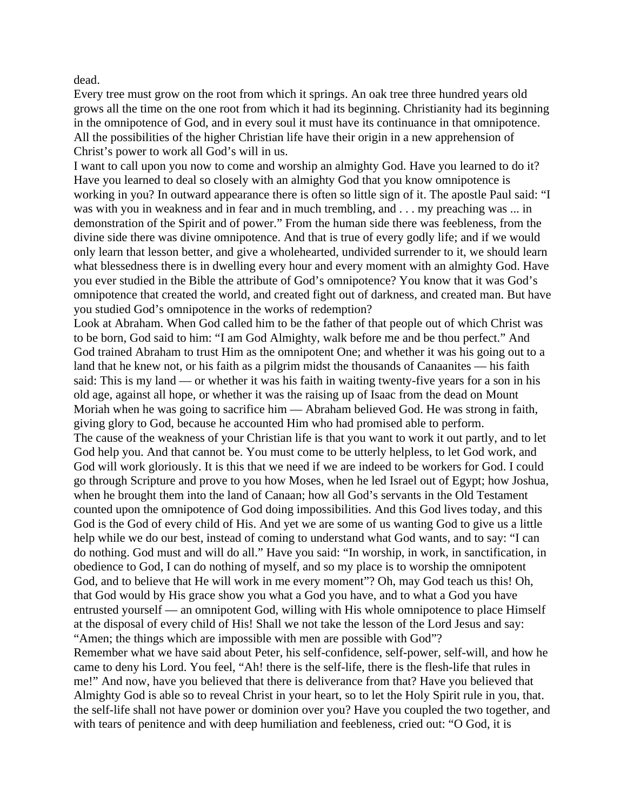dead.

Every tree must grow on the root from which it springs. An oak tree three hundred years old grows all the time on the one root from which it had its beginning. Christianity had its beginning in the omnipotence of God, and in every soul it must have its continuance in that omnipotence. All the possibilities of the higher Christian life have their origin in a new apprehension of Christ's power to work all God's will in us.

I want to call upon you now to come and worship an almighty God. Have you learned to do it? Have you learned to deal so closely with an almighty God that you know omnipotence is working in you? In outward appearance there is often so little sign of it. The apostle Paul said: "I was with you in weakness and in fear and in much trembling, and . . . my preaching was ... in demonstration of the Spirit and of power." From the human side there was feebleness, from the divine side there was divine omnipotence. And that is true of every godly life; and if we would only learn that lesson better, and give a wholehearted, undivided surrender to it, we should learn what blessedness there is in dwelling every hour and every moment with an almighty God. Have you ever studied in the Bible the attribute of God's omnipotence? You know that it was God's omnipotence that created the world, and created fight out of darkness, and created man. But have you studied God's omnipotence in the works of redemption?

Look at Abraham. When God called him to be the father of that people out of which Christ was to be born, God said to him: "I am God Almighty, walk before me and be thou perfect." And God trained Abraham to trust Him as the omnipotent One; and whether it was his going out to a land that he knew not, or his faith as a pilgrim midst the thousands of Canaanites — his faith said: This is my land — or whether it was his faith in waiting twenty-five years for a son in his old age, against all hope, or whether it was the raising up of Isaac from the dead on Mount Moriah when he was going to sacrifice him — Abraham believed God. He was strong in faith, giving glory to God, because he accounted Him who had promised able to perform. The cause of the weakness of your Christian life is that you want to work it out partly, and to let God help you. And that cannot be. You must come to be utterly helpless, to let God work, and God will work gloriously. It is this that we need if we are indeed to be workers for God. I could go through Scripture and prove to you how Moses, when he led Israel out of Egypt; how Joshua, when he brought them into the land of Canaan; how all God's servants in the Old Testament counted upon the omnipotence of God doing impossibilities. And this God lives today, and this God is the God of every child of His. And yet we are some of us wanting God to give us a little help while we do our best, instead of coming to understand what God wants, and to say: "I can do nothing. God must and will do all." Have you said: "In worship, in work, in sanctification, in obedience to God, I can do nothing of myself, and so my place is to worship the omnipotent God, and to believe that He will work in me every moment"? Oh, may God teach us this! Oh, that God would by His grace show you what a God you have, and to what a God you have entrusted yourself — an omnipotent God, willing with His whole omnipotence to place Himself at the disposal of every child of His! Shall we not take the lesson of the Lord Jesus and say: "Amen; the things which are impossible with men are possible with God"?

Remember what we have said about Peter, his self-confidence, self-power, self-will, and how he came to deny his Lord. You feel, "Ah! there is the self-life, there is the flesh-life that rules in me!" And now, have you believed that there is deliverance from that? Have you believed that Almighty God is able so to reveal Christ in your heart, so to let the Holy Spirit rule in you, that. the self-life shall not have power or dominion over you? Have you coupled the two together, and with tears of penitence and with deep humiliation and feebleness, cried out: "O God, it is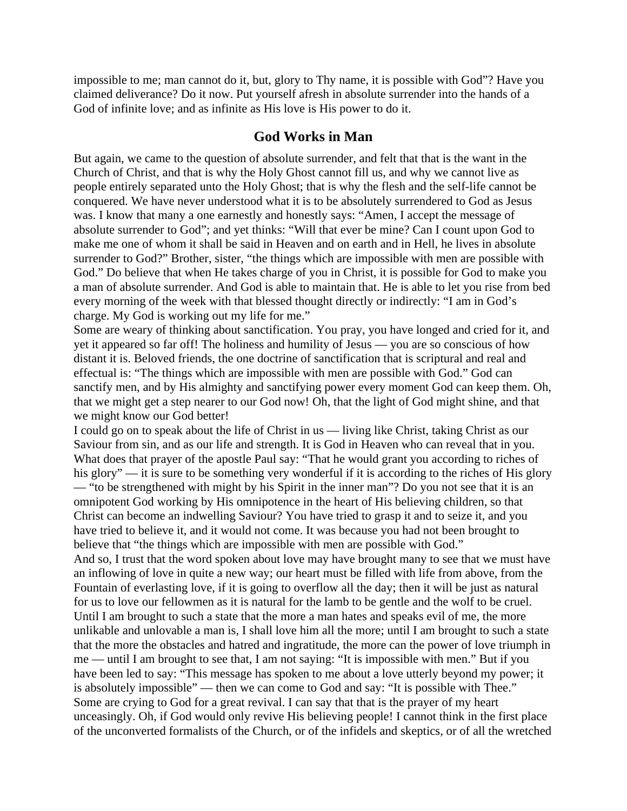impossible to me; man cannot do it, but, glory to Thy name, it is possible with God"? Have you claimed deliverance? Do it now. Put yourself afresh in absolute surrender into the hands of a God of infinite love; and as infinite as His love is His power to do it.

#### **God Works in Man**

But again, we came to the question of absolute surrender, and felt that that is the want in the Church of Christ, and that is why the Holy Ghost cannot fill us, and why we cannot live as people entirely separated unto the Holy Ghost; that is why the flesh and the self-life cannot be conquered. We have never understood what it is to be absolutely surrendered to God as Jesus was. I know that many a one earnestly and honestly says: "Amen, I accept the message of absolute surrender to God"; and yet thinks: "Will that ever be mine? Can I count upon God to make me one of whom it shall be said in Heaven and on earth and in Hell, he lives in absolute surrender to God?" Brother, sister, "the things which are impossible with men are possible with God." Do believe that when He takes charge of you in Christ, it is possible for God to make you a man of absolute surrender. And God is able to maintain that. He is able to let you rise from bed every morning of the week with that blessed thought directly or indirectly: "I am in God's charge. My God is working out my life for me."

Some are weary of thinking about sanctification. You pray, you have longed and cried for it, and yet it appeared so far off! The holiness and humility of Jesus — you are so conscious of how distant it is. Beloved friends, the one doctrine of sanctification that is scriptural and real and effectual is: "The things which are impossible with men are possible with God." God can sanctify men, and by His almighty and sanctifying power every moment God can keep them. Oh, that we might get a step nearer to our God now! Oh, that the light of God might shine, and that we might know our God better!

I could go on to speak about the life of Christ in us — living like Christ, taking Christ as our Saviour from sin, and as our life and strength. It is God in Heaven who can reveal that in you. What does that prayer of the apostle Paul say: "That he would grant you according to riches of his glory" — it is sure to be something very wonderful if it is according to the riches of His glory — "to be strengthened with might by his Spirit in the inner man"? Do you not see that it is an omnipotent God working by His omnipotence in the heart of His believing children, so that Christ can become an indwelling Saviour? You have tried to grasp it and to seize it, and you have tried to believe it, and it would not come. It was because you had not been brought to believe that "the things which are impossible with men are possible with God."

And so, I trust that the word spoken about love may have brought many to see that we must have an inflowing of love in quite a new way; our heart must be filled with life from above, from the Fountain of everlasting love, if it is going to overflow all the day; then it will be just as natural for us to love our fellowmen as it is natural for the lamb to be gentle and the wolf to be cruel. Until I am brought to such a state that the more a man hates and speaks evil of me, the more unlikable and unlovable a man is, I shall love him all the more; until I am brought to such a state that the more the obstacles and hatred and ingratitude, the more can the power of love triumph in me — until I am brought to see that, I am not saying: "It is impossible with men." But if you have been led to say: "This message has spoken to me about a love utterly beyond my power; it is absolutely impossible" — then we can come to God and say: "It is possible with Thee." Some are crying to God for a great revival. I can say that that is the prayer of my heart unceasingly. Oh, if God would only revive His believing people! I cannot think in the first place of the unconverted formalists of the Church, or of the infidels and skeptics, or of all the wretched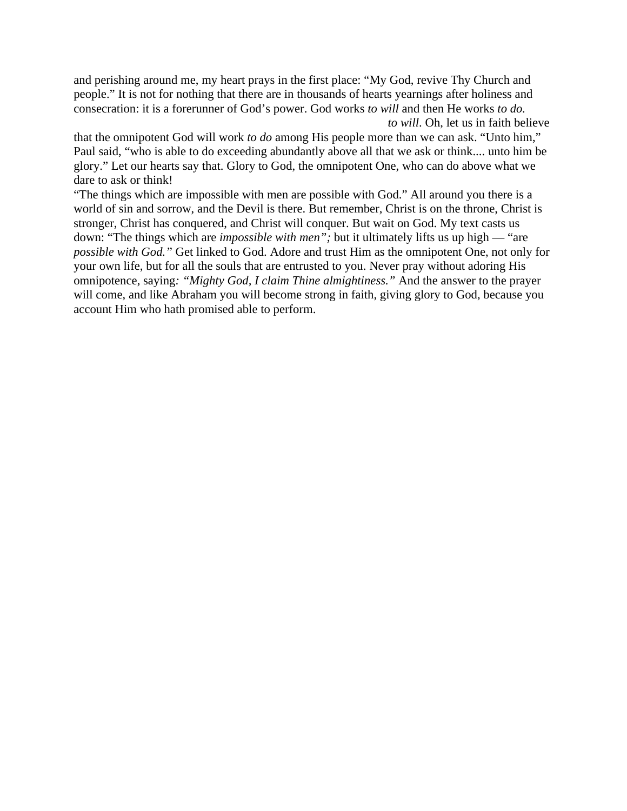and perishing around me, my heart prays in the first place: "My God, revive Thy Church and people." It is not for nothing that there are in thousands of hearts yearnings after holiness and consecration: it is a forerunner of God's power. God works *to will* and then He works *to do. to will*. Oh, let us in faith believe

that the omnipotent God will work *to do* among His people more than we can ask. "Unto him," Paul said, "who is able to do exceeding abundantly above all that we ask or think.... unto him be glory." Let our hearts say that. Glory to God, the omnipotent One, who can do above what we dare to ask or think!

"The things which are impossible with men are possible with God." All around you there is a world of sin and sorrow, and the Devil is there. But remember, Christ is on the throne, Christ is stronger, Christ has conquered, and Christ will conquer. But wait on God. My text casts us down: "The things which are *impossible with men*"; but it ultimately lifts us up high — "are *possible with God."* Get linked to God. Adore and trust Him as the omnipotent One, not only for your own life, but for all the souls that are entrusted to you. Never pray without adoring His omnipotence, saying*: "Mighty God, I claim Thine almightiness."* And the answer to the prayer will come, and like Abraham you will become strong in faith, giving glory to God, because you account Him who hath promised able to perform.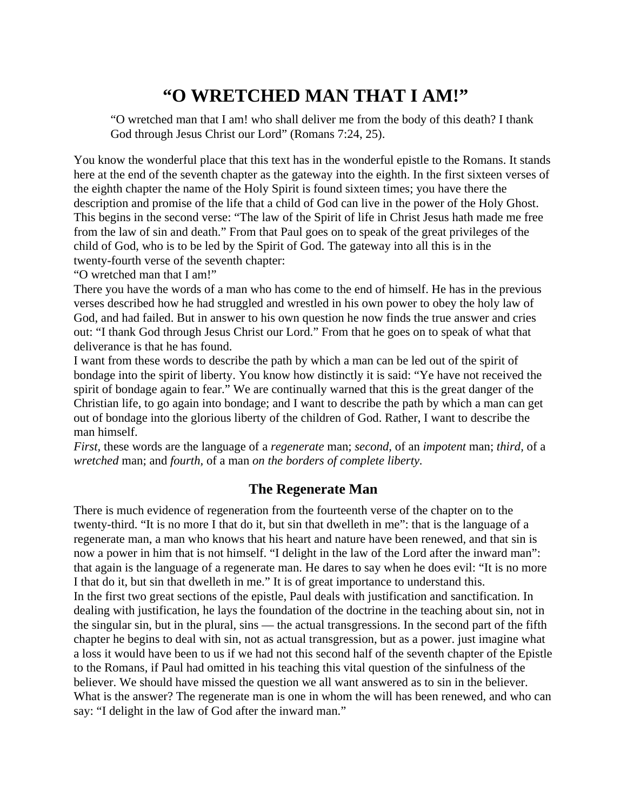## **"O WRETCHED MAN THAT I AM!"**

"O wretched man that I am! who shall deliver me from the body of this death? I thank God through Jesus Christ our Lord" (Romans 7:24, 25).

You know the wonderful place that this text has in the wonderful epistle to the Romans. It stands here at the end of the seventh chapter as the gateway into the eighth. In the first sixteen verses of the eighth chapter the name of the Holy Spirit is found sixteen times; you have there the description and promise of the life that a child of God can live in the power of the Holy Ghost. This begins in the second verse: "The law of the Spirit of life in Christ Jesus hath made me free from the law of sin and death." From that Paul goes on to speak of the great privileges of the child of God, who is to be led by the Spirit of God. The gateway into all this is in the twenty-fourth verse of the seventh chapter:

"O wretched man that I am!"

There you have the words of a man who has come to the end of himself. He has in the previous verses described how he had struggled and wrestled in his own power to obey the holy law of God, and had failed. But in answer to his own question he now finds the true answer and cries out: "I thank God through Jesus Christ our Lord." From that he goes on to speak of what that deliverance is that he has found.

I want from these words to describe the path by which a man can be led out of the spirit of bondage into the spirit of liberty. You know how distinctly it is said: "Ye have not received the spirit of bondage again to fear." We are continually warned that this is the great danger of the Christian life, to go again into bondage; and I want to describe the path by which a man can get out of bondage into the glorious liberty of the children of God. Rather, I want to describe the man himself.

*First,* these words are the language of a *regenerate* man; *second,* of an *impotent* man; *third,* of a *wretched* man; and *fourth,* of a man *on the borders of complete liberty.*

#### **The Regenerate Man**

There is much evidence of regeneration from the fourteenth verse of the chapter on to the twenty-third. "It is no more I that do it, but sin that dwelleth in me": that is the language of a regenerate man, a man who knows that his heart and nature have been renewed, and that sin is now a power in him that is not himself. "I delight in the law of the Lord after the inward man": that again is the language of a regenerate man. He dares to say when he does evil: "It is no more I that do it, but sin that dwelleth in me." It is of great importance to understand this. In the first two great sections of the epistle, Paul deals with justification and sanctification. In dealing with justification, he lays the foundation of the doctrine in the teaching about sin, not in the singular sin, but in the plural, sins — the actual transgressions. In the second part of the fifth chapter he begins to deal with sin, not as actual transgression, but as a power. just imagine what a loss it would have been to us if we had not this second half of the seventh chapter of the Epistle to the Romans, if Paul had omitted in his teaching this vital question of the sinfulness of the believer. We should have missed the question we all want answered as to sin in the believer. What is the answer? The regenerate man is one in whom the will has been renewed, and who can say: "I delight in the law of God after the inward man."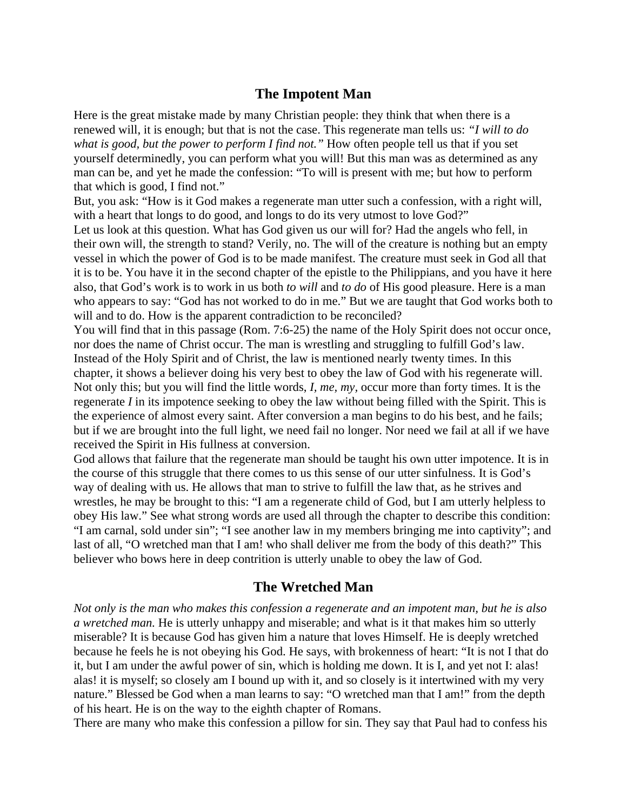#### **The Impotent Man**

Here is the great mistake made by many Christian people: they think that when there is a renewed will, it is enough; but that is not the case. This regenerate man tells us: *"I will to do what is good, but the power to perform I find not."* How often people tell us that if you set yourself determinedly, you can perform what you will! But this man was as determined as any man can be, and yet he made the confession: "To will is present with me; but how to perform that which is good, I find not."

But, you ask: "How is it God makes a regenerate man utter such a confession, with a right will, with a heart that longs to do good, and longs to do its very utmost to love God?"

Let us look at this question. What has God given us our will for? Had the angels who fell, in their own will, the strength to stand? Verily, no. The will of the creature is nothing but an empty vessel in which the power of God is to be made manifest. The creature must seek in God all that it is to be. You have it in the second chapter of the epistle to the Philippians, and you have it here also, that God's work is to work in us both *to will* and *to do* of His good pleasure. Here is a man who appears to say: "God has not worked to do in me." But we are taught that God works both to will and to do. How is the apparent contradiction to be reconciled?

You will find that in this passage (Rom. 7:6-25) the name of the Holy Spirit does not occur once, nor does the name of Christ occur. The man is wrestling and struggling to fulfill God's law. Instead of the Holy Spirit and of Christ, the law is mentioned nearly twenty times. In this chapter, it shows a believer doing his very best to obey the law of God with his regenerate will. Not only this; but you will find the little words, *I, me, my,* occur more than forty times. It is the regenerate *I* in its impotence seeking to obey the law without being filled with the Spirit. This is the experience of almost every saint. After conversion a man begins to do his best, and he fails; but if we are brought into the full light, we need fail no longer. Nor need we fail at all if we have received the Spirit in His fullness at conversion.

God allows that failure that the regenerate man should be taught his own utter impotence. It is in the course of this struggle that there comes to us this sense of our utter sinfulness. It is God's way of dealing with us. He allows that man to strive to fulfill the law that, as he strives and wrestles, he may be brought to this: "I am a regenerate child of God, but I am utterly helpless to obey His law." See what strong words are used all through the chapter to describe this condition: "I am carnal, sold under sin"; "I see another law in my members bringing me into captivity"; and last of all, "O wretched man that I am! who shall deliver me from the body of this death?" This believer who bows here in deep contrition is utterly unable to obey the law of God.

#### **The Wretched Man**

*Not only is the man who makes this confession a regenerate and an impotent man, but he is also a wretched man.* He is utterly unhappy and miserable; and what is it that makes him so utterly miserable? It is because God has given him a nature that loves Himself. He is deeply wretched because he feels he is not obeying his God. He says, with brokenness of heart: "It is not I that do it, but I am under the awful power of sin, which is holding me down. It is I, and yet not I: alas! alas! it is myself; so closely am I bound up with it, and so closely is it intertwined with my very nature." Blessed be God when a man learns to say: "O wretched man that I am!" from the depth of his heart. He is on the way to the eighth chapter of Romans.

There are many who make this confession a pillow for sin. They say that Paul had to confess his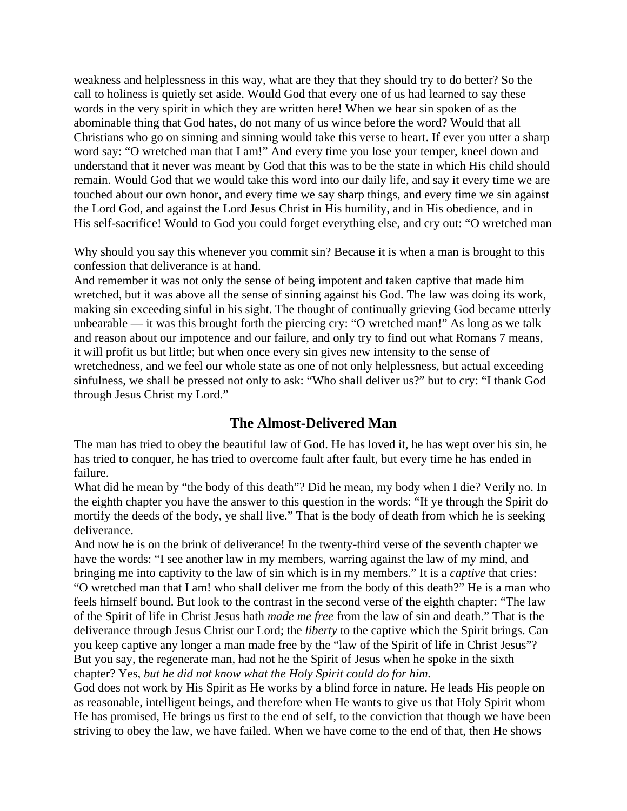weakness and helplessness in this way, what are they that they should try to do better? So the call to holiness is quietly set aside. Would God that every one of us had learned to say these words in the very spirit in which they are written here! When we hear sin spoken of as the abominable thing that God hates, do not many of us wince before the word? Would that all Christians who go on sinning and sinning would take this verse to heart. If ever you utter a sharp word say: "O wretched man that I am!" And every time you lose your temper, kneel down and understand that it never was meant by God that this was to be the state in which His child should remain. Would God that we would take this word into our daily life, and say it every time we are touched about our own honor, and every time we say sharp things, and every time we sin against the Lord God, and against the Lord Jesus Christ in His humility, and in His obedience, and in His self-sacrifice! Would to God you could forget everything else, and cry out: "O wretched man

Why should you say this whenever you commit sin? Because it is when a man is brought to this confession that deliverance is at hand.

And remember it was not only the sense of being impotent and taken captive that made him wretched, but it was above all the sense of sinning against his God. The law was doing its work, making sin exceeding sinful in his sight. The thought of continually grieving God became utterly unbearable — it was this brought forth the piercing cry: "O wretched man!" As long as we talk and reason about our impotence and our failure, and only try to find out what Romans 7 means, it will profit us but little; but when once every sin gives new intensity to the sense of wretchedness, and we feel our whole state as one of not only helplessness, but actual exceeding sinfulness, we shall be pressed not only to ask: "Who shall deliver us?" but to cry: "I thank God through Jesus Christ my Lord."

#### **The Almost-Delivered Man**

The man has tried to obey the beautiful law of God. He has loved it, he has wept over his sin, he has tried to conquer, he has tried to overcome fault after fault, but every time he has ended in failure.

What did he mean by "the body of this death"? Did he mean, my body when I die? Verily no. In the eighth chapter you have the answer to this question in the words: "If ye through the Spirit do mortify the deeds of the body, ye shall live." That is the body of death from which he is seeking deliverance.

And now he is on the brink of deliverance! In the twenty-third verse of the seventh chapter we have the words: "I see another law in my members, warring against the law of my mind, and bringing me into captivity to the law of sin which is in my members." It is a *captive* that cries: "O wretched man that I am! who shall deliver me from the body of this death?" He is a man who feels himself bound. But look to the contrast in the second verse of the eighth chapter: "The law of the Spirit of life in Christ Jesus hath *made me free* from the law of sin and death." That is the deliverance through Jesus Christ our Lord; the *liberty* to the captive which the Spirit brings. Can you keep captive any longer a man made free by the "law of the Spirit of life in Christ Jesus"? But you say, the regenerate man, had not he the Spirit of Jesus when he spoke in the sixth chapter? Yes, *but he did not know what the Holy Spirit could do for him.*

God does not work by His Spirit as He works by a blind force in nature. He leads His people on as reasonable, intelligent beings, and therefore when He wants to give us that Holy Spirit whom He has promised, He brings us first to the end of self, to the conviction that though we have been striving to obey the law, we have failed. When we have come to the end of that, then He shows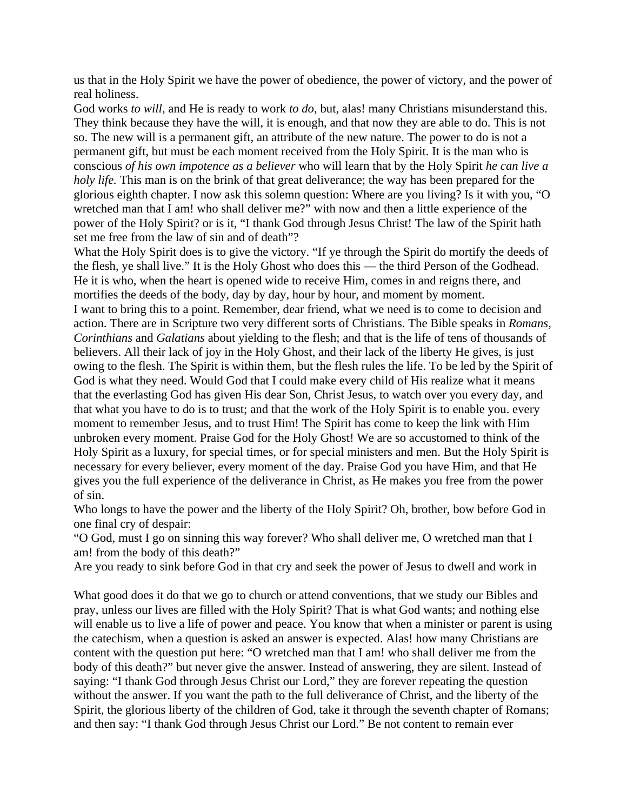us that in the Holy Spirit we have the power of obedience, the power of victory, and the power of real holiness.

God works *to will*, and He is ready to work *to do*, but, alas! many Christians misunderstand this. They think because they have the will, it is enough, and that now they are able to do. This is not so. The new will is a permanent gift, an attribute of the new nature. The power to do is not a permanent gift, but must be each moment received from the Holy Spirit. It is the man who is conscious *of his own impotence as a believer* who will learn that by the Holy Spirit *he can live a holy life.* This man is on the brink of that great deliverance; the way has been prepared for the glorious eighth chapter. I now ask this solemn question: Where are you living? Is it with you, "O wretched man that I am! who shall deliver me?" with now and then a little experience of the power of the Holy Spirit? or is it, "I thank God through Jesus Christ! The law of the Spirit hath set me free from the law of sin and of death"?

What the Holy Spirit does is to give the victory. "If ye through the Spirit do mortify the deeds of the flesh, ye shall live." It is the Holy Ghost who does this — the third Person of the Godhead. He it is who, when the heart is opened wide to receive Him, comes in and reigns there, and mortifies the deeds of the body, day by day, hour by hour, and moment by moment. I want to bring this to a point. Remember, dear friend, what we need is to come to decision and action. There are in Scripture two very different sorts of Christians. The Bible speaks in *Romans, Corinthians* and *Galatians* about yielding to the flesh; and that is the life of tens of thousands of believers. All their lack of joy in the Holy Ghost, and their lack of the liberty He gives, is just owing to the flesh. The Spirit is within them, but the flesh rules the life. To be led by the Spirit of God is what they need. Would God that I could make every child of His realize what it means that the everlasting God has given His dear Son, Christ Jesus, to watch over you every day, and that what you have to do is to trust; and that the work of the Holy Spirit is to enable you. every moment to remember Jesus, and to trust Him! The Spirit has come to keep the link with Him unbroken every moment. Praise God for the Holy Ghost! We are so accustomed to think of the Holy Spirit as a luxury, for special times, or for special ministers and men. But the Holy Spirit is necessary for every believer, every moment of the day. Praise God you have Him, and that He gives you the full experience of the deliverance in Christ, as He makes you free from the power of sin.

Who longs to have the power and the liberty of the Holy Spirit? Oh, brother, bow before God in one final cry of despair:

"O God, must I go on sinning this way forever? Who shall deliver me, O wretched man that I am! from the body of this death?"

Are you ready to sink before God in that cry and seek the power of Jesus to dwell and work in

What good does it do that we go to church or attend conventions, that we study our Bibles and pray, unless our lives are filled with the Holy Spirit? That is what God wants; and nothing else will enable us to live a life of power and peace. You know that when a minister or parent is using the catechism, when a question is asked an answer is expected. Alas! how many Christians are content with the question put here: "O wretched man that I am! who shall deliver me from the body of this death?" but never give the answer. Instead of answering, they are silent. Instead of saying: "I thank God through Jesus Christ our Lord," they are forever repeating the question without the answer. If you want the path to the full deliverance of Christ, and the liberty of the Spirit, the glorious liberty of the children of God, take it through the seventh chapter of Romans; and then say: "I thank God through Jesus Christ our Lord." Be not content to remain ever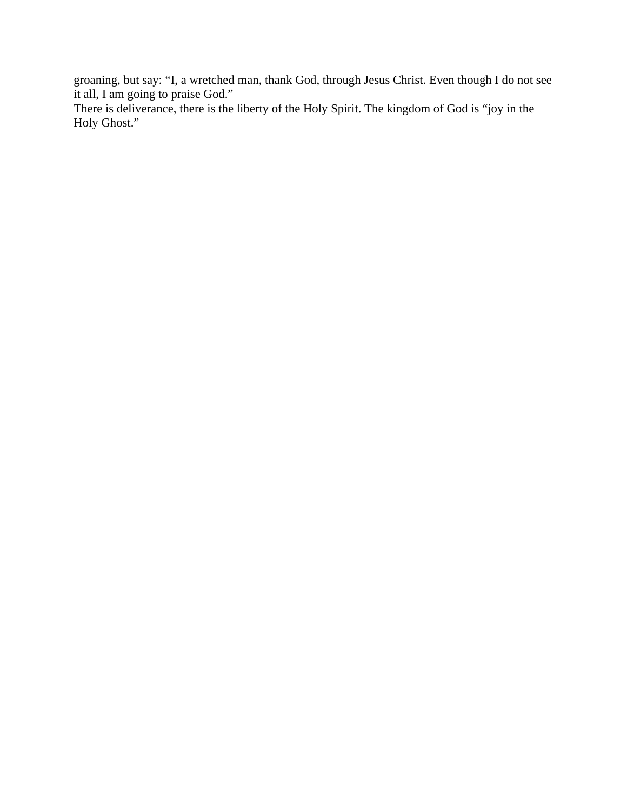groaning, but say: "I, a wretched man, thank God, through Jesus Christ. Even though I do not see it all, I am going to praise God."

There is deliverance, there is the liberty of the Holy Spirit. The kingdom of God is "joy in the Holy Ghost."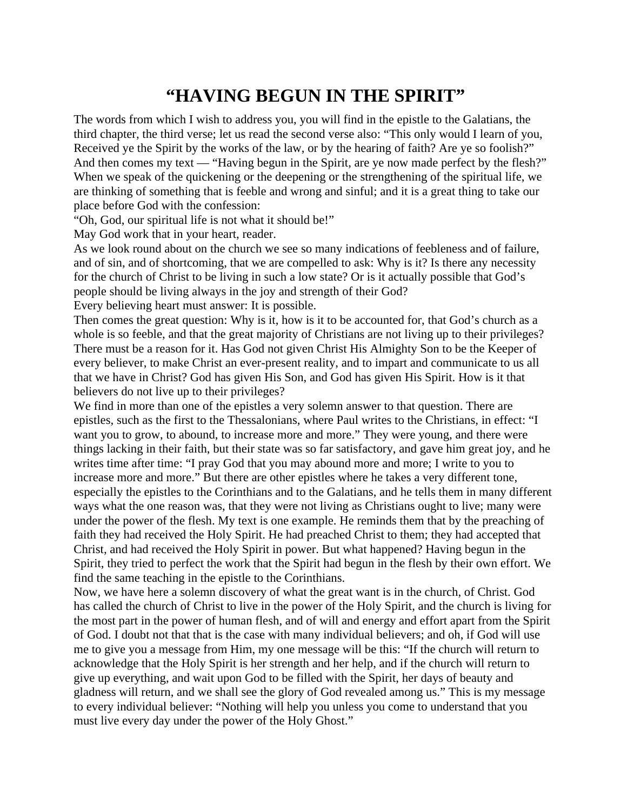## **"HAVING BEGUN IN THE SPIRIT"**

The words from which I wish to address you, you will find in the epistle to the Galatians, the third chapter, the third verse; let us read the second verse also: "This only would I learn of you, Received ye the Spirit by the works of the law, or by the hearing of faith? Are ye so foolish?" And then comes my text — "Having begun in the Spirit, are ye now made perfect by the flesh?" When we speak of the quickening or the deepening or the strengthening of the spiritual life, we are thinking of something that is feeble and wrong and sinful; and it is a great thing to take our place before God with the confession:

"Oh, God, our spiritual life is not what it should be!"

May God work that in your heart, reader.

As we look round about on the church we see so many indications of feebleness and of failure, and of sin, and of shortcoming, that we are compelled to ask: Why is it? Is there any necessity for the church of Christ to be living in such a low state? Or is it actually possible that God's people should be living always in the joy and strength of their God? Every believing heart must answer: It is possible.

Then comes the great question: Why is it, how is it to be accounted for, that God's church as a whole is so feeble, and that the great majority of Christians are not living up to their privileges? There must be a reason for it. Has God not given Christ His Almighty Son to be the Keeper of every believer, to make Christ an ever-present reality, and to impart and communicate to us all that we have in Christ? God has given His Son, and God has given His Spirit. How is it that believers do not live up to their privileges?

We find in more than one of the epistles a very solemn answer to that question. There are epistles, such as the first to the Thessalonians, where Paul writes to the Christians, in effect: "I want you to grow, to abound, to increase more and more." They were young, and there were things lacking in their faith, but their state was so far satisfactory, and gave him great joy, and he writes time after time: "I pray God that you may abound more and more; I write to you to increase more and more." But there are other epistles where he takes a very different tone, especially the epistles to the Corinthians and to the Galatians, and he tells them in many different ways what the one reason was, that they were not living as Christians ought to live; many were under the power of the flesh. My text is one example. He reminds them that by the preaching of faith they had received the Holy Spirit. He had preached Christ to them; they had accepted that Christ, and had received the Holy Spirit in power. But what happened? Having begun in the Spirit, they tried to perfect the work that the Spirit had begun in the flesh by their own effort. We find the same teaching in the epistle to the Corinthians.

Now, we have here a solemn discovery of what the great want is in the church, of Christ. God has called the church of Christ to live in the power of the Holy Spirit, and the church is living for the most part in the power of human flesh, and of will and energy and effort apart from the Spirit of God. I doubt not that that is the case with many individual believers; and oh, if God will use me to give you a message from Him, my one message will be this: "If the church will return to acknowledge that the Holy Spirit is her strength and her help, and if the church will return to give up everything, and wait upon God to be filled with the Spirit, her days of beauty and gladness will return, and we shall see the glory of God revealed among us." This is my message to every individual believer: "Nothing will help you unless you come to understand that you must live every day under the power of the Holy Ghost."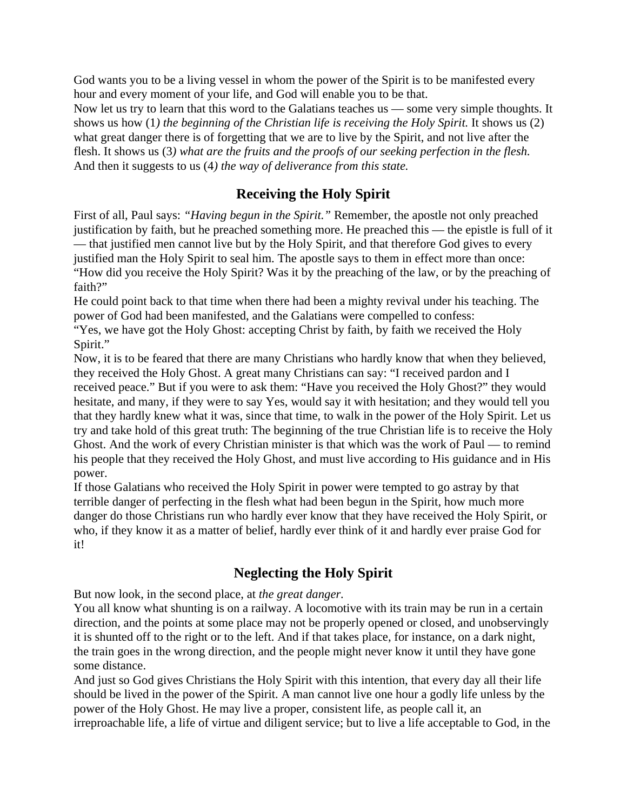God wants you to be a living vessel in whom the power of the Spirit is to be manifested every hour and every moment of your life, and God will enable you to be that.

Now let us try to learn that this word to the Galatians teaches us — some very simple thoughts. It shows us how (1) the beginning of the Christian life is receiving the Holy Spirit. It shows us (2) what great danger there is of forgetting that we are to live by the Spirit, and not live after the flesh. It shows us (3*) what are the fruits and the proofs of our seeking perfection in the flesh.* And then it suggests to us (4*) the way of deliverance from this state.*

## **Receiving the Holy Spirit**

First of all, Paul says: *"Having begun in the Spirit."* Remember, the apostle not only preached justification by faith, but he preached something more. He preached this — the epistle is full of it — that justified men cannot live but by the Holy Spirit, and that therefore God gives to every justified man the Holy Spirit to seal him. The apostle says to them in effect more than once: "How did you receive the Holy Spirit? Was it by the preaching of the law, or by the preaching of faith?"

He could point back to that time when there had been a mighty revival under his teaching. The power of God had been manifested, and the Galatians were compelled to confess:

"Yes, we have got the Holy Ghost: accepting Christ by faith, by faith we received the Holy Spirit."

Now, it is to be feared that there are many Christians who hardly know that when they believed, they received the Holy Ghost. A great many Christians can say: "I received pardon and I received peace." But if you were to ask them: "Have you received the Holy Ghost?" they would hesitate, and many, if they were to say Yes, would say it with hesitation; and they would tell you that they hardly knew what it was, since that time, to walk in the power of the Holy Spirit. Let us try and take hold of this great truth: The beginning of the true Christian life is to receive the Holy Ghost. And the work of every Christian minister is that which was the work of Paul — to remind his people that they received the Holy Ghost, and must live according to His guidance and in His power.

If those Galatians who received the Holy Spirit in power were tempted to go astray by that terrible danger of perfecting in the flesh what had been begun in the Spirit, how much more danger do those Christians run who hardly ever know that they have received the Holy Spirit, or who, if they know it as a matter of belief, hardly ever think of it and hardly ever praise God for it!

## **Neglecting the Holy Spirit**

But now look, in the second place, at *the great danger.*

You all know what shunting is on a railway. A locomotive with its train may be run in a certain direction, and the points at some place may not be properly opened or closed, and unobservingly it is shunted off to the right or to the left. And if that takes place, for instance, on a dark night, the train goes in the wrong direction, and the people might never know it until they have gone some distance.

And just so God gives Christians the Holy Spirit with this intention, that every day all their life should be lived in the power of the Spirit. A man cannot live one hour a godly life unless by the power of the Holy Ghost. He may live a proper, consistent life, as people call it, an irreproachable life, a life of virtue and diligent service; but to live a life acceptable to God, in the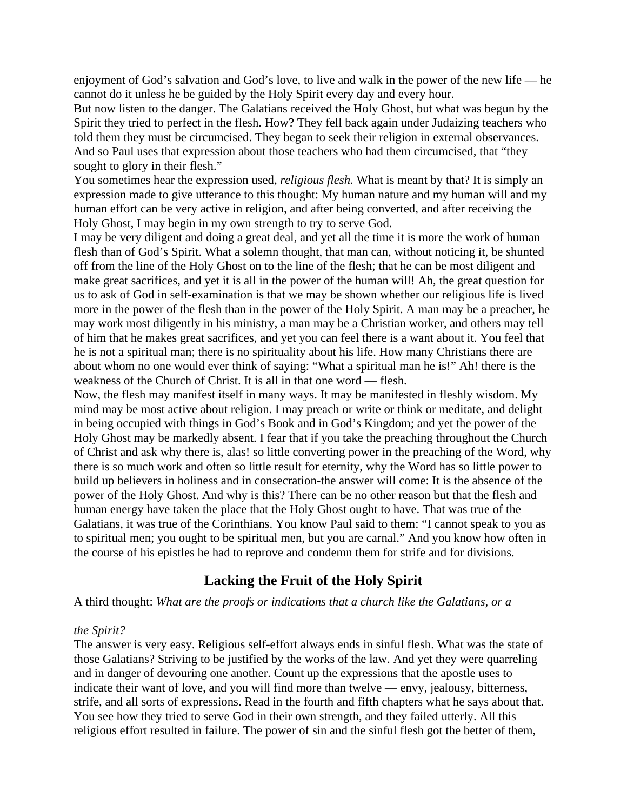enjoyment of God's salvation and God's love, to live and walk in the power of the new life — he cannot do it unless he be guided by the Holy Spirit every day and every hour.

But now listen to the danger. The Galatians received the Holy Ghost, but what was begun by the Spirit they tried to perfect in the flesh. How? They fell back again under Judaizing teachers who told them they must be circumcised. They began to seek their religion in external observances. And so Paul uses that expression about those teachers who had them circumcised, that "they sought to glory in their flesh."

You sometimes hear the expression used, *religious flesh.* What is meant by that? It is simply an expression made to give utterance to this thought: My human nature and my human will and my human effort can be very active in religion, and after being converted, and after receiving the Holy Ghost, I may begin in my own strength to try to serve God.

I may be very diligent and doing a great deal, and yet all the time it is more the work of human flesh than of God's Spirit. What a solemn thought, that man can, without noticing it, be shunted off from the line of the Holy Ghost on to the line of the flesh; that he can be most diligent and make great sacrifices, and yet it is all in the power of the human will! Ah, the great question for us to ask of God in self-examination is that we may be shown whether our religious life is lived more in the power of the flesh than in the power of the Holy Spirit. A man may be a preacher, he may work most diligently in his ministry, a man may be a Christian worker, and others may tell of him that he makes great sacrifices, and yet you can feel there is a want about it. You feel that he is not a spiritual man; there is no spirituality about his life. How many Christians there are about whom no one would ever think of saying: "What a spiritual man he is!" Ah! there is the weakness of the Church of Christ. It is all in that one word — flesh.

Now, the flesh may manifest itself in many ways. It may be manifested in fleshly wisdom. My mind may be most active about religion. I may preach or write or think or meditate, and delight in being occupied with things in God's Book and in God's Kingdom; and yet the power of the Holy Ghost may be markedly absent. I fear that if you take the preaching throughout the Church of Christ and ask why there is, alas! so little converting power in the preaching of the Word, why there is so much work and often so little result for eternity, why the Word has so little power to build up believers in holiness and in consecration-the answer will come: It is the absence of the power of the Holy Ghost. And why is this? There can be no other reason but that the flesh and human energy have taken the place that the Holy Ghost ought to have. That was true of the Galatians, it was true of the Corinthians. You know Paul said to them: "I cannot speak to you as to spiritual men; you ought to be spiritual men, but you are carnal." And you know how often in the course of his epistles he had to reprove and condemn them for strife and for divisions.

#### **Lacking the Fruit of the Holy Spirit**

A third thought: *What are the proofs or indications that a church like the Galatians, or a*

#### *the Spirit?*

The answer is very easy. Religious self-effort always ends in sinful flesh. What was the state of those Galatians? Striving to be justified by the works of the law. And yet they were quarreling and in danger of devouring one another. Count up the expressions that the apostle uses to indicate their want of love, and you will find more than twelve — envy, jealousy, bitterness, strife, and all sorts of expressions. Read in the fourth and fifth chapters what he says about that. You see how they tried to serve God in their own strength, and they failed utterly. All this religious effort resulted in failure. The power of sin and the sinful flesh got the better of them,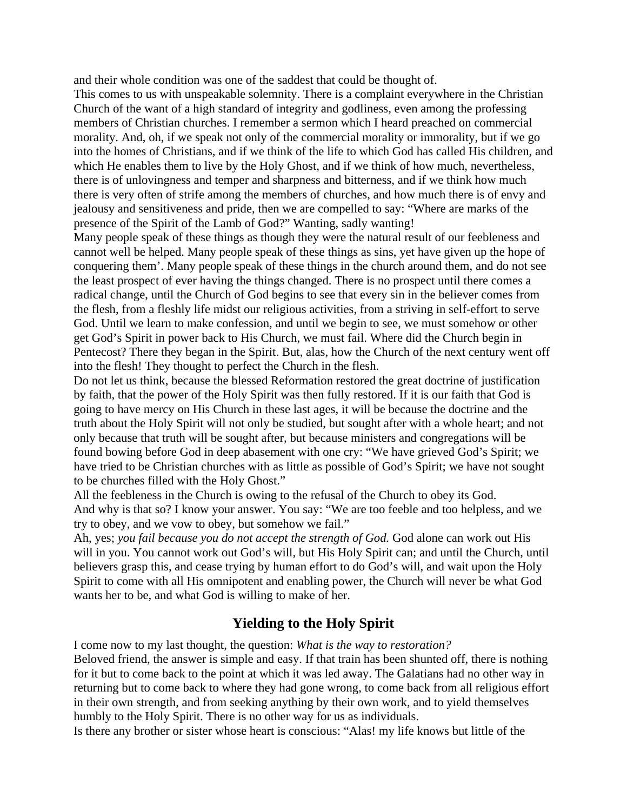and their whole condition was one of the saddest that could be thought of.

This comes to us with unspeakable solemnity. There is a complaint everywhere in the Christian Church of the want of a high standard of integrity and godliness, even among the professing members of Christian churches. I remember a sermon which I heard preached on commercial morality. And, oh, if we speak not only of the commercial morality or immorality, but if we go into the homes of Christians, and if we think of the life to which God has called His children, and which He enables them to live by the Holy Ghost, and if we think of how much, nevertheless, there is of unlovingness and temper and sharpness and bitterness, and if we think how much there is very often of strife among the members of churches, and how much there is of envy and jealousy and sensitiveness and pride, then we are compelled to say: "Where are marks of the presence of the Spirit of the Lamb of God?" Wanting, sadly wanting!

Many people speak of these things as though they were the natural result of our feebleness and cannot well be helped. Many people speak of these things as sins, yet have given up the hope of conquering them'. Many people speak of these things in the church around them, and do not see the least prospect of ever having the things changed. There is no prospect until there comes a radical change, until the Church of God begins to see that every sin in the believer comes from the flesh, from a fleshly life midst our religious activities, from a striving in self-effort to serve God. Until we learn to make confession, and until we begin to see, we must somehow or other get God's Spirit in power back to His Church, we must fail. Where did the Church begin in Pentecost? There they began in the Spirit. But, alas, how the Church of the next century went off into the flesh! They thought to perfect the Church in the flesh.

Do not let us think, because the blessed Reformation restored the great doctrine of justification by faith, that the power of the Holy Spirit was then fully restored. If it is our faith that God is going to have mercy on His Church in these last ages, it will be because the doctrine and the truth about the Holy Spirit will not only be studied, but sought after with a whole heart; and not only because that truth will be sought after, but because ministers and congregations will be found bowing before God in deep abasement with one cry: "We have grieved God's Spirit; we have tried to be Christian churches with as little as possible of God's Spirit; we have not sought to be churches filled with the Holy Ghost."

All the feebleness in the Church is owing to the refusal of the Church to obey its God. And why is that so? I know your answer. You say: "We are too feeble and too helpless, and we try to obey, and we vow to obey, but somehow we fail."

Ah, yes; *you fail because you do not accept the strength of God.* God alone can work out His will in you. You cannot work out God's will, but His Holy Spirit can; and until the Church, until believers grasp this, and cease trying by human effort to do God's will, and wait upon the Holy Spirit to come with all His omnipotent and enabling power, the Church will never be what God wants her to be, and what God is willing to make of her.

## **Yielding to the Holy Spirit**

I come now to my last thought, the question: *What is the way to restoration?*

Beloved friend, the answer is simple and easy. If that train has been shunted off, there is nothing for it but to come back to the point at which it was led away. The Galatians had no other way in returning but to come back to where they had gone wrong, to come back from all religious effort in their own strength, and from seeking anything by their own work, and to yield themselves humbly to the Holy Spirit. There is no other way for us as individuals.

Is there any brother or sister whose heart is conscious: "Alas! my life knows but little of the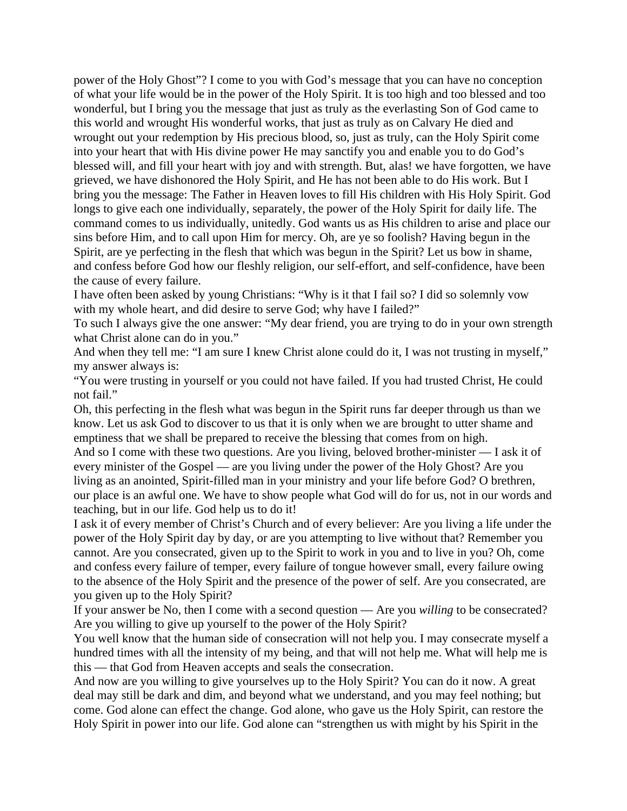power of the Holy Ghost"? I come to you with God's message that you can have no conception of what your life would be in the power of the Holy Spirit. It is too high and too blessed and too wonderful, but I bring you the message that just as truly as the everlasting Son of God came to this world and wrought His wonderful works, that just as truly as on Calvary He died and wrought out your redemption by His precious blood, so, just as truly, can the Holy Spirit come into your heart that with His divine power He may sanctify you and enable you to do God's blessed will, and fill your heart with joy and with strength. But, alas! we have forgotten, we have grieved, we have dishonored the Holy Spirit, and He has not been able to do His work. But I bring you the message: The Father in Heaven loves to fill His children with His Holy Spirit. God longs to give each one individually, separately, the power of the Holy Spirit for daily life. The command comes to us individually, unitedly. God wants us as His children to arise and place our sins before Him, and to call upon Him for mercy. Oh, are ye so foolish? Having begun in the Spirit, are ye perfecting in the flesh that which was begun in the Spirit? Let us bow in shame, and confess before God how our fleshly religion, our self-effort, and self-confidence, have been the cause of every failure.

I have often been asked by young Christians: "Why is it that I fail so? I did so solemnly vow with my whole heart, and did desire to serve God; why have I failed?"

To such I always give the one answer: "My dear friend, you are trying to do in your own strength what Christ alone can do in you."

And when they tell me: "I am sure I knew Christ alone could do it, I was not trusting in myself," my answer always is:

"You were trusting in yourself or you could not have failed. If you had trusted Christ, He could not fail."

Oh, this perfecting in the flesh what was begun in the Spirit runs far deeper through us than we know. Let us ask God to discover to us that it is only when we are brought to utter shame and emptiness that we shall be prepared to receive the blessing that comes from on high.

And so I come with these two questions. Are you living, beloved brother-minister — I ask it of every minister of the Gospel — are you living under the power of the Holy Ghost? Are you living as an anointed, Spirit-filled man in your ministry and your life before God? O brethren, our place is an awful one. We have to show people what God will do for us, not in our words and teaching, but in our life. God help us to do it!

I ask it of every member of Christ's Church and of every believer: Are you living a life under the power of the Holy Spirit day by day, or are you attempting to live without that? Remember you cannot. Are you consecrated, given up to the Spirit to work in you and to live in you? Oh, come and confess every failure of temper, every failure of tongue however small, every failure owing to the absence of the Holy Spirit and the presence of the power of self. Are you consecrated, are you given up to the Holy Spirit?

If your answer be No, then I come with a second question — Are you *willing* to be consecrated? Are you willing to give up yourself to the power of the Holy Spirit?

You well know that the human side of consecration will not help you. I may consecrate myself a hundred times with all the intensity of my being, and that will not help me. What will help me is this — that God from Heaven accepts and seals the consecration.

And now are you willing to give yourselves up to the Holy Spirit? You can do it now. A great deal may still be dark and dim, and beyond what we understand, and you may feel nothing; but come. God alone can effect the change. God alone, who gave us the Holy Spirit, can restore the Holy Spirit in power into our life. God alone can "strengthen us with might by his Spirit in the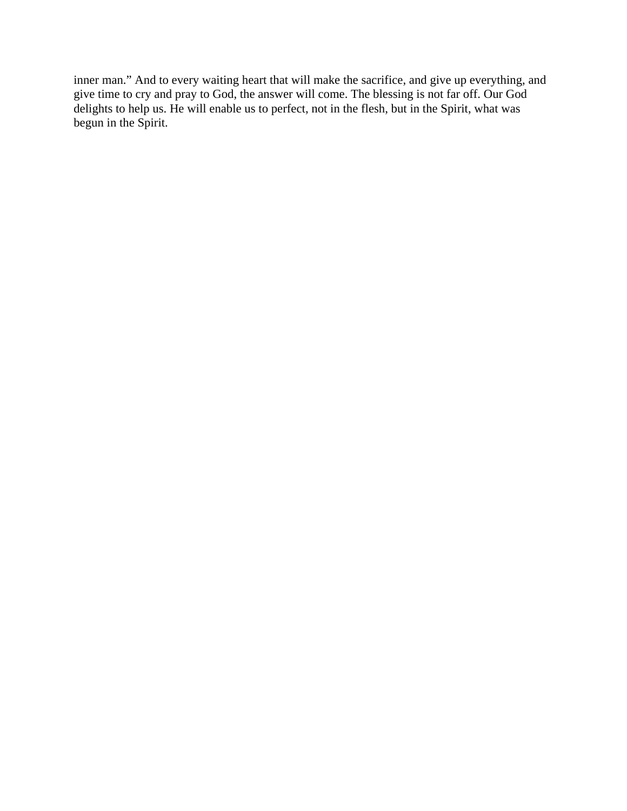inner man." And to every waiting heart that will make the sacrifice, and give up everything, and give time to cry and pray to God, the answer will come. The blessing is not far off. Our God delights to help us. He will enable us to perfect, not in the flesh, but in the Spirit, what was begun in the Spirit.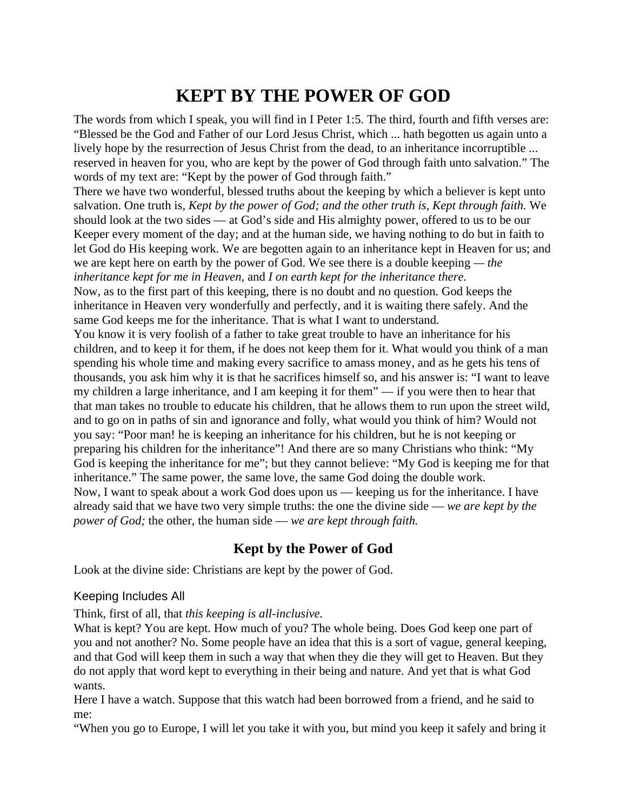## **KEPT BY THE POWER OF GOD**

The words from which I speak, you will find in I Peter 1:5. The third, fourth and fifth verses are: "Blessed be the God and Father of our Lord Jesus Christ, which ... hath begotten us again unto a lively hope by the resurrection of Jesus Christ from the dead, to an inheritance incorruptible ... reserved in heaven for you, who are kept by the power of God through faith unto salvation." The words of my text are: "Kept by the power of God through faith."

There we have two wonderful, blessed truths about the keeping by which a believer is kept unto salvation. One truth is*, Kept by the power of God; and the other truth is, Kept through faith.* We should look at the two sides — at God's side and His almighty power, offered to us to be our Keeper every moment of the day; and at the human side, we having nothing to do but in faith to let God do His keeping work. We are begotten again to an inheritance kept in Heaven for us; and we are kept here on earth by the power of God. We see there is a double keeping *— the inheritance kept for me in Heaven,* and *I on earth kept for the inheritance there.* Now, as to the first part of this keeping, there is no doubt and no question. God keeps the inheritance in Heaven very wonderfully and perfectly, and it is waiting there safely. And the same God keeps me for the inheritance. That is what I want to understand. You know it is very foolish of a father to take great trouble to have an inheritance for his children, and to keep it for them, if he does not keep them for it. What would you think of a man spending his whole time and making every sacrifice to amass money, and as he gets his tens of thousands, you ask him why it is that he sacrifices himself so, and his answer is: "I want to leave my children a large inheritance, and I am keeping it for them" — if you were then to hear that that man takes no trouble to educate his children, that he allows them to run upon the street wild, and to go on in paths of sin and ignorance and folly, what would you think of him? Would not you say: "Poor man! he is keeping an inheritance for his children, but he is not keeping or preparing his children for the inheritance"! And there are so many Christians who think: "My God is keeping the inheritance for me"; but they cannot believe: "My God is keeping me for that inheritance." The same power, the same love, the same God doing the double work. Now, I want to speak about a work God does upon us — keeping us for the inheritance. I have already said that we have two very simple truths: the one the divine side — *we are kept by the power of God;* the other, the human side — *we are kept through faith.*

## **Kept by the Power of God**

Look at the divine side: Christians are kept by the power of God.

#### Keeping Includes All

#### Think, first of all, that *this keeping is all-inclusive.*

What is kept? You are kept. How much of you? The whole being. Does God keep one part of you and not another? No. Some people have an idea that this is a sort of vague, general keeping, and that God will keep them in such a way that when they die they will get to Heaven. But they do not apply that word kept to everything in their being and nature. And yet that is what God wants.

Here I have a watch. Suppose that this watch had been borrowed from a friend, and he said to me:

"When you go to Europe, I will let you take it with you, but mind you keep it safely and bring it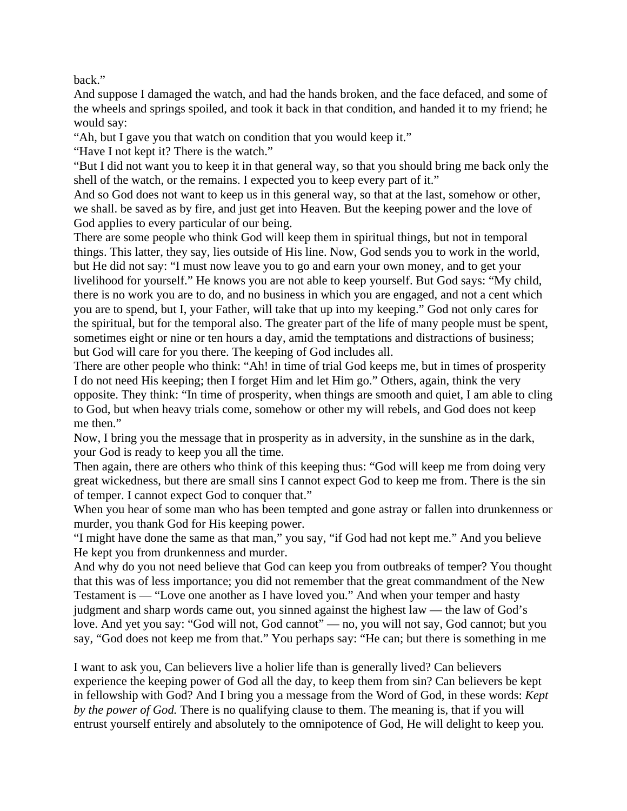back."

And suppose I damaged the watch, and had the hands broken, and the face defaced, and some of the wheels and springs spoiled, and took it back in that condition, and handed it to my friend; he would say:

"Ah, but I gave you that watch on condition that you would keep it."

"Have I not kept it? There is the watch."

"But I did not want you to keep it in that general way, so that you should bring me back only the shell of the watch, or the remains. I expected you to keep every part of it."

And so God does not want to keep us in this general way, so that at the last, somehow or other, we shall. be saved as by fire, and just get into Heaven. But the keeping power and the love of God applies to every particular of our being.

There are some people who think God will keep them in spiritual things, but not in temporal things. This latter, they say, lies outside of His line. Now, God sends you to work in the world, but He did not say: "I must now leave you to go and earn your own money, and to get your livelihood for yourself." He knows you are not able to keep yourself. But God says: "My child, there is no work you are to do, and no business in which you are engaged, and not a cent which you are to spend, but I, your Father, will take that up into my keeping." God not only cares for the spiritual, but for the temporal also. The greater part of the life of many people must be spent, sometimes eight or nine or ten hours a day, amid the temptations and distractions of business; but God will care for you there. The keeping of God includes all.

There are other people who think: "Ah! in time of trial God keeps me, but in times of prosperity I do not need His keeping; then I forget Him and let Him go." Others, again, think the very opposite. They think: "In time of prosperity, when things are smooth and quiet, I am able to cling to God, but when heavy trials come, somehow or other my will rebels, and God does not keep me then."

Now, I bring you the message that in prosperity as in adversity, in the sunshine as in the dark, your God is ready to keep you all the time.

Then again, there are others who think of this keeping thus: "God will keep me from doing very great wickedness, but there are small sins I cannot expect God to keep me from. There is the sin of temper. I cannot expect God to conquer that."

When you hear of some man who has been tempted and gone astray or fallen into drunkenness or murder, you thank God for His keeping power.

"I might have done the same as that man," you say, "if God had not kept me." And you believe He kept you from drunkenness and murder.

And why do you not need believe that God can keep you from outbreaks of temper? You thought that this was of less importance; you did not remember that the great commandment of the New Testament is — "Love one another as I have loved you." And when your temper and hasty judgment and sharp words came out, you sinned against the highest law — the law of God's love. And yet you say: "God will not, God cannot" — no, you will not say, God cannot; but you say, "God does not keep me from that." You perhaps say: "He can; but there is something in me

I want to ask you, Can believers live a holier life than is generally lived? Can believers experience the keeping power of God all the day, to keep them from sin? Can believers be kept in fellowship with God? And I bring you a message from the Word of God, in these words: *Kept by the power of God.* There is no qualifying clause to them. The meaning is, that if you will entrust yourself entirely and absolutely to the omnipotence of God, He will delight to keep you.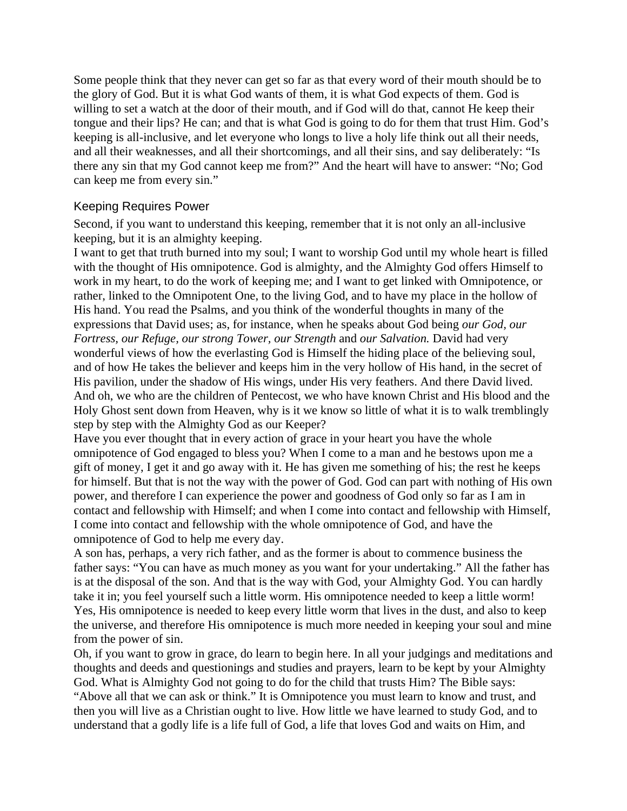Some people think that they never can get so far as that every word of their mouth should be to the glory of God. But it is what God wants of them, it is what God expects of them. God is willing to set a watch at the door of their mouth, and if God will do that, cannot He keep their tongue and their lips? He can; and that is what God is going to do for them that trust Him. God's keeping is all-inclusive, and let everyone who longs to live a holy life think out all their needs, and all their weaknesses, and all their shortcomings, and all their sins, and say deliberately: "Is there any sin that my God cannot keep me from?" And the heart will have to answer: "No; God can keep me from every sin."

#### Keeping Requires Power

Second, if you want to understand this keeping, remember that it is not only an all-inclusive keeping, but it is an almighty keeping.

I want to get that truth burned into my soul; I want to worship God until my whole heart is filled with the thought of His omnipotence. God is almighty, and the Almighty God offers Himself to work in my heart, to do the work of keeping me; and I want to get linked with Omnipotence, or rather, linked to the Omnipotent One, to the living God, and to have my place in the hollow of His hand. You read the Psalms, and you think of the wonderful thoughts in many of the expressions that David uses; as, for instance, when he speaks about God being *our God, our Fortress, our Refuge, our strong Tower, our Strength* and *our Salvation.* David had very wonderful views of how the everlasting God is Himself the hiding place of the believing soul, and of how He takes the believer and keeps him in the very hollow of His hand, in the secret of His pavilion, under the shadow of His wings, under His very feathers. And there David lived. And oh, we who are the children of Pentecost, we who have known Christ and His blood and the Holy Ghost sent down from Heaven, why is it we know so little of what it is to walk tremblingly step by step with the Almighty God as our Keeper?

Have you ever thought that in every action of grace in your heart you have the whole omnipotence of God engaged to bless you? When I come to a man and he bestows upon me a gift of money, I get it and go away with it. He has given me something of his; the rest he keeps for himself. But that is not the way with the power of God. God can part with nothing of His own power, and therefore I can experience the power and goodness of God only so far as I am in contact and fellowship with Himself; and when I come into contact and fellowship with Himself, I come into contact and fellowship with the whole omnipotence of God, and have the omnipotence of God to help me every day.

A son has, perhaps, a very rich father, and as the former is about to commence business the father says: "You can have as much money as you want for your undertaking." All the father has is at the disposal of the son. And that is the way with God, your Almighty God. You can hardly take it in; you feel yourself such a little worm. His omnipotence needed to keep a little worm! Yes, His omnipotence is needed to keep every little worm that lives in the dust, and also to keep the universe, and therefore His omnipotence is much more needed in keeping your soul and mine from the power of sin.

Oh, if you want to grow in grace, do learn to begin here. In all your judgings and meditations and thoughts and deeds and questionings and studies and prayers, learn to be kept by your Almighty God. What is Almighty God not going to do for the child that trusts Him? The Bible says: "Above all that we can ask or think." It is Omnipotence you must learn to know and trust, and then you will live as a Christian ought to live. How little we have learned to study God, and to understand that a godly life is a life full of God, a life that loves God and waits on Him, and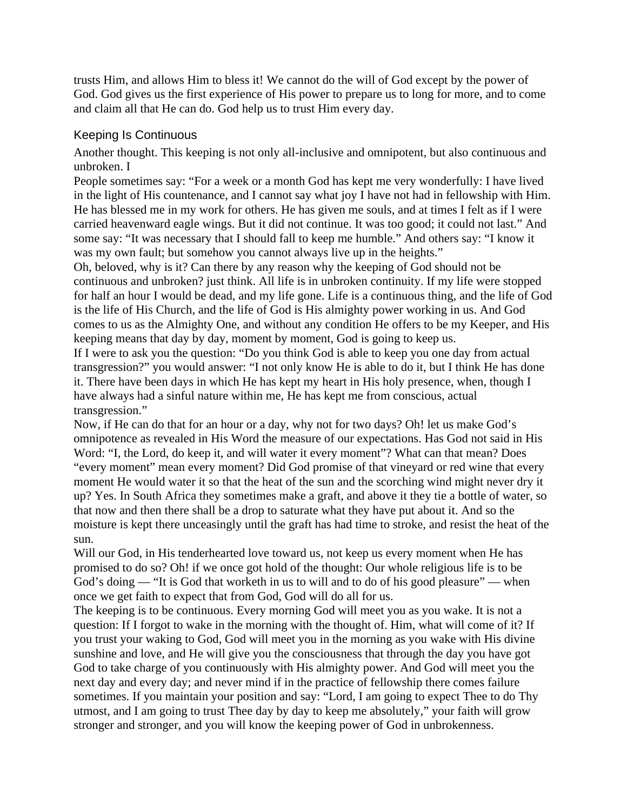trusts Him, and allows Him to bless it! We cannot do the will of God except by the power of God. God gives us the first experience of His power to prepare us to long for more, and to come and claim all that He can do. God help us to trust Him every day.

#### Keeping Is Continuous

Another thought. This keeping is not only all-inclusive and omnipotent, but also continuous and unbroken. I

People sometimes say: "For a week or a month God has kept me very wonderfully: I have lived in the light of His countenance, and I cannot say what joy I have not had in fellowship with Him. He has blessed me in my work for others. He has given me souls, and at times I felt as if I were carried heavenward eagle wings. But it did not continue. It was too good; it could not last." And some say: "It was necessary that I should fall to keep me humble." And others say: "I know it was my own fault; but somehow you cannot always live up in the heights."

Oh, beloved, why is it? Can there by any reason why the keeping of God should not be continuous and unbroken? just think. All life is in unbroken continuity. If my life were stopped for half an hour I would be dead, and my life gone. Life is a continuous thing, and the life of God is the life of His Church, and the life of God is His almighty power working in us. And God comes to us as the Almighty One, and without any condition He offers to be my Keeper, and His keeping means that day by day, moment by moment, God is going to keep us.

If I were to ask you the question: "Do you think God is able to keep you one day from actual transgression?" you would answer: "I not only know He is able to do it, but I think He has done it. There have been days in which He has kept my heart in His holy presence, when, though I have always had a sinful nature within me, He has kept me from conscious, actual transgression."

Now, if He can do that for an hour or a day, why not for two days? Oh! let us make God's omnipotence as revealed in His Word the measure of our expectations. Has God not said in His Word: "I, the Lord, do keep it, and will water it every moment"? What can that mean? Does "every moment" mean every moment? Did God promise of that vineyard or red wine that every moment He would water it so that the heat of the sun and the scorching wind might never dry it up? Yes. In South Africa they sometimes make a graft, and above it they tie a bottle of water, so that now and then there shall be a drop to saturate what they have put about it. And so the moisture is kept there unceasingly until the graft has had time to stroke, and resist the heat of the sun.

Will our God, in His tenderhearted love toward us, not keep us every moment when He has promised to do so? Oh! if we once got hold of the thought: Our whole religious life is to be God's doing — "It is God that worketh in us to will and to do of his good pleasure" — when once we get faith to expect that from God, God will do all for us.

The keeping is to be continuous. Every morning God will meet you as you wake. It is not a question: If I forgot to wake in the morning with the thought of. Him, what will come of it? If you trust your waking to God, God will meet you in the morning as you wake with His divine sunshine and love, and He will give you the consciousness that through the day you have got God to take charge of you continuously with His almighty power. And God will meet you the next day and every day; and never mind if in the practice of fellowship there comes failure sometimes. If you maintain your position and say: "Lord, I am going to expect Thee to do Thy utmost, and I am going to trust Thee day by day to keep me absolutely," your faith will grow stronger and stronger, and you will know the keeping power of God in unbrokenness.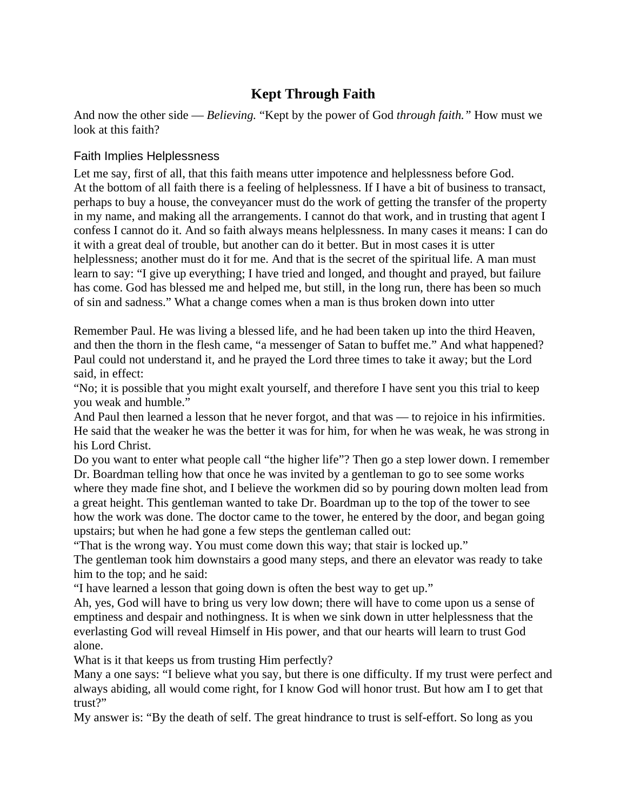## **Kept Through Faith**

And now the other side — *Believing.* "Kept by the power of God *through faith."* How must we look at this faith?

#### Faith Implies Helplessness

Let me say, first of all, that this faith means utter impotence and helplessness before God. At the bottom of all faith there is a feeling of helplessness. If I have a bit of business to transact, perhaps to buy a house, the conveyancer must do the work of getting the transfer of the property in my name, and making all the arrangements. I cannot do that work, and in trusting that agent I confess I cannot do it. And so faith always means helplessness. In many cases it means: I can do it with a great deal of trouble, but another can do it better. But in most cases it is utter helplessness; another must do it for me. And that is the secret of the spiritual life. A man must learn to say: "I give up everything; I have tried and longed, and thought and prayed, but failure has come. God has blessed me and helped me, but still, in the long run, there has been so much of sin and sadness." What a change comes when a man is thus broken down into utter

Remember Paul. He was living a blessed life, and he had been taken up into the third Heaven, and then the thorn in the flesh came, "a messenger of Satan to buffet me." And what happened? Paul could not understand it, and he prayed the Lord three times to take it away; but the Lord said, in effect:

"No; it is possible that you might exalt yourself, and therefore I have sent you this trial to keep you weak and humble."

And Paul then learned a lesson that he never forgot, and that was — to rejoice in his infirmities. He said that the weaker he was the better it was for him, for when he was weak, he was strong in his Lord Christ.

Do you want to enter what people call "the higher life"? Then go a step lower down. I remember Dr. Boardman telling how that once he was invited by a gentleman to go to see some works where they made fine shot, and I believe the workmen did so by pouring down molten lead from a great height. This gentleman wanted to take Dr. Boardman up to the top of the tower to see how the work was done. The doctor came to the tower, he entered by the door, and began going upstairs; but when he had gone a few steps the gentleman called out:

"That is the wrong way. You must come down this way; that stair is locked up."

The gentleman took him downstairs a good many steps, and there an elevator was ready to take him to the top; and he said:

"I have learned a lesson that going down is often the best way to get up."

Ah, yes, God will have to bring us very low down; there will have to come upon us a sense of emptiness and despair and nothingness. It is when we sink down in utter helplessness that the everlasting God will reveal Himself in His power, and that our hearts will learn to trust God alone.

What is it that keeps us from trusting Him perfectly?

Many a one says: "I believe what you say, but there is one difficulty. If my trust were perfect and always abiding, all would come right, for I know God will honor trust. But how am I to get that trust?"

My answer is: "By the death of self. The great hindrance to trust is self-effort. So long as you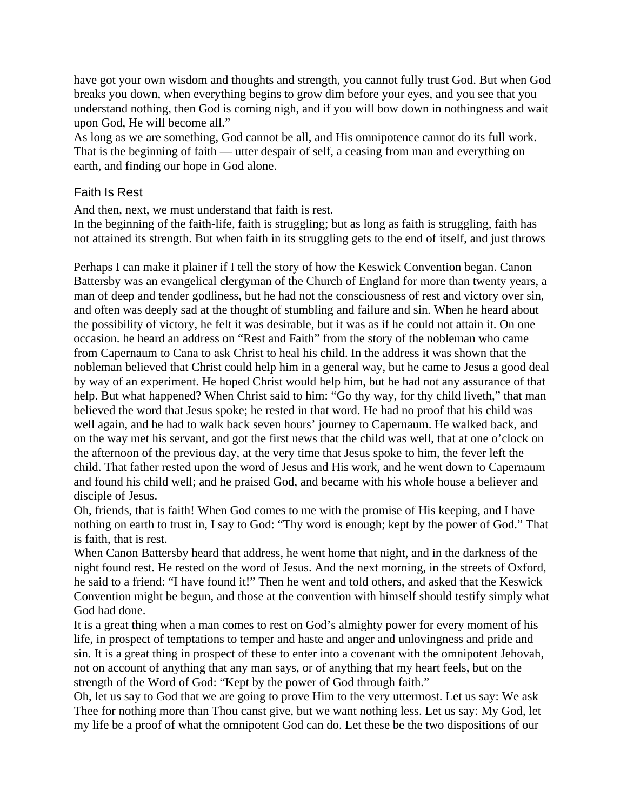have got your own wisdom and thoughts and strength, you cannot fully trust God. But when God breaks you down, when everything begins to grow dim before your eyes, and you see that you understand nothing, then God is coming nigh, and if you will bow down in nothingness and wait upon God, He will become all."

As long as we are something, God cannot be all, and His omnipotence cannot do its full work. That is the beginning of faith — utter despair of self, a ceasing from man and everything on earth, and finding our hope in God alone.

#### Faith Is Rest

And then, next, we must understand that faith is rest.

In the beginning of the faith-life, faith is struggling; but as long as faith is struggling, faith has not attained its strength. But when faith in its struggling gets to the end of itself, and just throws

Perhaps I can make it plainer if I tell the story of how the Keswick Convention began. Canon Battersby was an evangelical clergyman of the Church of England for more than twenty years, a man of deep and tender godliness, but he had not the consciousness of rest and victory over sin, and often was deeply sad at the thought of stumbling and failure and sin. When he heard about the possibility of victory, he felt it was desirable, but it was as if he could not attain it. On one occasion. he heard an address on "Rest and Faith" from the story of the nobleman who came from Capernaum to Cana to ask Christ to heal his child. In the address it was shown that the nobleman believed that Christ could help him in a general way, but he came to Jesus a good deal by way of an experiment. He hoped Christ would help him, but he had not any assurance of that help. But what happened? When Christ said to him: "Go thy way, for thy child liveth," that man believed the word that Jesus spoke; he rested in that word. He had no proof that his child was well again, and he had to walk back seven hours' journey to Capernaum. He walked back, and on the way met his servant, and got the first news that the child was well, that at one o'clock on the afternoon of the previous day, at the very time that Jesus spoke to him, the fever left the child. That father rested upon the word of Jesus and His work, and he went down to Capernaum and found his child well; and he praised God, and became with his whole house a believer and disciple of Jesus.

Oh, friends, that is faith! When God comes to me with the promise of His keeping, and I have nothing on earth to trust in, I say to God: "Thy word is enough; kept by the power of God." That is faith, that is rest.

When Canon Battersby heard that address, he went home that night, and in the darkness of the night found rest. He rested on the word of Jesus. And the next morning, in the streets of Oxford, he said to a friend: "I have found it!" Then he went and told others, and asked that the Keswick Convention might be begun, and those at the convention with himself should testify simply what God had done.

It is a great thing when a man comes to rest on God's almighty power for every moment of his life, in prospect of temptations to temper and haste and anger and unlovingness and pride and sin. It is a great thing in prospect of these to enter into a covenant with the omnipotent Jehovah, not on account of anything that any man says, or of anything that my heart feels, but on the strength of the Word of God: "Kept by the power of God through faith."

Oh, let us say to God that we are going to prove Him to the very uttermost. Let us say: We ask Thee for nothing more than Thou canst give, but we want nothing less. Let us say: My God, let my life be a proof of what the omnipotent God can do. Let these be the two dispositions of our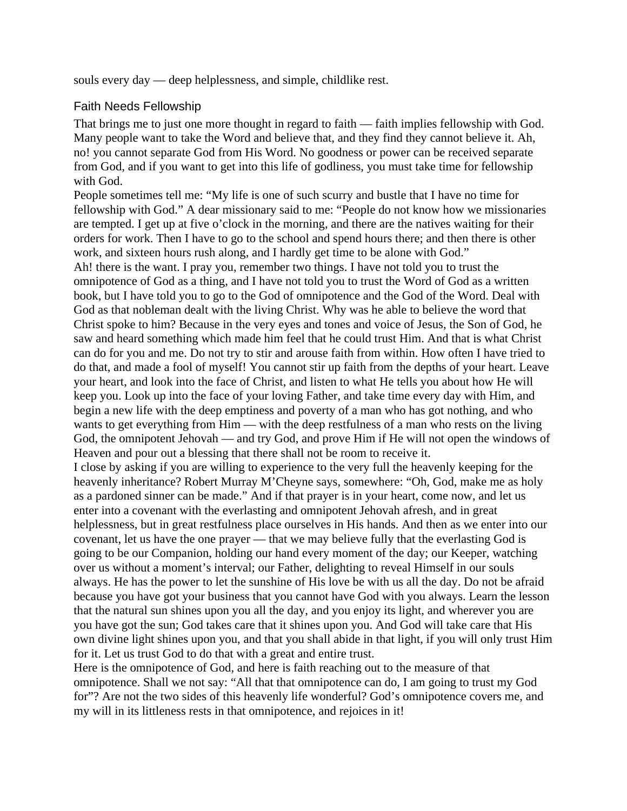souls every day — deep helplessness, and simple, childlike rest.

#### Faith Needs Fellowship

That brings me to just one more thought in regard to faith — faith implies fellowship with God. Many people want to take the Word and believe that, and they find they cannot believe it. Ah, no! you cannot separate God from His Word. No goodness or power can be received separate from God, and if you want to get into this life of godliness, you must take time for fellowship with God.

People sometimes tell me: "My life is one of such scurry and bustle that I have no time for fellowship with God." A dear missionary said to me: "People do not know how we missionaries are tempted. I get up at five o'clock in the morning, and there are the natives waiting for their orders for work. Then I have to go to the school and spend hours there; and then there is other work, and sixteen hours rush along, and I hardly get time to be alone with God." Ah! there is the want. I pray you, remember two things. I have not told you to trust the omnipotence of God as a thing, and I have not told you to trust the Word of God as a written book, but I have told you to go to the God of omnipotence and the God of the Word. Deal with God as that nobleman dealt with the living Christ. Why was he able to believe the word that Christ spoke to him? Because in the very eyes and tones and voice of Jesus, the Son of God, he saw and heard something which made him feel that he could trust Him. And that is what Christ can do for you and me. Do not try to stir and arouse faith from within. How often I have tried to do that, and made a fool of myself! You cannot stir up faith from the depths of your heart. Leave your heart, and look into the face of Christ, and listen to what He tells you about how He will keep you. Look up into the face of your loving Father, and take time every day with Him, and begin a new life with the deep emptiness and poverty of a man who has got nothing, and who wants to get everything from Him — with the deep restfulness of a man who rests on the living God, the omnipotent Jehovah — and try God, and prove Him if He will not open the windows of Heaven and pour out a blessing that there shall not be room to receive it.

I close by asking if you are willing to experience to the very full the heavenly keeping for the heavenly inheritance? Robert Murray M'Cheyne says, somewhere: "Oh, God, make me as holy as a pardoned sinner can be made." And if that prayer is in your heart, come now, and let us enter into a covenant with the everlasting and omnipotent Jehovah afresh, and in great helplessness, but in great restfulness place ourselves in His hands. And then as we enter into our covenant, let us have the one prayer — that we may believe fully that the everlasting God is going to be our Companion, holding our hand every moment of the day; our Keeper, watching over us without a moment's interval; our Father, delighting to reveal Himself in our souls always. He has the power to let the sunshine of His love be with us all the day. Do not be afraid because you have got your business that you cannot have God with you always. Learn the lesson that the natural sun shines upon you all the day, and you enjoy its light, and wherever you are you have got the sun; God takes care that it shines upon you. And God will take care that His own divine light shines upon you, and that you shall abide in that light, if you will only trust Him for it. Let us trust God to do that with a great and entire trust.

Here is the omnipotence of God, and here is faith reaching out to the measure of that omnipotence. Shall we not say: "All that that omnipotence can do, I am going to trust my God for"? Are not the two sides of this heavenly life wonderful? God's omnipotence covers me, and my will in its littleness rests in that omnipotence, and rejoices in it!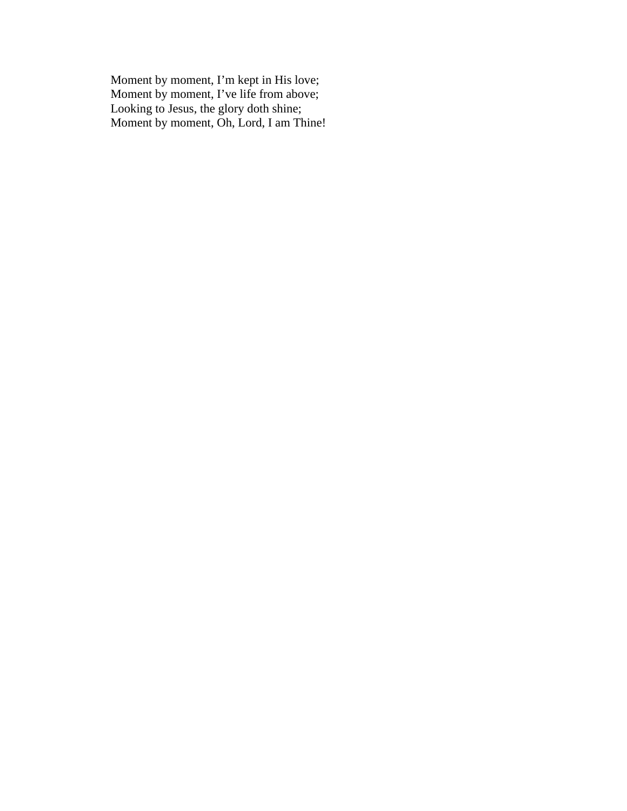Moment by moment, I'm kept in His love; Moment by moment, I've life from above; Looking to Jesus, the glory doth shine; Moment by moment, Oh, Lord, I am Thine!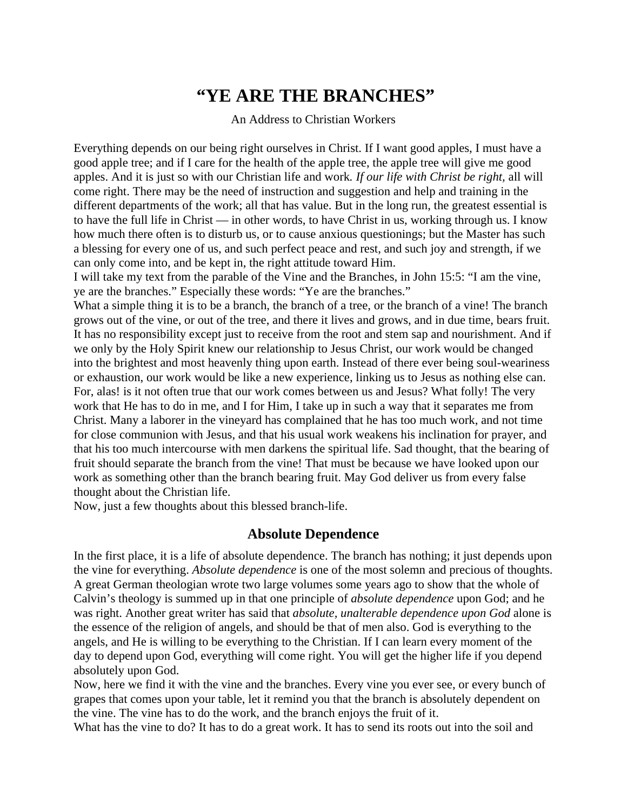## **"YE ARE THE BRANCHES"**

An Address to Christian Workers

Everything depends on our being right ourselves in Christ. If I want good apples, I must have a good apple tree; and if I care for the health of the apple tree, the apple tree will give me good apples. And it is just so with our Christian life and work*. If our life with Christ be right,* all will come right. There may be the need of instruction and suggestion and help and training in the different departments of the work; all that has value. But in the long run, the greatest essential is to have the full life in Christ — in other words, to have Christ in us, working through us. I know how much there often is to disturb us, or to cause anxious questionings; but the Master has such a blessing for every one of us, and such perfect peace and rest, and such joy and strength, if we can only come into, and be kept in, the right attitude toward Him.

I will take my text from the parable of the Vine and the Branches, in John 15:5: "I am the vine, ye are the branches." Especially these words: "Ye are the branches."

What a simple thing it is to be a branch, the branch of a tree, or the branch of a vine! The branch grows out of the vine, or out of the tree, and there it lives and grows, and in due time, bears fruit. It has no responsibility except just to receive from the root and stem sap and nourishment. And if we only by the Holy Spirit knew our relationship to Jesus Christ, our work would be changed into the brightest and most heavenly thing upon earth. Instead of there ever being soul-weariness or exhaustion, our work would be like a new experience, linking us to Jesus as nothing else can. For, alas! is it not often true that our work comes between us and Jesus? What folly! The very work that He has to do in me, and I for Him, I take up in such a way that it separates me from Christ. Many a laborer in the vineyard has complained that he has too much work, and not time for close communion with Jesus, and that his usual work weakens his inclination for prayer, and that his too much intercourse with men darkens the spiritual life. Sad thought, that the bearing of fruit should separate the branch from the vine! That must be because we have looked upon our work as something other than the branch bearing fruit. May God deliver us from every false thought about the Christian life.

Now, just a few thoughts about this blessed branch-life.

#### **Absolute Dependence**

In the first place, it is a life of absolute dependence. The branch has nothing; it just depends upon the vine for everything. *Absolute dependence* is one of the most solemn and precious of thoughts. A great German theologian wrote two large volumes some years ago to show that the whole of Calvin's theology is summed up in that one principle of *absolute dependence* upon God; and he was right. Another great writer has said that *absolute, unalterable dependence upon God* alone is the essence of the religion of angels, and should be that of men also. God is everything to the angels, and He is willing to be everything to the Christian. If I can learn every moment of the day to depend upon God, everything will come right. You will get the higher life if you depend absolutely upon God.

Now, here we find it with the vine and the branches. Every vine you ever see, or every bunch of grapes that comes upon your table, let it remind you that the branch is absolutely dependent on the vine. The vine has to do the work, and the branch enjoys the fruit of it.

What has the vine to do? It has to do a great work. It has to send its roots out into the soil and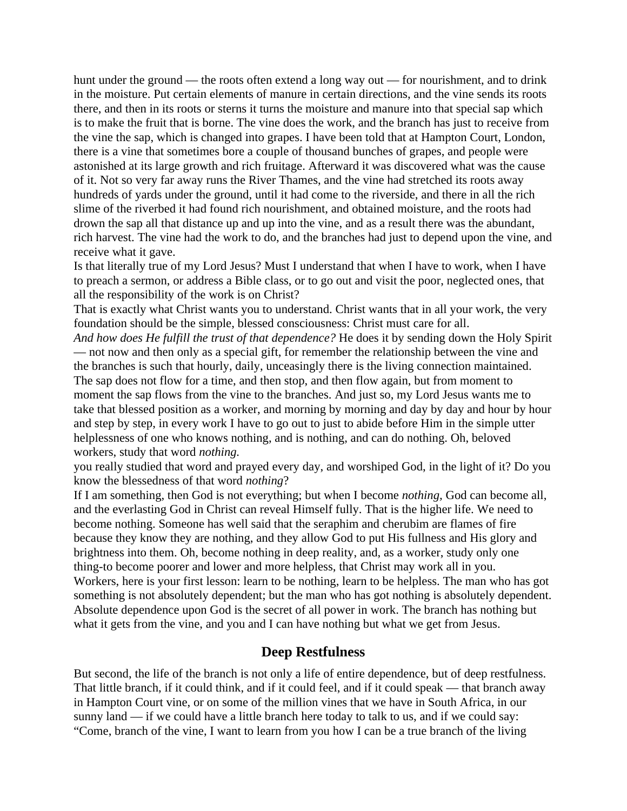hunt under the ground — the roots often extend a long way out — for nourishment, and to drink in the moisture. Put certain elements of manure in certain directions, and the vine sends its roots there, and then in its roots or sterns it turns the moisture and manure into that special sap which is to make the fruit that is borne. The vine does the work, and the branch has just to receive from the vine the sap, which is changed into grapes. I have been told that at Hampton Court, London, there is a vine that sometimes bore a couple of thousand bunches of grapes, and people were astonished at its large growth and rich fruitage. Afterward it was discovered what was the cause of it. Not so very far away runs the River Thames, and the vine had stretched its roots away hundreds of yards under the ground, until it had come to the riverside, and there in all the rich slime of the riverbed it had found rich nourishment, and obtained moisture, and the roots had drown the sap all that distance up and up into the vine, and as a result there was the abundant, rich harvest. The vine had the work to do, and the branches had just to depend upon the vine, and receive what it gave.

Is that literally true of my Lord Jesus? Must I understand that when I have to work, when I have to preach a sermon, or address a Bible class, or to go out and visit the poor, neglected ones, that all the responsibility of the work is on Christ?

That is exactly what Christ wants you to understand. Christ wants that in all your work, the very foundation should be the simple, blessed consciousness: Christ must care for all.

*And how does He fulfill the trust of that dependence?* He does it by sending down the Holy Spirit — not now and then only as a special gift, for remember the relationship between the vine and the branches is such that hourly, daily, unceasingly there is the living connection maintained. The sap does not flow for a time, and then stop, and then flow again, but from moment to moment the sap flows from the vine to the branches. And just so, my Lord Jesus wants me to take that blessed position as a worker, and morning by morning and day by day and hour by hour and step by step, in every work I have to go out to just to abide before Him in the simple utter helplessness of one who knows nothing, and is nothing, and can do nothing. Oh, beloved workers, study that word *nothing.*

you really studied that word and prayed every day, and worshiped God, in the light of it? Do you know the blessedness of that word *nothing*?

If I am something, then God is not everything; but when I become *nothing,* God can become all, and the everlasting God in Christ can reveal Himself fully. That is the higher life. We need to become nothing. Someone has well said that the seraphim and cherubim are flames of fire because they know they are nothing, and they allow God to put His fullness and His glory and brightness into them. Oh, become nothing in deep reality, and, as a worker, study only one thing-to become poorer and lower and more helpless, that Christ may work all in you. Workers, here is your first lesson: learn to be nothing, learn to be helpless. The man who has got something is not absolutely dependent; but the man who has got nothing is absolutely dependent. Absolute dependence upon God is the secret of all power in work. The branch has nothing but what it gets from the vine, and you and I can have nothing but what we get from Jesus.

#### **Deep Restfulness**

But second, the life of the branch is not only a life of entire dependence, but of deep restfulness. That little branch, if it could think, and if it could feel, and if it could speak — that branch away in Hampton Court vine, or on some of the million vines that we have in South Africa, in our sunny land — if we could have a little branch here today to talk to us, and if we could say: "Come, branch of the vine, I want to learn from you how I can be a true branch of the living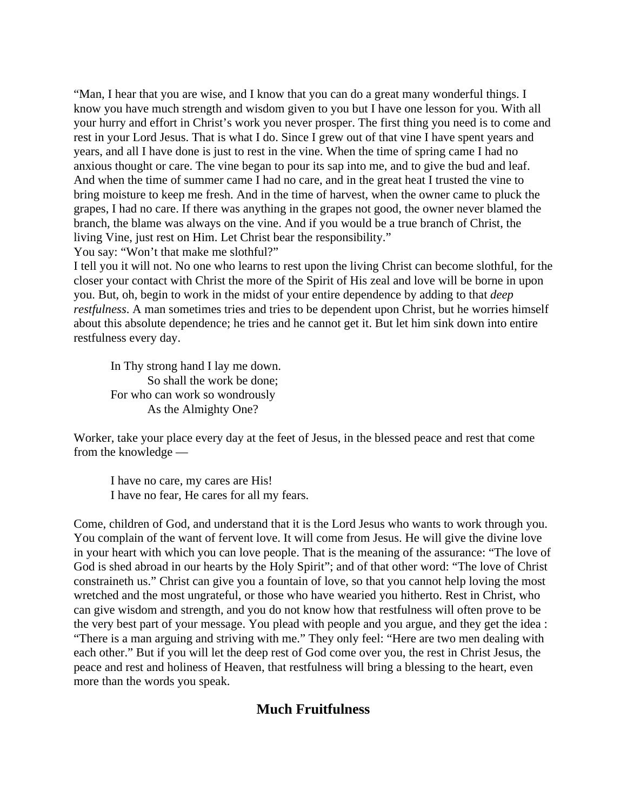"Man, I hear that you are wise, and I know that you can do a great many wonderful things. I know you have much strength and wisdom given to you but I have one lesson for you. With all your hurry and effort in Christ's work you never prosper. The first thing you need is to come and rest in your Lord Jesus. That is what I do. Since I grew out of that vine I have spent years and years, and all I have done is just to rest in the vine. When the time of spring came I had no anxious thought or care. The vine began to pour its sap into me, and to give the bud and leaf. And when the time of summer came I had no care, and in the great heat I trusted the vine to bring moisture to keep me fresh. And in the time of harvest, when the owner came to pluck the grapes, I had no care. If there was anything in the grapes not good, the owner never blamed the branch, the blame was always on the vine. And if you would be a true branch of Christ, the living Vine, just rest on Him. Let Christ bear the responsibility." You say: "Won't that make me slothful?"

I tell you it will not. No one who learns to rest upon the living Christ can become slothful, for the closer your contact with Christ the more of the Spirit of His zeal and love will be borne in upon you. But, oh, begin to work in the midst of your entire dependence by adding to that *deep restfulness*. A man sometimes tries and tries to be dependent upon Christ, but he worries himself about this absolute dependence; he tries and he cannot get it. But let him sink down into entire restfulness every day.

In Thy strong hand I lay me down. So shall the work be done; For who can work so wondrously As the Almighty One?

Worker, take your place every day at the feet of Jesus, in the blessed peace and rest that come from the knowledge —

I have no care, my cares are His! I have no fear, He cares for all my fears.

Come, children of God, and understand that it is the Lord Jesus who wants to work through you. You complain of the want of fervent love. It will come from Jesus. He will give the divine love in your heart with which you can love people. That is the meaning of the assurance: "The love of God is shed abroad in our hearts by the Holy Spirit"; and of that other word: "The love of Christ constraineth us." Christ can give you a fountain of love, so that you cannot help loving the most wretched and the most ungrateful, or those who have wearied you hitherto. Rest in Christ, who can give wisdom and strength, and you do not know how that restfulness will often prove to be the very best part of your message. You plead with people and you argue, and they get the idea : "There is a man arguing and striving with me." They only feel: "Here are two men dealing with each other." But if you will let the deep rest of God come over you, the rest in Christ Jesus, the peace and rest and holiness of Heaven, that restfulness will bring a blessing to the heart, even more than the words you speak.

## **Much Fruitfulness**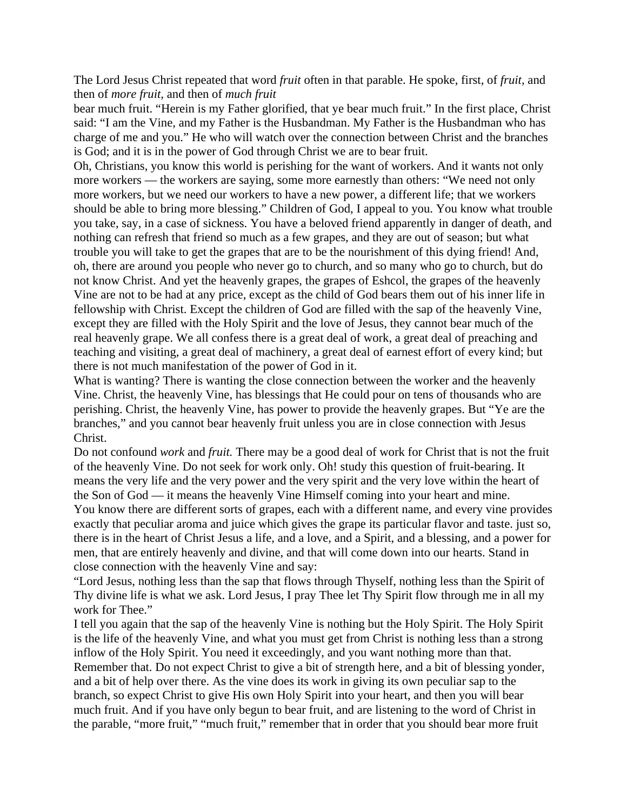The Lord Jesus Christ repeated that word *fruit* often in that parable. He spoke, first, of *fruit,* and then of *more fruit,* and then of *much fruit*

bear much fruit. "Herein is my Father glorified, that ye bear much fruit." In the first place, Christ said: "I am the Vine, and my Father is the Husbandman. My Father is the Husbandman who has charge of me and you." He who will watch over the connection between Christ and the branches is God; and it is in the power of God through Christ we are to bear fruit.

Oh, Christians, you know this world is perishing for the want of workers. And it wants not only more workers — the workers are saying, some more earnestly than others: "We need not only more workers, but we need our workers to have a new power, a different life; that we workers should be able to bring more blessing." Children of God, I appeal to you. You know what trouble you take, say, in a case of sickness. You have a beloved friend apparently in danger of death, and nothing can refresh that friend so much as a few grapes, and they are out of season; but what trouble you will take to get the grapes that are to be the nourishment of this dying friend! And, oh, there are around you people who never go to church, and so many who go to church, but do not know Christ. And yet the heavenly grapes, the grapes of Eshcol, the grapes of the heavenly Vine are not to be had at any price, except as the child of God bears them out of his inner life in fellowship with Christ. Except the children of God are filled with the sap of the heavenly Vine, except they are filled with the Holy Spirit and the love of Jesus, they cannot bear much of the real heavenly grape. We all confess there is a great deal of work, a great deal of preaching and teaching and visiting, a great deal of machinery, a great deal of earnest effort of every kind; but there is not much manifestation of the power of God in it.

What is wanting? There is wanting the close connection between the worker and the heavenly Vine. Christ, the heavenly Vine, has blessings that He could pour on tens of thousands who are perishing. Christ, the heavenly Vine, has power to provide the heavenly grapes. But "Ye are the branches," and you cannot bear heavenly fruit unless you are in close connection with Jesus Christ.

Do not confound *work* and *fruit.* There may be a good deal of work for Christ that is not the fruit of the heavenly Vine. Do not seek for work only. Oh! study this question of fruit-bearing. It means the very life and the very power and the very spirit and the very love within the heart of the Son of God — it means the heavenly Vine Himself coming into your heart and mine. You know there are different sorts of grapes, each with a different name, and every vine provides exactly that peculiar aroma and juice which gives the grape its particular flavor and taste. just so, there is in the heart of Christ Jesus a life, and a love, and a Spirit, and a blessing, and a power for men, that are entirely heavenly and divine, and that will come down into our hearts. Stand in close connection with the heavenly Vine and say:

"Lord Jesus, nothing less than the sap that flows through Thyself, nothing less than the Spirit of Thy divine life is what we ask. Lord Jesus, I pray Thee let Thy Spirit flow through me in all my work for Thee."

I tell you again that the sap of the heavenly Vine is nothing but the Holy Spirit. The Holy Spirit is the life of the heavenly Vine, and what you must get from Christ is nothing less than a strong inflow of the Holy Spirit. You need it exceedingly, and you want nothing more than that. Remember that. Do not expect Christ to give a bit of strength here, and a bit of blessing yonder, and a bit of help over there. As the vine does its work in giving its own peculiar sap to the branch, so expect Christ to give His own Holy Spirit into your heart, and then you will bear much fruit. And if you have only begun to bear fruit, and are listening to the word of Christ in the parable, "more fruit," "much fruit," remember that in order that you should bear more fruit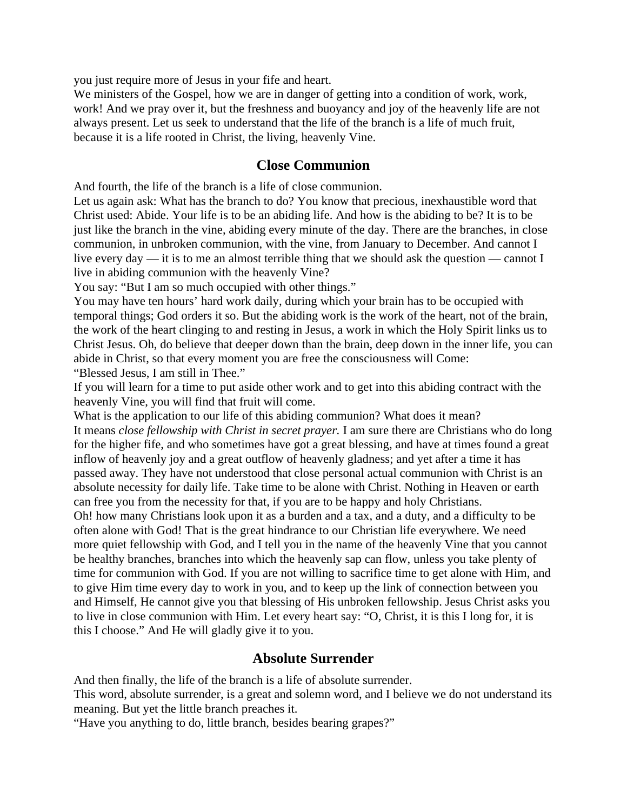you just require more of Jesus in your fife and heart.

We ministers of the Gospel, how we are in danger of getting into a condition of work, work, work! And we pray over it, but the freshness and buoyancy and joy of the heavenly life are not always present. Let us seek to understand that the life of the branch is a life of much fruit, because it is a life rooted in Christ, the living, heavenly Vine.

#### **Close Communion**

And fourth, the life of the branch is a life of close communion.

Let us again ask: What has the branch to do? You know that precious, inexhaustible word that Christ used: Abide. Your life is to be an abiding life. And how is the abiding to be? It is to be just like the branch in the vine, abiding every minute of the day. There are the branches, in close communion, in unbroken communion, with the vine, from January to December. And cannot I live every day — it is to me an almost terrible thing that we should ask the question — cannot I live in abiding communion with the heavenly Vine?

You say: "But I am so much occupied with other things."

You may have ten hours' hard work daily, during which your brain has to be occupied with temporal things; God orders it so. But the abiding work is the work of the heart, not of the brain, the work of the heart clinging to and resting in Jesus, a work in which the Holy Spirit links us to Christ Jesus. Oh, do believe that deeper down than the brain, deep down in the inner life, you can abide in Christ, so that every moment you are free the consciousness will Come: "Blessed Jesus, I am still in Thee."

If you will learn for a time to put aside other work and to get into this abiding contract with the heavenly Vine, you will find that fruit will come.

What is the application to our life of this abiding communion? What does it mean? It means *close fellowship with Christ in secret prayer.* I am sure there are Christians who do long for the higher fife, and who sometimes have got a great blessing, and have at times found a great inflow of heavenly joy and a great outflow of heavenly gladness; and yet after a time it has passed away. They have not understood that close personal actual communion with Christ is an absolute necessity for daily life. Take time to be alone with Christ. Nothing in Heaven or earth can free you from the necessity for that, if you are to be happy and holy Christians. Oh! how many Christians look upon it as a burden and a tax, and a duty, and a difficulty to be often alone with God! That is the great hindrance to our Christian life everywhere. We need more quiet fellowship with God, and I tell you in the name of the heavenly Vine that you cannot be healthy branches, branches into which the heavenly sap can flow, unless you take plenty of

time for communion with God. If you are not willing to sacrifice time to get alone with Him, and to give Him time every day to work in you, and to keep up the link of connection between you and Himself, He cannot give you that blessing of His unbroken fellowship. Jesus Christ asks you to live in close communion with Him. Let every heart say: "O, Christ, it is this I long for, it is this I choose." And He will gladly give it to you.

#### **Absolute Surrender**

And then finally, the life of the branch is a life of absolute surrender.

This word, absolute surrender, is a great and solemn word, and I believe we do not understand its meaning. But yet the little branch preaches it.

"Have you anything to do, little branch, besides bearing grapes?"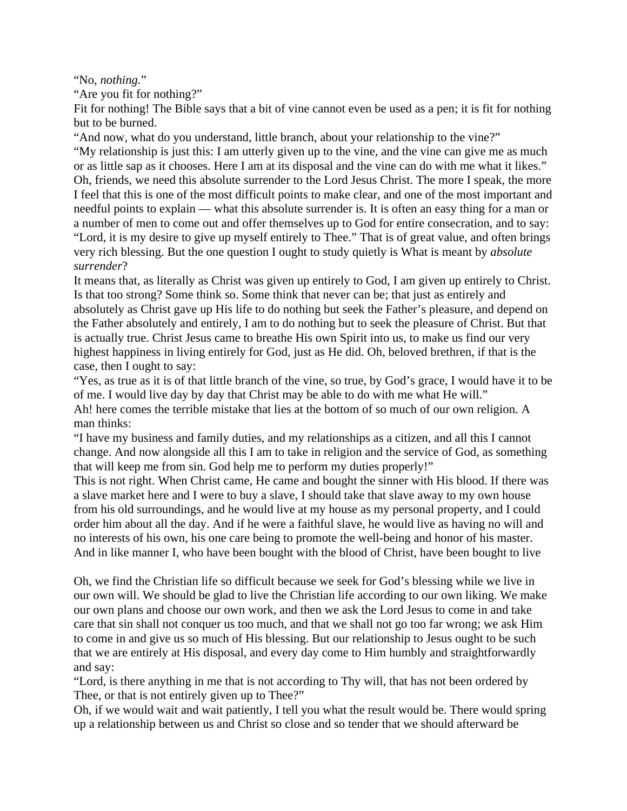"No, *nothing.*"

"Are you fit for nothing?"

Fit for nothing! The Bible says that a bit of vine cannot even be used as a pen; it is fit for nothing but to be burned.

"And now, what do you understand, little branch, about your relationship to the vine?"

"My relationship is just this: I am utterly given up to the vine, and the vine can give me as much or as little sap as it chooses. Here I am at its disposal and the vine can do with me what it likes." Oh, friends, we need this absolute surrender to the Lord Jesus Christ. The more I speak, the more I feel that this is one of the most difficult points to make clear, and one of the most important and needful points to explain — what this absolute surrender is. It is often an easy thing for a man or a number of men to come out and offer themselves up to God for entire consecration, and to say: "Lord, it is my desire to give up myself entirely to Thee." That is of great value, and often brings very rich blessing. But the one question I ought to study quietly is What is meant by *absolute surrender*?

It means that, as literally as Christ was given up entirely to God, I am given up entirely to Christ. Is that too strong? Some think so. Some think that never can be; that just as entirely and absolutely as Christ gave up His life to do nothing but seek the Father's pleasure, and depend on the Father absolutely and entirely, I am to do nothing but to seek the pleasure of Christ. But that is actually true. Christ Jesus came to breathe His own Spirit into us, to make us find our very highest happiness in living entirely for God, just as He did. Oh, beloved brethren, if that is the case, then I ought to say:

"Yes, as true as it is of that little branch of the vine, so true, by God's grace, I would have it to be of me. I would live day by day that Christ may be able to do with me what He will." Ah! here comes the terrible mistake that lies at the bottom of so much of our own religion. A man thinks:

"I have my business and family duties, and my relationships as a citizen, and all this I cannot change. And now alongside all this I am to take in religion and the service of God, as something that will keep me from sin. God help me to perform my duties properly!"

This is not right. When Christ came, He came and bought the sinner with His blood. If there was a slave market here and I were to buy a slave, I should take that slave away to my own house from his old surroundings, and he would live at my house as my personal property, and I could order him about all the day. And if he were a faithful slave, he would live as having no will and no interests of his own, his one care being to promote the well-being and honor of his master. And in like manner I, who have been bought with the blood of Christ, have been bought to live

Oh, we find the Christian life so difficult because we seek for God's blessing while we live in our own will. We should be glad to live the Christian life according to our own liking. We make our own plans and choose our own work, and then we ask the Lord Jesus to come in and take care that sin shall not conquer us too much, and that we shall not go too far wrong; we ask Him to come in and give us so much of His blessing. But our relationship to Jesus ought to be such that we are entirely at His disposal, and every day come to Him humbly and straightforwardly and say:

"Lord, is there anything in me that is not according to Thy will, that has not been ordered by Thee, or that is not entirely given up to Thee?"

Oh, if we would wait and wait patiently, I tell you what the result would be. There would spring up a relationship between us and Christ so close and so tender that we should afterward be